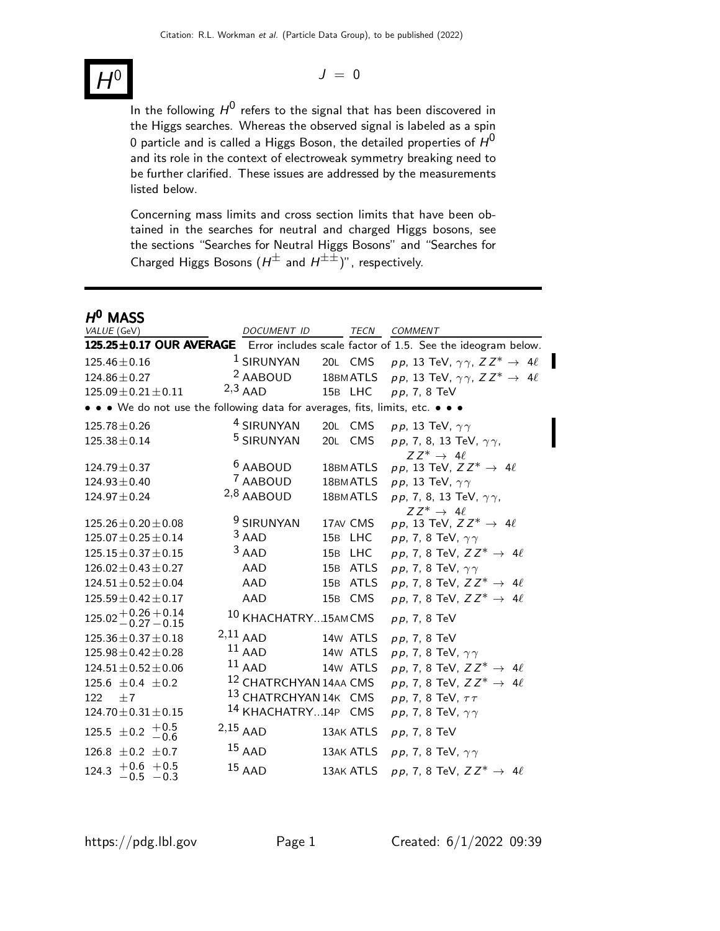# H

 $J = 0$ 

In the following  $H^{\mathsf{0}}$  refers to the signal that has been discovered in the Higgs searches. Whereas the observed signal is labeled as a spin 0 particle and is called a Higgs Boson, the detailed properties of  $\mathcal{H}^\mathbf{0}$ and its role in the context of electroweak symmetry breaking need to be further clarified. These issues are addressed by the measurements listed below.

Concerning mass limits and cross section limits that have been obtained in the searches for neutral and charged Higgs bosons, see the sections "Searches for Neutral Higgs Bosons" and "Searches for Charged Higgs Bosons  $(H^{\pm}$  and  $H^{\pm \pm})$ ", respectively.

# $H^0$  MASS

| VALUE (GeV)                                                                   | DOCUMENT ID                       |           | TECN COMMENT                                                                        |
|-------------------------------------------------------------------------------|-----------------------------------|-----------|-------------------------------------------------------------------------------------|
|                                                                               |                                   |           | 125.25±0.17 OUR AVERAGE Error includes scale factor of 1.5. See the ideogram below. |
| $125.46 \pm 0.16$                                                             | <sup>1</sup> SIRUNYAN             | 20L CMS   | pp, 13 TeV, $\gamma \gamma$ , $ZZ^* \rightarrow 4\ell$                              |
| $124.86 \pm 0.27$                                                             | <sup>2</sup> AABOUD               | 18BM ATLS | pp, 13 TeV, $\gamma \gamma$ , $ZZ^* \rightarrow 4\ell$                              |
| $125.09 \pm 0.21 \pm 0.11$                                                    | $2,3$ AAD                         | 15B LHC   | $pp, 7, 8$ TeV                                                                      |
| • • • We do not use the following data for averages, fits, limits, etc. • • • |                                   |           |                                                                                     |
| $125.78 \pm 0.26$                                                             | <sup>4</sup> SIRUNYAN             | 20L CMS   | pp, 13 TeV, $\gamma\gamma$                                                          |
| $125.38 \pm 0.14$                                                             | <sup>5</sup> SIRUNYAN             | 20L CMS   | pp, 7, 8, 13 TeV, $\gamma\gamma$ ,                                                  |
|                                                                               |                                   |           | $ZZ^* \rightarrow 4\ell$                                                            |
| $124.79 \pm 0.37$                                                             | <sup>6</sup> AABOUD               | 18BM ATLS | pp, 13 TeV, $Z Z^* \rightarrow 4\ell$                                               |
| $124.93 \pm 0.40$                                                             | <sup>7</sup> AABOUD               | 18BM ATLS | pp, 13 TeV, $\gamma\gamma$                                                          |
| $124.97 \pm 0.24$                                                             | $2,8$ AABOUD                      | 18BM ATLS | pp, 7, 8, 13 TeV, $\gamma\gamma$ ,                                                  |
|                                                                               | <sup>9</sup> SIRUNYAN             |           | $ZZ^* \rightarrow 4\ell$                                                            |
| $125.26 \pm 0.20 \pm 0.08$                                                    | $3$ AAD                           | 17AV CMS  | pp, 13 TeV, $ZZ^* \rightarrow 4\ell$                                                |
| $125.07 \pm 0.25 \pm 0.14$                                                    |                                   | 15B LHC   | pp, 7, 8 TeV, $\gamma\gamma$                                                        |
| $125.15 \pm 0.37 \pm 0.15$                                                    | $3$ AAD                           | 15B LHC   | pp, 7, 8 TeV, $ZZ^* \rightarrow 4\ell$                                              |
| $126.02 \pm 0.43 \pm 0.27$                                                    | AAD                               | 15B ATLS  | pp, 7, 8 TeV, $\gamma\gamma$                                                        |
| $124.51 \pm 0.52 \pm 0.04$                                                    | AAD                               | 15B ATLS  | pp, 7, 8 TeV, $ZZ^* \rightarrow 4\ell$                                              |
| $125.59 \pm 0.42 \pm 0.17$                                                    | AAD                               | 15B CMS   | pp, 7, 8 TeV, $ZZ^* \rightarrow 4\ell$                                              |
| $125.02 + 0.26 + 0.14$<br>$-0.27 - 0.15$                                      | 10 KHACHATRY15AMCMS               |           | $pp, 7, 8$ TeV                                                                      |
| $125.36 \pm 0.37 \pm 0.18$                                                    | $2,11$ AAD                        | 14w ATLS  | $pp, 7, 8$ TeV                                                                      |
| $125.98 \pm 0.42 \pm 0.28$                                                    | $11$ AAD                          | 14w ATLS  | pp, 7, 8 TeV, $\gamma\gamma$                                                        |
| $124.51 \pm 0.52 \pm 0.06$                                                    | $11$ AAD                          | 14w ATLS  | pp, 7, 8 TeV, $ZZ^* \rightarrow 4\ell$                                              |
| 125.6 $\pm$ 0.4 $\pm$ 0.2                                                     | <sup>12</sup> CHATRCHYAN 14AA CMS |           | pp, 7, 8 TeV, $ZZ^* \rightarrow 4\ell$                                              |
| ±7<br>122                                                                     | 13 CHATRCHYAN 14K CMS             |           | pp, 7, 8 TeV, $\tau\tau$                                                            |
| $124.70 \pm 0.31 \pm 0.15$                                                    | 14 KHACHATRY14P CMS               |           | pp, 7, 8 TeV, $\gamma\gamma$                                                        |
| 125.5 $\pm$ 0.2 $+$ 0.5 $-0.6$                                                | $2,15$ AAD                        | 13AK ATLS | $pp, 7, 8$ TeV                                                                      |
| 126.8 $\pm$ 0.2 $\pm$ 0.7                                                     | $15$ AAD                          | 13AK ATLS | pp, 7, 8 TeV, $\gamma\gamma$                                                        |
| $+0.6$ +0.5<br>-0.5 -0.3<br>124.3                                             | $15$ AAD                          | 13AK ATLS | pp, 7, 8 TeV, $ZZ^* \rightarrow 4\ell$                                              |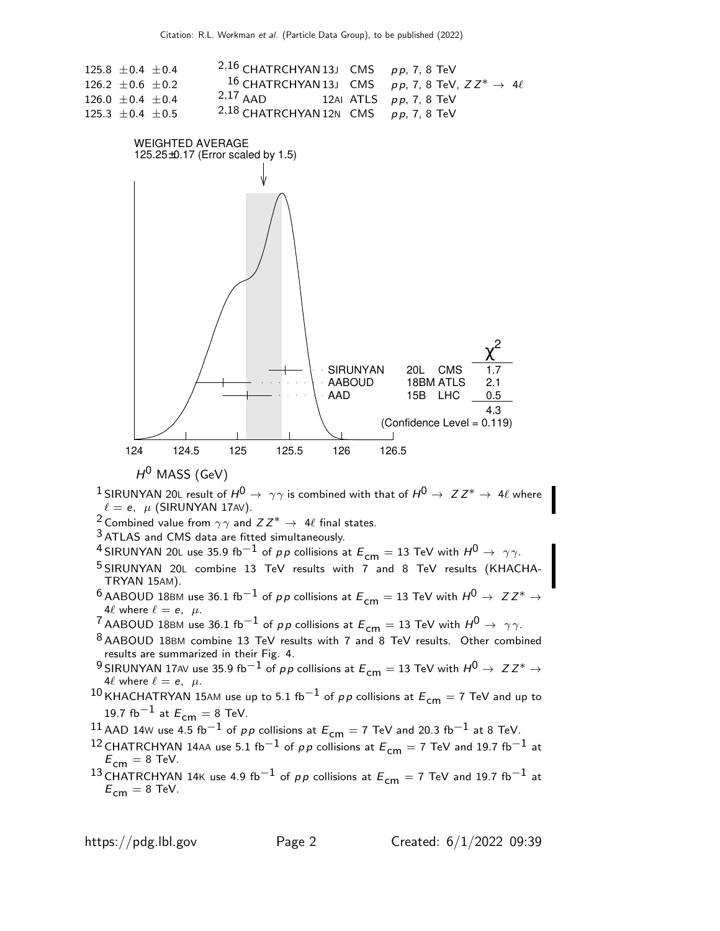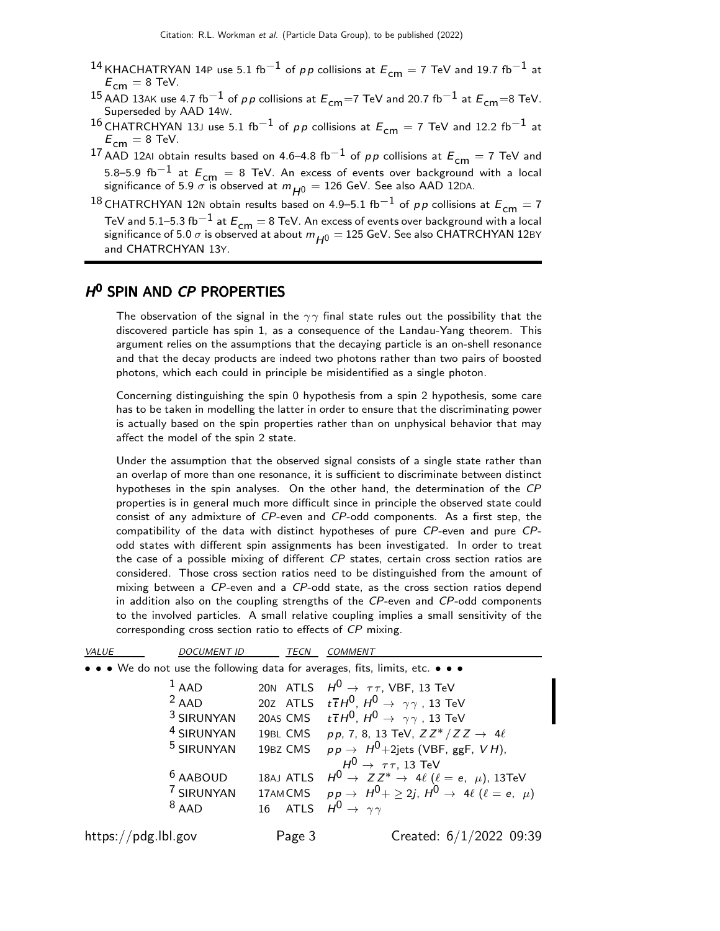- <sup>14</sup> KHACHATRYAN 14P use 5.1 fb<sup>-1</sup> of pp collisions at  $E_{cm} = 7$  TeV and 19.7 fb<sup>-1</sup> at  $E_{cm} = 8$  TeV.
- <sup>15</sup> AAD 13AK use 4.7 fb<sup>−1</sup> of *p p* collisions at  $E_{cm}$ =7 TeV and 20.7 fb<sup>−1</sup> at  $E_{cm}$ =8 TeV. Superseded by AAD 14W.
- 16 CHATRCHYAN 13J use 5.1 fb<sup>-1</sup> of pp collisions at  $E_{cm} = 7$  TeV and 12.2 fb<sup>-1</sup> at  $E_{\text{cm}} = 8$  TeV.
- 17 AAD 12AI obtain results based on 4.6–4.8 fb<sup>-1</sup> of pp collisions at  $E_{cm} = 7$  TeV and 5.8–5.9 fb<sup>-1</sup> at  $E_{cm}$  = 8 TeV. An excess of events over background with a local significance of 5.9  $\sigma$  is observed at  $m_{H^0} = 126$  GeV. See also AAD 12DA.

18 CHATRCHYAN 12N obtain results based on 4.9–5.1 fb<sup>-1</sup> of pp collisions at  $E_{cm} = 7$ TeV and 5.1–5.3 fb<sup>-1</sup> at  $E_{cm} = 8$  TeV. An excess of events over background with a local significance of 5.0  $\sigma$  is observed at about  $m_{H^0} = 125$  GeV. See also CHATRCHYAN 12BY and CHATRCHYAN 13Y.

# H<sup>O</sup> SPIN AND CP PROPERTIES

The observation of the signal in the  $\gamma\gamma$  final state rules out the possibility that the discovered particle has spin 1, as a consequence of the Landau-Yang theorem. This argument relies on the assumptions that the decaying particle is an on-shell resonance and that the decay products are indeed two photons rather than two pairs of boosted photons, which each could in principle be misidentified as a single photon.

Concerning distinguishing the spin 0 hypothesis from a spin 2 hypothesis, some care has to be taken in modelling the latter in order to ensure that the discriminating power is actually based on the spin properties rather than on unphysical behavior that may affect the model of the spin 2 state.

Under the assumption that the observed signal consists of a single state rather than an overlap of more than one resonance, it is sufficient to discriminate between distinct hypotheses in the spin analyses. On the other hand, the determination of the CP properties is in general much more difficult since in principle the observed state could consist of any admixture of CP-even and CP-odd components. As a first step, the compatibility of the data with distinct hypotheses of pure CP-even and pure CPodd states with different spin assignments has been investigated. In order to treat the case of a possible mixing of different CP states, certain cross section ratios are considered. Those cross section ratios need to be distinguished from the amount of mixing between a CP-even and a CP-odd state, as the cross section ratios depend in addition also on the coupling strengths of the CP-even and CP-odd components to the involved particles. A small relative coupling implies a small sensitivity of the corresponding cross section ratio to effects of CP mixing.

| VALUE | <b>DOCUMENT ID</b>                           | <b>TECN</b> | <b>COMMENT</b>                                                                                                                                                                                                                                       |
|-------|----------------------------------------------|-------------|------------------------------------------------------------------------------------------------------------------------------------------------------------------------------------------------------------------------------------------------------|
|       |                                              |             | • • • We do not use the following data for averages, fits, limits, etc. • • •                                                                                                                                                                        |
|       | $1$ AAD                                      |             | 20N ATLS $H^0 \rightarrow \tau \tau$ , VBF, 13 TeV                                                                                                                                                                                                   |
|       | $2$ AAD                                      |             | 20Z ATLS $t\overline{t}H^0$ , $H^0 \rightarrow \gamma\gamma$ , 13 TeV                                                                                                                                                                                |
|       | <sup>3</sup> SIRUNYAN                        |             | 20AS CMS $t\bar{t}H^0$ , $H^0 \rightarrow \gamma\gamma$ , 13 TeV                                                                                                                                                                                     |
|       | <sup>4</sup> SIRUNYAN                        |             | 19BL CMS pp, 7, 8, 13 TeV, $ZZ^*/ZZ \rightarrow 4\ell$                                                                                                                                                                                               |
|       | <sup>5</sup> SIRUNYAN                        | 19BZ CMS    | $pp \rightarrow H^0 + 2$ jets (VBF, ggF, VH),                                                                                                                                                                                                        |
|       | <sup>6</sup> AABOUD<br>7 SIRUNYAN<br>$8$ AAD | 16 ATLS     | $H^0 \rightarrow \tau \tau$ , 13 TeV<br>18AJ ATLS $H^0 \rightarrow Z Z^* \rightarrow 4\ell$ ( $\ell = e, \mu$ ), 13TeV<br>17AMCMS $pp \rightarrow H^0 + \geq 2j$ , $H^0 \rightarrow 4\ell$ ( $\ell = e$ , $\mu$ )<br>$H^0 \rightarrow \gamma \gamma$ |
| .     |                                              |             | $\sim$ $\sim$ $\sim$ $\sim$ $\sim$ $\sim$                                                                                                                                                                                                            |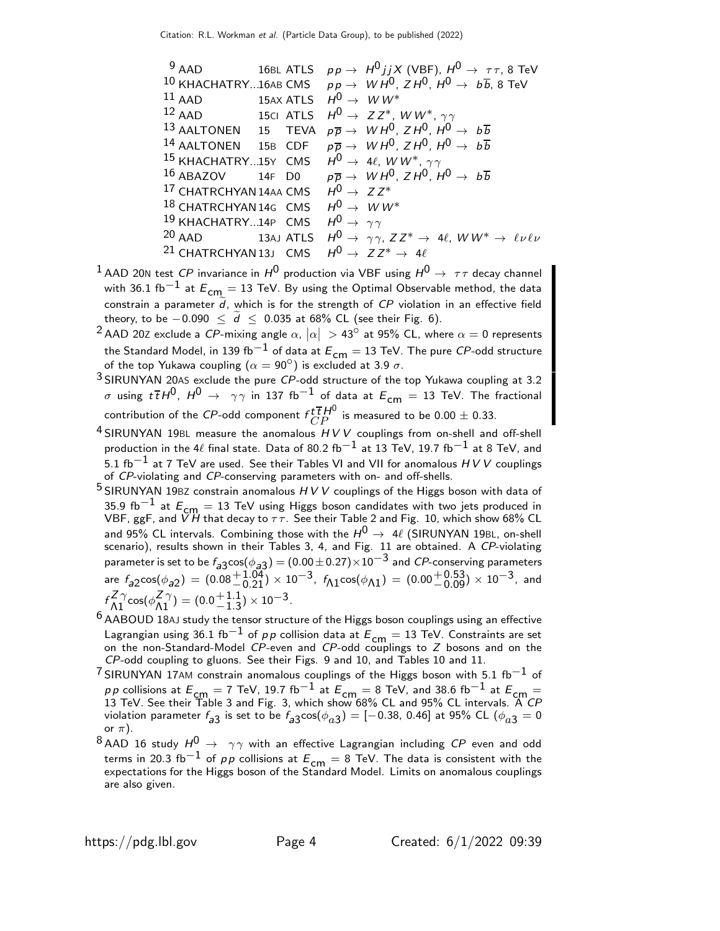<sup>9</sup> AAD 16BL ATLS  $pp \rightarrow H^0 j j X$  (VBF),  $H^0 \rightarrow \tau \tau$ , 8 TeV <sup>10</sup> KHACHATRY...16AB CMS  $pp \rightarrow WH^{0}$ ,  $ZH^{0}$ ,  $H^{0} \rightarrow b\overline{b}$ , 8 TeV<br><sup>11</sup> AAD 15AX ATLS  $H^{0} \rightarrow WW^{*}$ <sup>11</sup> AAD 15AX ATLS  $H^0 \rightarrow WW^*$ <br><sup>12</sup> AAD 15Cl ATLS  $H^0 \rightarrow ZZ^*$ . <sup>12</sup> AAD 15CI ATLS  $H^0 \rightarrow Z Z^*$ , W W<sup>\*</sup>,  $\gamma \gamma$ <sup>13</sup> AALTONEN 15 TEVA  $p\overline{p} \rightarrow W H^0$ ,  $Z H^0$ ,  $H^0$ 15 TEVA  $p\overline{p} \rightarrow W H^0$ ,  $Z H^0$ ,  $H^0 \rightarrow b\overline{b}$ 14 AALTONEN 15B CDF  $p\overline{p} \rightarrow W H^{0}$ ,  $Z H^{0}$ ,  $H^{0} \rightarrow b\overline{b}$  $^{15}$  KHACHATRY...15Y  $\,$  CMS  $\,$   $\,H^0 \rightarrow \,$  4 $\ell$ ,  $\,$  W  $W^*$ ,  $\,\gamma\gamma$  $^{16}$  ABAZOV  $^{14}$ F D0  $^{p}$   $p \overline{p}$   $\rightarrow$   $^{W}$   $H^0$ ,  $^{Z}$   $H^0$   $\rightarrow$   $^{p}$   $b \overline{b}$ <sup>17</sup> CHATRCHYAN 14AA CMS  $H^0 \rightarrow Z Z^*$ <br><sup>18</sup> CHATRCHYAN 14G CMS  $H^0 \rightarrow WW^*$ 18 CHATRCHYAN 14G CMS 19 KHACHATRY...14P CMS  $H^0 \rightarrow \gamma \gamma$ <br>20 AAD 13AL ATLS  $H^0 \rightarrow \gamma \gamma$ 13AJ ATLS  $H^0 \rightarrow \gamma \gamma$ ,  $ZZ^* \rightarrow 4\ell$ ,  $WW^* \rightarrow \ell \nu \ell \nu$ <sup>21</sup> CHATRCHYAN 13J CMS  $H^0 \rightarrow Z Z^* \rightarrow 4\ell$ 

- <sup>1</sup> AAD 20N test *CP* invariance in  $H^0$  production via VBF using  $H^0 \rightarrow \tau \tau$  decay channel with 36.1 fb<sup>-1</sup> at  $E_{cm} = 13$  TeV. By using the Optimal Observable method, the data constrain a parameter  $\tilde{d}$ , which is for the strength of CP violation in an effective field theory, to be  $-0.090 \leq \tilde{d} \leq 0.035$  at 68% CL (see their Fig. 6).
- $^2$  AAD 20Z exclude a CP-mixing angle  $\alpha,$   $\vert\alpha\vert\,>\,$  43 $^{\circ}$  at 95% CL, where  $\alpha=0$  represents the Standard Model, in 139 fb $^{-1}$  of data at  $E^{}_{\mathsf{cm}}=13$  TeV. The pure  ${\mathit{CP}}$ -odd structure of the top Yukawa coupling  $(\alpha = 90^{\circ})$  is excluded at 3.9  $\sigma$ .
- $3$  SIRUNYAN 20AS exclude the pure  $CP$ -odd structure of the top Yukawa coupling at 3.2 σ using  $t\bar{t}H^0$ ,  $H^0$  →  $γγ$  in 137 fb<sup>-1</sup> of data at  $E_{cm} = 13$  TeV. The fractional contribution of the  $C\!P\!$ -odd component  $f_{CP}^{\bar t\,\bar t\,}\!H^0$  is measured to be  $0.00\pm0.33.$
- $4$  SIRUNYAN 19BL measure the anomalous  $HVV$  couplings from on-shell and off-shell production in the 4ℓ final state. Data of 80.2 fb<sup>-1</sup> at 13 TeV, 19.7 fb<sup>-1</sup> at 8 TeV, and 5.1 fb<sup>-1</sup> at 7 TeV are used. See their Tables VI and VII for anomalous  $H V V$  couplings of CP-violating and CP-conserving parameters with on- and off-shells.
- $5$  SIRUNYAN 19BZ constrain anomalous  $H V V$  couplings of the Higgs boson with data of 35.9 fb $^{-1}$  at  $E_{cm} = 13$  TeV using Higgs boson candidates with two jets produced in VBF, ggF, and  $\breve{V}H$  that decay to  $\tau\bar{\tau}$ . See their Table 2 and Fig. 10, which show 68% CL and 95% CL intervals. Combining those with the  $H^{\text{O}} \to \ 4\ell$  (SIRUNYAN 19BL, on-shell scenario), results shown in their Tables 3, 4, and Fig. 11 are obtained. A *CP*-violating parameter is set to be  $f_{\rm a3}$ cos $(\phi_{\rm a3}) = (0.00\pm0.27)\times10^{-3}$  and  $CP$ -conserving parameters are  $f_{a2}cos(\phi_{a2}) = (0.08 \frac{+1.04}{-0.21}) \times 10^{-3}$ ,  $f_{\text{A1}}cos(\phi_{\text{A1}}) = (0.00 \frac{+0.53}{-0.09}) \times 10^{-3}$ , and  $f \frac{Z \gamma}{\Lambda 1} \cos(\phi \frac{Z \gamma}{\Lambda 1}) = (0.0 + 1.1)$  $^{+1.1}_{-1.3}$ ) × 10<sup>-3</sup>.
- $6$  AABOUD 18AJ study the tensor structure of the Higgs boson couplings using an effective Lagrangian using 36.1 fb<sup>-1</sup> of pp collision data at  $E_{cm} = 13$  TeV. Constraints are set on the non-Standard-Model CP-even and CP-odd couplings to Z bosons and on the CP-odd coupling to gluons. See their Figs. 9 and 10, and Tables 10 and 11.
- $7$ SIRUNYAN 17AM constrain anomalous couplings of the Higgs boson with 5.1 fb $^{-1}$  of  $p\,p$  collisions at  $E_{\mathsf{cm}}=7$  TeV, 19.7 fb $^{-1}$  at  $E_{\mathsf{cm}}=8$  TeV, and 38.6 fb $^{-1}$  at  $E_{\mathsf{cm}}=$  13 TeV. See their Table 3 and Fig. 3, which show 68% CL and 95% CL intervals. A  $CP$ violation parameter  $f_{\bm{a}}$ 3 is set to be  $f_{\bm{a}}$ 3 $\cos(\phi_{\bm{a}})$   $=$   $[-0.38,~0.46]$  at 95% CL  $(\phi_{\bm{a}}$ 3  $=0$ or  $\pi$ ).
- <sup>8</sup> AAD 16 study  $H^0 \rightarrow \gamma \gamma$  with an effective Lagrangian including CP even and odd terms in 20.3 fb<sup>-1</sup> of pp collisions at  $E_{cm} = 8$  TeV. The data is consistent with the expectations for the Higgs boson of the Standard Model. Limits on anomalous couplings are also given.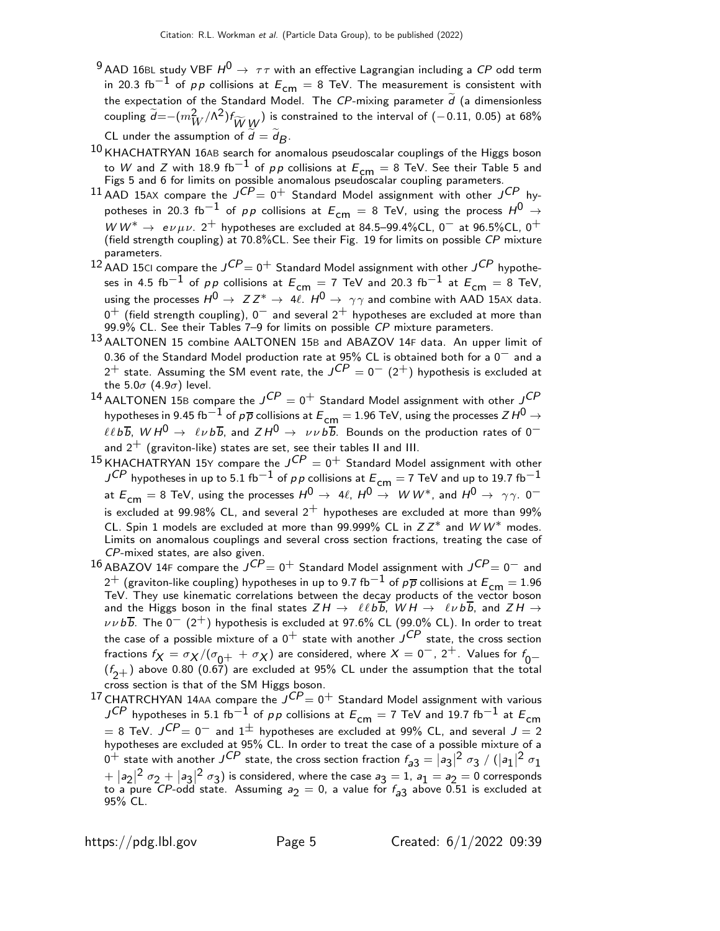- <sup>9</sup> AAD 16BL study VBF  $H^0 \rightarrow \tau \tau$  with an effective Lagrangian including a CP odd term in 20.3 fb<sup>-1</sup> of pp collisions at  $E_{cm} = 8$  TeV. The measurement is consistent with the expectation of the Standard Model. The CP-mixing parameter  $d$  (a dimensionless coupling  $\widetilde{d}$ =−( $m_W^2/\Lambda^2$ ) $f_{\widetilde{W}}$   $\stackrel{1}{\widetilde{W}}$ ) is constrained to the interval of (−0.11, 0.05) at 68% CL under the assumption of  $d = d_B$ .
- $10$  KHACHATRYAN 16AB search for anomalous pseudoscalar couplings of the Higgs boson to W and Z with 18.9 fb $^{-1}$  of  $\rho \rho$  collisions at  $E_{\mathsf{cm}}=8$  TeV. See their Table 5 and<br>Figs 5 and 6 for limits on possible anomalous pseudoscalar coupling parameters.
- $^{11}$  AAD 15AX compare the  ${\it J^{CP}} = 0^+$  Standard Model assignment with other  ${\it J^{CP}}$  hypotheses in 20.3 fb<sup>-1</sup> of pp collisions at  $E_{cm} = 8$  TeV, using the process  $H^0 \rightarrow$ W  $W^* \to e \nu \mu \nu$ . 2<sup>+</sup> hypotheses are excluded at 84.5–99.4%CL, 0<sup>-</sup> at 96.5%CL, 0<sup>+</sup> (field strength coupling) at 70.8%CL. See their Fig. 19 for limits on possible CP mixture parameters.
- $^{12}$  AAD 15CI compare the  $J^{CP}\!=0^+$  Standard Model assignment with other  $J^{CP}$  hypotheses in 4.5 fb<sup>-1</sup> of pp collisions at  $E_{cm} = 7$  TeV and 20.3 fb<sup>-1</sup> at  $E_{cm} = 8$  TeV, using the processes  $H^0 \rightarrow Z Z^* \rightarrow 4\ell$ .  $H^0 \rightarrow \gamma \gamma$  and combine with AAD 15AX data.  $0^+$  (field strength coupling),  $0^-$  and several  $2^+$  hypotheses are excluded at more than  $99.9\%$  CL. See their Tables 7–9 for limits on possible CP mixture parameters.
- 13 AALTONEN 15 combine AALTONEN 15B and ABAZOV 14F data. An upper limit of 0.36 of the Standard Model production rate at  $95\%$  CL is obtained both for a  $0^-$  and a  $2^+$  state. Assuming the SM event rate, the  ${\it J^{CP}}=0^- \,\, (2^+)$  hypothesis is excluded at the  $5.0\sigma$  (4.9 $\sigma$ ) level.
- $^{14}$  AALTONEN 15B compare the  $J^{CP}=0^+$  Standard Model assignment with other  $J^{CP}$ hypotheses in 9.45 fb $^{-1}$  of  $\rho\overline{\rho}$  collisions at  $E_{\sf cm}$   $=$  1.96 TeV, using the processes Z  $H^0$   $\rightarrow$  $\ell\ell b\overline{b}$ ,  $WH^0 \rightarrow \ell\nu b\overline{b}$ , and  $ZH^0 \rightarrow \nu\nu b\overline{b}$ . Bounds on the production rates of 0<sup>-</sup> and  $2^+$  (graviton-like) states are set, see their tables II and III.
- $^{15}$ KHACHATRYAN 15Y compare the  $J^{CP}=0^+$  Standard Model assignment with other  $J^{CP}$  hypotheses in up to 5.1 fb $^{-1}$  of pp collisions at  $E_{\textsf{cm}}=$  7 TeV and up to 19.7 fb $^{-1}$ at  $E_{cm} = 8$  TeV, using the processes  $H^0 \rightarrow 4\ell$ ,  $H^0 \rightarrow W W^*$ , and  $H^0 \rightarrow \gamma \gamma$ . 0<sup>-1</sup> is excluded at 99.98% CL, and several  $2^+$  hypotheses are excluded at more than 99% CL. Spin 1 models are excluded at more than 99.999% CL in  $Z Z^*$  and  $W W^*$  modes. Limits on anomalous couplings and several cross section fractions, treating the case of CP-mixed states, are also given.
- $^{16}$  ABAZOV 14F compare the  $J^{CP}\!\!=0^+$  Standard Model assignment with  $J^{CP}\!\!=0^-$  and 2<sup>+</sup> (graviton-like coupling) hypotheses in up to 9.7 fb<sup>-1</sup> of  $p\overline{p}$  collisions at  $E_{cm} = 1.96$ TeV. They use kinematic correlations between the decay products of the vector boson and the Higgs boson in the final states  $ZH\rightarrow \;\;\ell\ell bb$ ,  $WH\rightarrow \;\;\ell\nu bb$ , and  $ZH\rightarrow$  $\nu\nu b\overline{b}$ . The 0<sup>-</sup> (2<sup>+</sup>) hypothesis is excluded at 97.6% CL (99.0% CL). In order to treat the case of a possible mixture of a  $0^+$  state with another  $\overline{J^{CP}}$  state, the cross section fractions  $f_X = \sigma_X/(\sigma_{0+} + \sigma_X)$  are considered, where  $X = 0^-$ ,  $2^+$ . Values for  $f_{0-}$  $(f_{2+})$  above 0.80 (0.67) are excluded at 95% CL under the assumption that the total cross section is that of the SM Higgs boson.
- $^{17}$ CHATRCHYAN 14AA compare the  $J^{CP}\!\!=0^+$  Standard Model assignment with various  $J^{CP}$  hypotheses in 5.1 fb<sup>-1</sup> of pp collisions at  $E_{cm} = 7$  TeV and 19.7 fb<sup>-1</sup> at  $E_{cm}$  $= 8$  TeV.  $J^{CP} = 0^-$  and  $1^{\pm}$  hypotheses are excluded at 99% CL, and several  $J = 2$ hypotheses are excluded at 95% CL. In order to treat the case of a possible mixture of a  $0^+$  state with another  $J^{CP}$  state, the cross section fraction  $f_{a3} = |a_3|^2 \sigma_3 / (|a_1|^2 \sigma_1)$  $\frac{1}{2} + |a_2|^2 \sigma_2 + |a_3|^2 \sigma_3$ ) is considered, where the case  $a_3 = 1$ ,  $a_1 = a_2 = 0$  corresponds to a pure CP-odd state. Assuming  $a_2 = 0$ , a value for  $f_{a3}$  above 0.51 is excluded at 95% CL.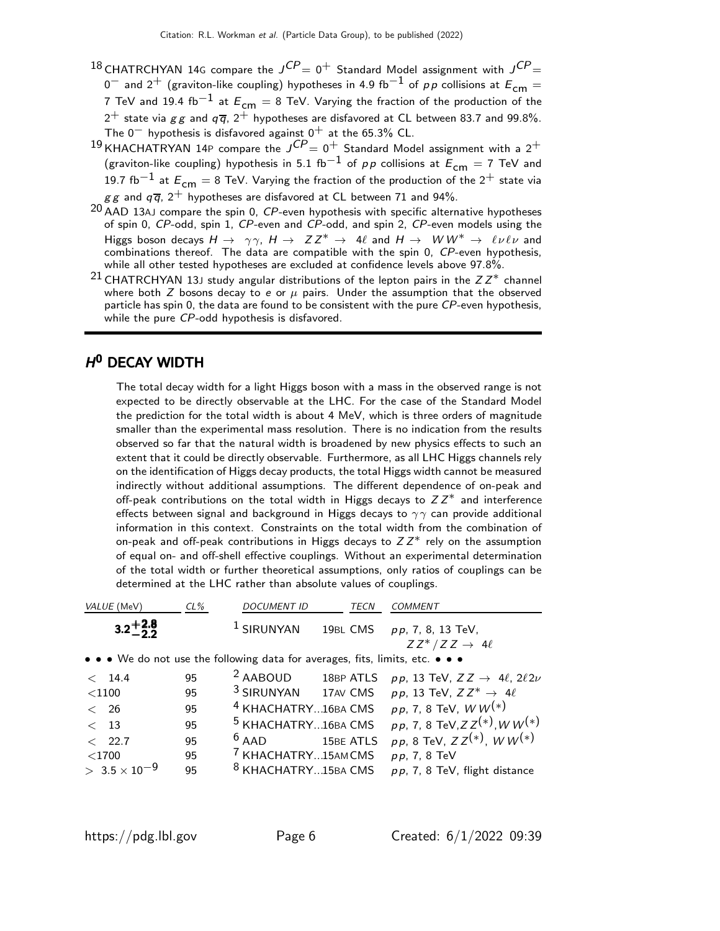- $^{18}$ CHATRCHYAN 14G compare the  ${\it J^{CP}} = 0^+$  Standard Model assignment with  ${\it J^{CP}} =$ 0<sup>-</sup> and 2<sup>+</sup> (graviton-like coupling) hypotheses in 4.9 fb<sup>-1</sup> of pp collisions at  $E_{cm}$  = 7 TeV and 19.4 fb<sup>-1</sup> at  $E_{cm} = 8$  TeV. Varying the fraction of the production of the  $2^+$  state via g g and  $q\bar{q}$ ,  $2^+$  hypotheses are disfavored at CL between 83.7 and 99.8%. The  $0^-$  hypothesis is disfavored against  $0^+$  at the 65.3% CL.
- $^{19}$ KHACHATRYAN 14P compare the  ${\it J^{CP}} = 0^+$  Standard Model assignment with a  $2^+$ (graviton-like coupling) hypothesis in 5.1 fb $^{-1}$  of  $pp$  collisions at  $E_{\mathsf{cm}}=7$  TeV and 19.7 fb<sup>-1</sup> at  $E_{cm} = 8$  TeV. Varying the fraction of the production of the 2<sup>+</sup> state via  $gg$  and  $q\bar{q}$ ,  $2^{+}$  hypotheses are disfavored at CL between 71 and 94%.
- AAD 13AJ compare the spin 0, CP-even hypothesis with specific alternative hypotheses of spin 0, CP-odd, spin 1, CP-even and CP-odd, and spin 2, CP-even models using the Higgs boson decays  $H \to \gamma \gamma$ ,  $H \to ZZ^* \to 4\ell$  and  $H \to WW^* \to \ell \nu \ell \nu$  and combinations thereof. The data are compatible with the spin 0, CP-even hypothesis, while all other tested hypotheses are excluded at confidence levels above 97.8%.
- 21 CHATRCHYAN 13J study angular distributions of the lepton pairs in the  $ZZ^*$  channel where both  $Z$  bosons decay to e or  $\mu$  pairs. Under the assumption that the observed particle has spin 0, the data are found to be consistent with the pure  $\mathcal{CP}$ -even hypothesis, while the pure CP-odd hypothesis is disfavored.

# $H^0$  DECAY WIDTH

The total decay width for a light Higgs boson with a mass in the observed range is not expected to be directly observable at the LHC. For the case of the Standard Model the prediction for the total width is about 4 MeV, which is three orders of magnitude smaller than the experimental mass resolution. There is no indication from the results observed so far that the natural width is broadened by new physics effects to such an extent that it could be directly observable. Furthermore, as all LHC Higgs channels rely on the identification of Higgs decay products, the total Higgs width cannot be measured indirectly without additional assumptions. The different dependence of on-peak and off-peak contributions on the total width in Higgs decays to  $ZZ^*$  and interference effects between signal and background in Higgs decays to  $\gamma\gamma$  can provide additional information in this context. Constraints on the total width from the combination of on-peak and off-peak contributions in Higgs decays to  $ZZ^*$  rely on the assumption of equal on- and off-shell effective couplings. Without an experimental determination of the total width or further theoretical assumptions, only ratios of couplings can be determined at the LHC rather than absolute values of couplings.

| VALUE (MeV)                                                                   | $CL\%$ | <b>DOCUMENT ID</b>             | TECN      | <b>COMMENT</b>                                                                     |
|-------------------------------------------------------------------------------|--------|--------------------------------|-----------|------------------------------------------------------------------------------------|
| $3.2 + 2.8$                                                                   |        | $1$ SIRUNYAN                   |           | 19BL CMS pp, 7, 8, 13 TeV,                                                         |
|                                                                               |        |                                |           | $ZZ^*/ZZ \rightarrow 4\ell$                                                        |
| • • • We do not use the following data for averages, fits, limits, etc. • • • |        |                                |           |                                                                                    |
| < 14.4                                                                        | 95     |                                |           | <sup>2</sup> AABOUD 18BP ATLS $pp$ , 13 TeV, $ZZ \rightarrow 4\ell$ , $2\ell 2\nu$ |
| ${<}1100$                                                                     | 95     |                                |           | <sup>3</sup> SIRUNYAN 17AV CMS $pp$ , 13 TeV, $ZZ^* \rightarrow 4\ell$             |
| $\langle$ 26                                                                  | 95     | <sup>4</sup> KHACHATRY16BA CMS |           | <i>pp</i> , 7, 8 TeV, $WW(*)$                                                      |
| $<$ 13                                                                        | 95     | <sup>5</sup> KHACHATRY16BA CMS |           | pp, 7, 8 TeV, $ZZ^{(*)}$ , $WW^{(*)}$                                              |
| < 22.7                                                                        | 95     | $6$ AAD                        | 15BE ATLS | $pp, 8$ TeV, $ZZ^{(*)}$ , W W <sup>(*)</sup>                                       |
| $<$ 1700                                                                      | 95     | <sup>7</sup> KHACHATRY15AMCMS  |           | $pp, 7, 8$ TeV                                                                     |
| $> 3.5 \times 10^{-9}$                                                        | 95     | <sup>8</sup> KHACHATRY15BA CMS |           | $pp$ , 7, 8 TeV, flight distance                                                   |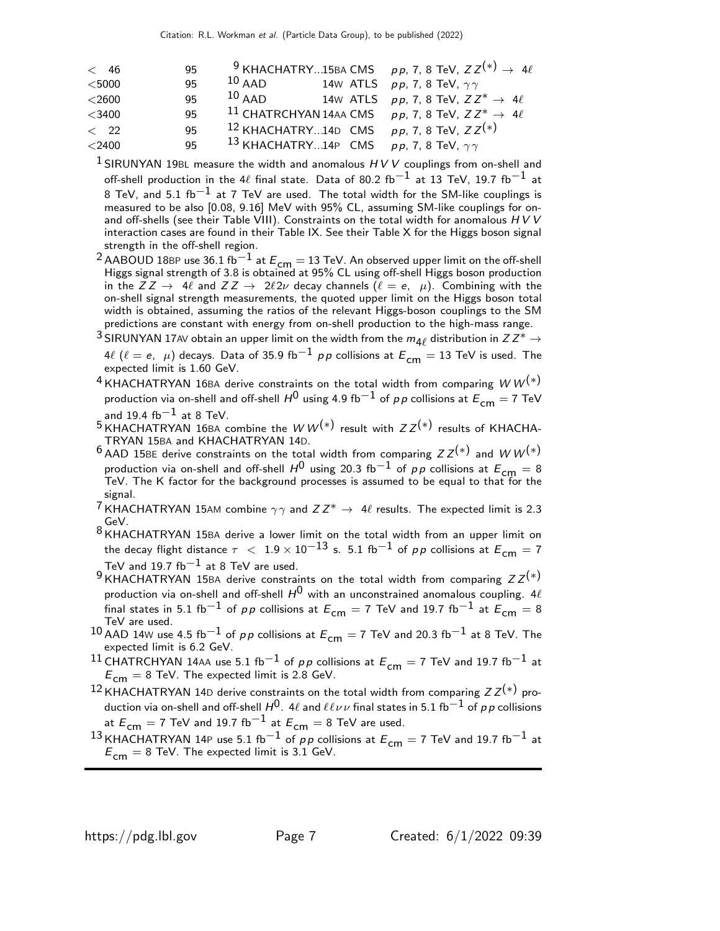| $\langle$ 46 | 95 |          |  | <sup>9</sup> KHACHATRY15BA CMS pp, 7, 8 TeV, $ZZ^{(*)} \rightarrow 4\ell$ |
|--------------|----|----------|--|---------------------------------------------------------------------------|
| $<$ 5000     | 95 | $10$ AAD |  | 14W ATLS $pp$ , 7, 8 TeV, $\gamma\gamma$                                  |
| $<$ 2600     | 95 | $10$ AAD |  | 14W ATLS $pp, 7, 8$ TeV, $ZZ^* \rightarrow 4\ell$                         |
| $<$ 3400     | 95 |          |  | <sup>11</sup> CHATRCHYAN 14AA CMS pp. 7, 8 TeV, $ZZ^* \rightarrow 4\ell$  |
| $\langle$ 22 | 95 |          |  | <sup>12</sup> KHACHATRY14D CMS $pp$ , 7, 8 TeV, $ZZ^{(*)}$                |
| $<$ 2400     | 95 |          |  | 13 KHACHATRY14P CMS $pp$ , 7, 8 TeV, $\gamma\gamma$                       |

<sup>1</sup> SIRUNYAN 19BL measure the width and anomalous  $HVV$  couplings from on-shell and off-shell production in the 4 $\ell$  final state. Data of 80.2 fb<sup>-1</sup> at 13 TeV, 19.7 fb<sup>-1</sup> at 8 TeV, and 5.1 fb<sup>-1</sup> at 7 TeV are used. The total width for the SM-like couplings is measured to be also [0.08, 9.16] MeV with 95% CL, assuming SM-like couplings for onand off-shells (see their Table VIII). Constraints on the total width for anomalous  $HVV$ interaction cases are found in their Table IX. See their Table X for the Higgs boson signal strength in the off-shell region.

<sup>2</sup> AABOUD 18BP use 36.1 fb<sup>−1</sup> at  $E_{\text{cm}}$  = 13 TeV. An observed upper limit on the off-shell<br>Higgs signal strength of 3.8 is obtained at 95% CL using off-shell Higgs boson production in the  $\overline{Z}Z \to 4\ell$  and  $ZZ \to 2\ell 2\nu$  decay channels  $(\ell = e, \mu)$ . Combining with the on-shell signal strength measurements, the quoted upper limit on the Higgs boson total width is obtained, assuming the ratios of the relevant Higgs-boson couplings to the SM predictions are constant with energy from on-shell production to the high-mass range.

<sup>3</sup> SIRUNYAN 17AV obtain an upper limit on the width from the  $m_{4\ell}$  distribution in  $Z Z^* \to$ 4 $\ell$  ( $\ell = e$ ,  $\mu$ ) decays. Data of 35.9 fb $^{-1}$  pp collisions at  $E_{cm} = 13$  TeV is used. The expected limit is 1.60 GeV.

- $^4$ KHACHATRYAN 16BA derive constraints on the total width from comparing  $W\,W^{(*)}$ production via on-shell and off-shell  $H^0$  using 4.9 fb $^{-1}$  of  $\rho \, \rho$  collisions at  $E^{}_{\mathsf{cm}}=$  7 TeV and 19.4 fb $^{-1}$  at 8 TeV.
- $5$ KHACHATRYAN 16BA combine the WW<sup>(\*)</sup> result with  $ZZ^{(*)}$  results of KHACHA-TRYAN 15BA and KHACHATRYAN 14D.
- 6 AAD 15BE derive constraints on the total width from comparing  $ZZ^{(*)}$  and  $WW^{(*)}$ production via on-shell and off-shell  $H^0$  using 20.3 fb $^{-1}$  of  $\rho\,p$  collisions at  $E_{\mathsf{cm}}=8$  TeV. The K factor for the background processes is assumed to be equal to that for the signal.
- <sup>7</sup> KHACHATRYAN 15AM combine  $\gamma\gamma$  and  $ZZ^* \to 4\ell$  results. The expected limit is 2.3 GeV.
- $8$ KHACHATRYAN 15BA derive a lower limit on the total width from an upper limit on the decay flight distance  $\tau~<~1.9\times 10^{-13}$  s. 5.1 fb $^{-1}$  of  $\rho\,p$  collisions at  $E_{\mathsf{cm}}=7$ TeV and 19.7 fb $^{-1}$  at 8 TeV are used.
- 9 KHACHATRYAN 15BA derive constraints on the total width from comparing  $ZZ^{(*)}$ production via on-shell and off-shell  $H^0$  with an unconstrained anomalous coupling. 4 $\ell$ final states in 5.1 fb<sup>-1</sup> of pp collisions at  $E_{cm} = 7$  TeV and 19.7 fb<sup>-1</sup> at  $E_{cm} = 8$ TeV are used.
- 10 AAD 14W use 4.5 fb<sup>-1</sup> of pp collisions at  $E_{cm} = 7$  TeV and 20.3 fb<sup>-1</sup> at 8 TeV. The expected limit is 6.2 GeV.
- 11 CHATRCHYAN 14AA use 5.1 fb<sup>-1</sup> of pp collisions at  $E_{cm} = 7$  TeV and 19.7 fb<sup>-1</sup> at  $E_{\text{cm}} = 8$  TeV. The expected limit is 2.8 GeV.
- 12 KHACHATRYAN 14D derive constraints on the total width from comparing  $Z Z^{(*)}$  production via on-shell and off-shell  $H^0$ . 4 $\ell$  and  $\ell\ell\nu\nu$  final states in 5.1 fb<sup>-1</sup> of pp collisions at  $E_{cm} = 7$  TeV and 19.7 fb<sup>-1</sup> at  $E_{cm} = 8$  TeV are used.
- 13 KHACHATRYAN 14P use 5.1 fb<sup>-1</sup> of pp collisions at  $E_{cm} = 7$  TeV and 19.7 fb<sup>-1</sup> at  $E_{cm} = 8$  TeV. The expected limit is 3.1 GeV.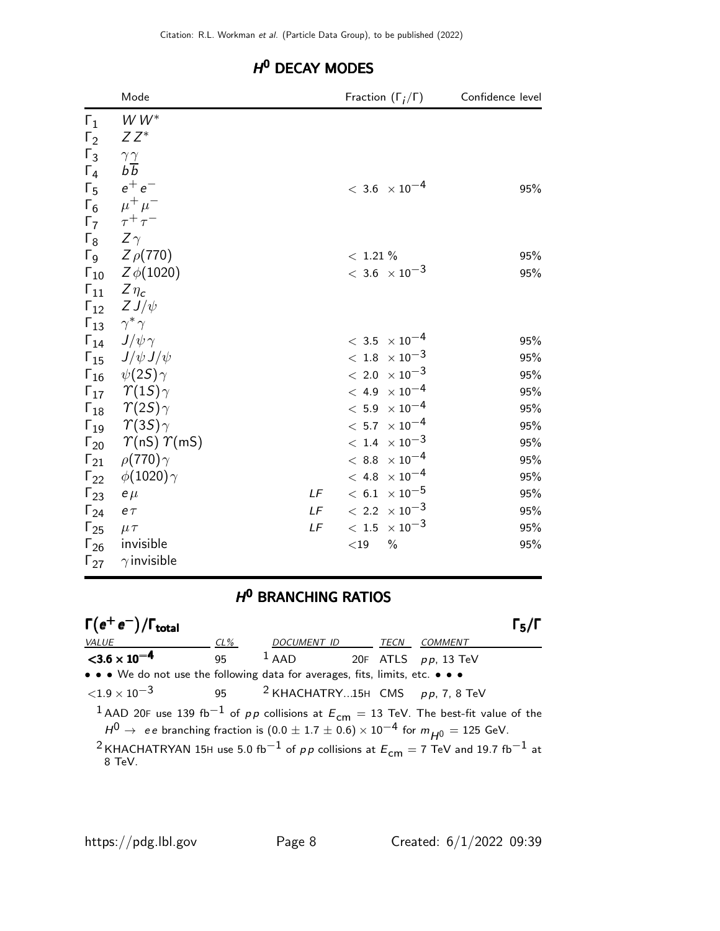|                       | Mode                                      |    |                           | Fraction $(\Gamma_i/\Gamma)$                   | Confidence level |
|-----------------------|-------------------------------------------|----|---------------------------|------------------------------------------------|------------------|
| $\Gamma_1$            | $WW^*$                                    |    |                           |                                                |                  |
| $\Gamma_2$            | $ZZ^*$                                    |    |                           |                                                |                  |
| $\Gamma_3$            | $\gamma\, \gamma$                         |    |                           |                                                |                  |
| $\Gamma_4$            | $b\overline{b}$                           |    |                           |                                                |                  |
| $\Gamma_5$            | $e^+e^-$                                  |    |                           | $<\,3.6\phantom{0}\times10^{-4}$               | 95%              |
|                       | $\Gamma_6$ $\mu^+ \mu^-$                  |    |                           |                                                |                  |
|                       | $\Gamma_7$ $\tau^+\tau^-$                 |    |                           |                                                |                  |
| $\Gamma_8$ Z $\gamma$ |                                           |    |                           |                                                |                  |
|                       | $Γ_9$ $Z$ $ρ$ (770)                       |    | $< 1.21 \%$               |                                                | 95%              |
|                       | $\Gamma_{10}$ Z $\phi(1020)$              |    |                           | $<\,3.6\phantom{.0}\times 10^{-3}$             | 95%              |
|                       | $\Gamma_{11}$ $Z\eta_c$                   |    |                           |                                                |                  |
|                       | $\Gamma_{12}$ Z J/ $\psi$                 |    |                           |                                                |                  |
|                       | $\Gamma_{13}$ $\gamma^* \gamma$           |    |                           |                                                |                  |
|                       | $\Gamma_{14}$ $J/\psi \gamma$             |    |                           | $<\,3.5\phantom{00}\times 10^{-4}$             | 95%              |
|                       | $\Gamma_{15}$ $J/\psi J/\psi$             |    |                           | $<\,1.8\phantom{.0}\times 10^{-3}$             | 95%              |
|                       | $\Gamma_{16}$ $\psi(2S)\gamma$            |    |                           | $< 2.0 \times 10^{-3}$                         | 95%              |
|                       | $\Gamma_{17}$ $\gamma(15)\gamma$          |    |                           | $<\,$ 4.9 $\,\times\,10^{-4}$                  | 95%              |
|                       | $\Gamma_{18}$ $\gamma(2S)\gamma$          |    |                           | $<\hspace{1mm} 5.9 \hspace{1mm}\times 10^{-4}$ | 95%              |
|                       | $\Gamma_{19}$ $\gamma$ (35) $\gamma$      |    |                           | $<\,5.7\phantom{0}\times 10^{-4}$              | 95%              |
|                       | $\Gamma_{20}$ $\gamma$ (nS) $\gamma$ (mS) |    |                           | $<\,1.4\phantom{0}\times 10^{-3}$              | 95%              |
|                       | $\Gamma_{21}$ $\rho(770)\gamma$           |    |                           | $< 8.8~\times 10^{-4}$                         | 95%              |
|                       | $\Gamma_{22}$ $\phi(1020)\gamma$          |    |                           | $< 4.8 \times 10^{-4}$                         | 95%              |
| $\Gamma_{23}$ e $\mu$ |                                           | LF |                           | $< 6.1 \times 10^{-5}$                         | 95%              |
| $\Gamma_{24}$         | $e\,\tau$                                 |    | LF $< 2.2 \times 10^{-3}$ |                                                | 95%              |
| $\Gamma_{25}$         | $\mu \tau$                                | LF | $< 1.5\ \times 10^{-3}$   |                                                | 95%              |
|                       | $\Gamma_{26}$ invisible                   |    | $<$ 19                    | $\frac{0}{0}$                                  | 95%              |
|                       | $\Gamma_{27}$ $\gamma$ invisible          |    |                           |                                                |                  |

# H<sup>O</sup> DECAY MODES

# H<sup>O</sup> BRANCHING RATIOS

| $\Gamma(e^+e^-)/\Gamma_{\rm total}$                                                                                               |     |                                |  |      |                | $\Gamma_5$ /I |  |
|-----------------------------------------------------------------------------------------------------------------------------------|-----|--------------------------------|--|------|----------------|---------------|--|
| VALUE                                                                                                                             | CL% | DOCUMENT ID                    |  | TECN | <i>COMMENT</i> |               |  |
| $<$ 3.6 $\times$ 10 <sup>-4</sup>                                                                                                 | 95  | $1$ AAD 20F ATLS $pp$ , 13 TeV |  |      |                |               |  |
| • • • We do not use the following data for averages, fits, limits, etc. • • •                                                     |     |                                |  |      |                |               |  |
| $\langle 1.9 \times 10^{-3}$ 95 <sup>2</sup> KHACHATRY15H CMS pp, 7, 8 TeV                                                        |     |                                |  |      |                |               |  |
| <sup>1</sup> AAD 20F use 139 fb <sup>-1</sup> of pp collisions at $E_{cm} = 13$ TeV. The best-fit value of the                    |     |                                |  |      |                |               |  |
| $H^0 \rightarrow$ ee branching fraction is $(0.0 \pm 1.7 \pm 0.6) \times 10^{-4}$ for $m_{H^0} = 125$ GeV.                        |     |                                |  |      |                |               |  |
| <sup>2</sup> KHACHATRYAN 15H use 5.0 fb <sup>-1</sup> of pp collisions at $E_{cm} = 7$ TeV and 19.7 fb <sup>-1</sup> at<br>8 TeV. |     |                                |  |      |                |               |  |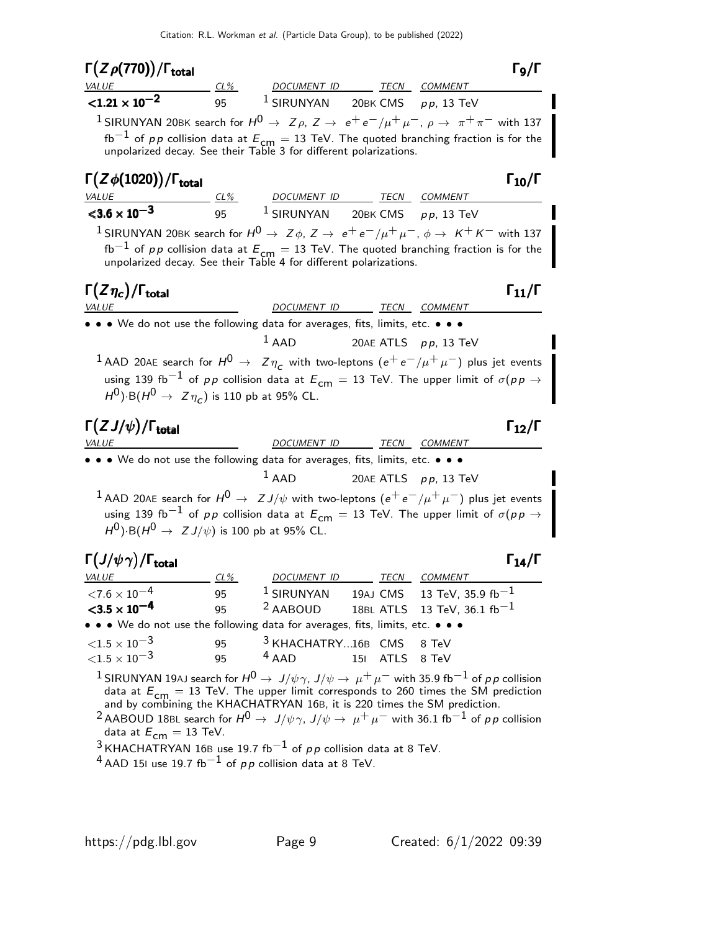| $\Gamma(Z\rho(770))/\Gamma_{\rm total}$                                                                                                                                                                                                                                                    |          |                                                                                                                                                                           |                         |                          | $\Gamma_{9}/\Gamma$  |
|--------------------------------------------------------------------------------------------------------------------------------------------------------------------------------------------------------------------------------------------------------------------------------------------|----------|---------------------------------------------------------------------------------------------------------------------------------------------------------------------------|-------------------------|--------------------------|----------------------|
| VALUE                                                                                                                                                                                                                                                                                      |          | TECN COMMENT ON THE COMMENT                                                                                                                                               |                         |                          |                      |
| $< 1.21 \times 10^{-2}$                                                                                                                                                                                                                                                                    |          | 95 <sup>1</sup> SIRUNYAN 20BK CMS $pp$ , 13 TeV                                                                                                                           |                         |                          |                      |
| <sup>1</sup> SIRUNYAN 20BK search for $H^0 \to Z\rho$ , $Z \to e^+e^-/\mu^+\mu^-$ , $\rho \to \pi^+\pi^-$ with 137                                                                                                                                                                         |          |                                                                                                                                                                           |                         |                          |                      |
|                                                                                                                                                                                                                                                                                            |          | fb <sup>-1</sup> of $p p$ collision data at $E_{cm} = 13$ TeV. The quoted branching fraction is for the unpolarized decay. See their Table 3 for different polarizations. |                         |                          |                      |
| $\Gamma(Z\phi(1020))/\Gamma_{\rm total}$                                                                                                                                                                                                                                                   |          |                                                                                                                                                                           |                         |                          | $\Gamma_{10}/\Gamma$ |
| $\frac{VALUE}{< 3.6 \times 10^{-3}}$                                                                                                                                                                                                                                                       |          | $\frac{CL\%}{\times 10^{-3}}$ $\frac{CL\%}{95}$ $\frac{DOCUMENT ID}{1$ SIRUNYAN 20BK CMS pp, 13 TeV                                                                       |                         |                          |                      |
|                                                                                                                                                                                                                                                                                            |          |                                                                                                                                                                           |                         |                          |                      |
| <sup>1</sup> SIRUNYAN 20BK search for $H^0 \to Z\phi$ , $Z \to e^+e^-/\mu^+\mu^-$ , $\phi \to K^+K^-$ with 137                                                                                                                                                                             |          | fb <sup>-1</sup> of pp collision data at $E_{cm} = 13$ TeV. The quoted branching fraction is for the<br>unpolarized decay. See their Table 4 for different polarizations. |                         |                          |                      |
| $\Gamma(Z\eta_c)/\Gamma_{\rm total}$                                                                                                                                                                                                                                                       |          |                                                                                                                                                                           |                         |                          | $\Gamma_{11}/\Gamma$ |
| <i>VALUE</i>                                                                                                                                                                                                                                                                               |          | <u>DOCUMENT ID TECN COMMENT</u>                                                                                                                                           |                         |                          |                      |
| • • • We do not use the following data for averages, fits, limits, etc. • • •                                                                                                                                                                                                              |          |                                                                                                                                                                           |                         |                          |                      |
| $^1$ AAD 20AE search for $H^0$ $\rightarrow$ $Z\eta_c$ with two-leptons $(e^+e^-/\mu^+\mu^-)$ plus jet events                                                                                                                                                                              |          | $1$ AAD                                                                                                                                                                   | 20AE ATLS $pp$ , 13 TeV |                          |                      |
| $H^0$ ) B( $H^0 \to Z \eta_c$ ) is 110 pb at 95% CL.<br>$\Gamma(ZJ/\psi)/\Gamma_{\rm total}$<br><i>VALUE</i>                                                                                                                                                                               |          | DOCUMENT ID TECN COMMENT                                                                                                                                                  |                         |                          | $\Gamma_{12}/\Gamma$ |
| • • We do not use the following data for averages, fits, limits, etc. • • •                                                                                                                                                                                                                |          |                                                                                                                                                                           |                         |                          |                      |
|                                                                                                                                                                                                                                                                                            |          | $1$ AAD                                                                                                                                                                   |                         | 20AE ATLS $p p$ , 13 TeV |                      |
| $^1$ AAD 20AE search for $H^0 \rightarrow Z J/\psi$ with two-leptons $(e^+e^-/\mu^+\mu^-)$ plus jet events                                                                                                                                                                                 |          |                                                                                                                                                                           |                         |                          |                      |
| $H^0$ ) B( $H^0 \to Z J/\psi$ ) is 100 pb at 95% CL.                                                                                                                                                                                                                                       |          | using 139 fb $^{-1}$ of pp collision data at $E_{\text{cm}}=$ 13 TeV. The upper limit of $\sigma(p p \rightarrow p)$                                                      |                         |                          |                      |
| $\Gamma(J/\psi\,\gamma)/\Gamma_{\rm total}$                                                                                                                                                                                                                                                |          |                                                                                                                                                                           |                         |                          | $\Gamma_{14}/\Gamma$ |
| <i>VALUE</i><br>${<}7.6\times10^{-4}$                                                                                                                                                                                                                                                      | $CL\%$   | DOCUMENT ID TECN COMMENT<br><sup>1</sup> SIRUNYAN                                                                                                                         | 19AJ CMS                | 13 TeV, 35.9 $fb^{-1}$   |                      |
| $<$ 3.5 $\times$ 10 <sup>-4</sup>                                                                                                                                                                                                                                                          | 95<br>95 | <sup>2</sup> AABOUD                                                                                                                                                       | 18BL ATLS               | 13 TeV, 36.1 $fb^{-1}$   |                      |
| • • • We do not use the following data for averages, fits, limits, etc. • • •                                                                                                                                                                                                              |          |                                                                                                                                                                           |                         |                          |                      |
| ${<}1.5\times10^{-3}$                                                                                                                                                                                                                                                                      | 95       | <sup>3</sup> KHACHATRY16B CMS                                                                                                                                             |                         | 8 TeV                    |                      |
| ${<}1.5\times10^{-3}$                                                                                                                                                                                                                                                                      | 95       | $4$ AAD                                                                                                                                                                   | <b>ATLS</b><br>151      | 8 TeV                    |                      |
| <sup>1</sup> SIRUNYAN 19AJ search for $H^0 \to J/\psi \gamma$ , $J/\psi \to \mu^+ \mu^-$ with 35.9 fb $^{-1}$ of pp collision<br><sup>2</sup> AABOUD 18BL search for $H^0 \to J/\psi \gamma$ , $J/\psi \to \mu^+ \mu^-$ with 36.1 fb $^{-1}$ of pp collision<br>data at $E_{cm} = 13$ TeV. |          | data at $E_{cm} = 13$ TeV. The upper limit corresponds to 260 times the SM prediction<br>and by combining the KHACHATRYAN 16B, it is 220 times the SM prediction.         |                         |                          |                      |

 $^3$ KHACHATRYAN 16B use 19.7 fb $^{-1}$  of  $\rho \rho$  collision data at 8 TeV.

 $^{4}$  AAD 15I use 19.7 fb $^{-1}$  of pp collision data at 8 TeV.

 $\blacksquare$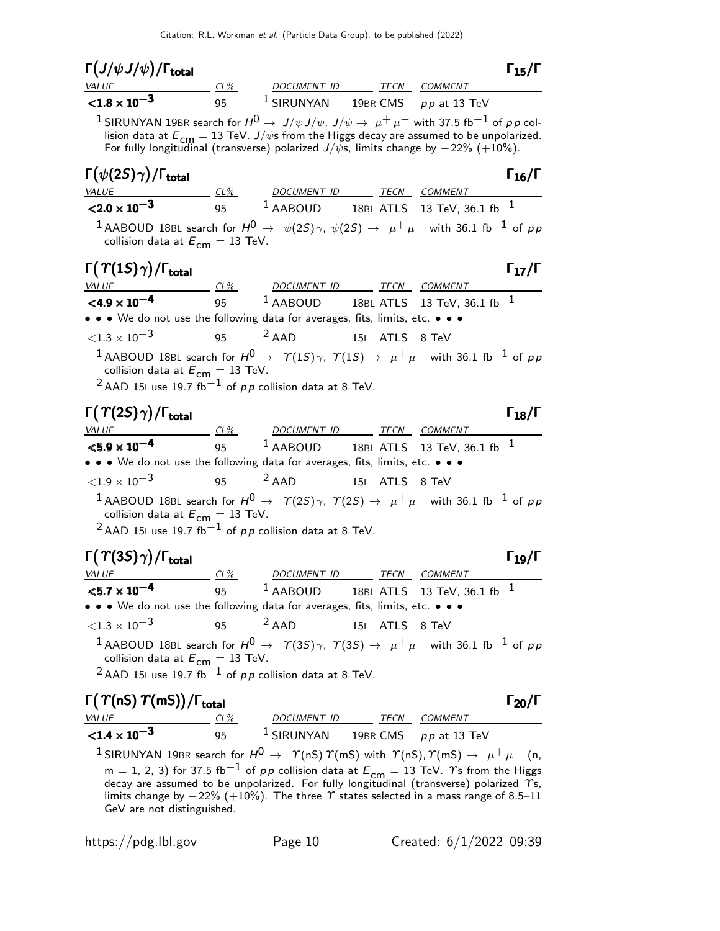| $\Gamma\big(J/\psi\,J/\psi\big)/\Gamma_{\rm total}$                                                                                                                                                                                                                                                                                                                                  |    |                                    |                |                                                                                                                                                                                                       | $\Gamma_{15}/\Gamma$ |
|--------------------------------------------------------------------------------------------------------------------------------------------------------------------------------------------------------------------------------------------------------------------------------------------------------------------------------------------------------------------------------------|----|------------------------------------|----------------|-------------------------------------------------------------------------------------------------------------------------------------------------------------------------------------------------------|----------------------|
| $\frac{VALUE}{1.8 \times 10^{-3}}$ $\frac{CL\%}{95}$ $\frac{DOCUMENT ID}{1.8 \times 10^{-3}}$ $\frac{TECN}{1.8 \times 10^{-3}}$ $\frac{C1\%}{1.8 \times 10^{-3}}$ $\frac{LOCUMENT ID}{1.8 \times 10^{-3}}$ $\frac{TECN}{1.8 \times 10^{-3}}$ $\frac{1.8 \times 10^{-3}}{1.8 \times 10^{-3}}$ $\frac{1.8 \times 10^{-3}}{1.8 \times 10^{-3}}$ $\frac{1.8 \times 10^{-3}}{1.8 \times $ |    |                                    |                |                                                                                                                                                                                                       |                      |
|                                                                                                                                                                                                                                                                                                                                                                                      |    |                                    |                |                                                                                                                                                                                                       |                      |
| $^1$ SIRUNYAN 19BR search for $H^0\to\ J/\psi\,J/\psi$ , $J/\psi\to\ \mu^+\,\mu^-$ with 37.5 fb $^{-1}$ of $\rho\,p$ col-                                                                                                                                                                                                                                                            |    |                                    |                | lision data at $E_{\text{cm}} = 13$ TeV. $J/\psi$ s from the Higgs decay are assumed to be unpolarized.<br>For fully longitudinal (transverse) polarized $J/\psi$ s, limits change by $-22\%$ (+10%). |                      |
| $\Gamma(\psi(2S)\gamma)/\Gamma_{\rm total}$                                                                                                                                                                                                                                                                                                                                          |    |                                    |                |                                                                                                                                                                                                       | $\Gamma_{16}/\Gamma$ |
| VALUE<br>$\times$ 2.0 x 10 <sup>-3</sup> 95<br>95 1 AABOUD 18BL ATLS 13 TeV, 36.1 fb <sup>-1</sup>                                                                                                                                                                                                                                                                                   |    |                                    |                |                                                                                                                                                                                                       |                      |
| 1 AABOUD 18BL search for $H^0 \rightarrow \psi(2S)\gamma$ , $\psi(2S) \rightarrow \mu^+ \mu^-$ with 36.1 fb <sup>-1</sup> of pp<br>collision data at $E_{cm} = 13$ TeV.                                                                                                                                                                                                              |    |                                    |                |                                                                                                                                                                                                       |                      |
| $\Gamma(\Upsilon(1S)\gamma)/\Gamma_{\rm total}$<br>VALUE CL% DOCUMENT ID TECN COMMENT                                                                                                                                                                                                                                                                                                |    |                                    |                |                                                                                                                                                                                                       | $\Gamma_{17}/\Gamma$ |
| $\leq$ 4.9 $\times$ 10 <sup>-4</sup> 95 <sup>1</sup> AABOUD 18BL ATLS 13 TeV, 36.1 fb <sup>-1</sup>                                                                                                                                                                                                                                                                                  |    |                                    |                |                                                                                                                                                                                                       |                      |
| • • • We do not use the following data for averages, fits, limits, etc. • • •                                                                                                                                                                                                                                                                                                        |    |                                    |                |                                                                                                                                                                                                       |                      |
| ${<}1.3\times10^{-3}$                                                                                                                                                                                                                                                                                                                                                                |    | 95 $^2$ AAD                        | 151 ATLS 8 TeV |                                                                                                                                                                                                       |                      |
| $^1$ AABOUD 18BL search for $H^0$ $\rightarrow$ $\hspace{0.2cm}$ $\Upsilon(1S)\gamma, \hspace{0.2cm}$ $\Upsilon(1S)$ $\rightarrow$ $\hspace{0.2cm}$ $\mu^+ \mu^-$ with 36.1 fb $^{-1}$ of $\rho$ $\rho$<br>collision data at $E_{\text{cm}} = 13$ TeV.<br>$^2$ AAD 151 use 19.7 fb $^{-1}$ of pp collision data at 8 TeV.                                                            |    |                                    |                |                                                                                                                                                                                                       |                      |
| $\Gamma(\Upsilon(2S)\gamma)/\Gamma_{\rm total}$                                                                                                                                                                                                                                                                                                                                      |    |                                    |                |                                                                                                                                                                                                       | $\Gamma_{18}/\Gamma$ |
| $\frac{VALUE}{5.9 \times 10^{-4}}$ $\frac{CL\%}{95}$ $\frac{DOCUMENT ID}{1}$ $\frac{TECN}{18BL ATLS}$ $\frac{COMMENT}{13}$ $\frac{TOMMENT}{16}$                                                                                                                                                                                                                                      |    |                                    |                |                                                                                                                                                                                                       |                      |
|                                                                                                                                                                                                                                                                                                                                                                                      |    |                                    |                |                                                                                                                                                                                                       |                      |
| • • • We do not use the following data for averages, fits, limits, etc. • • •                                                                                                                                                                                                                                                                                                        |    |                                    |                |                                                                                                                                                                                                       |                      |
| ${<}1.9\times10^{-3}$                                                                                                                                                                                                                                                                                                                                                                |    | 95 <sup>2</sup> AAD 151 ATLS 8 TeV |                |                                                                                                                                                                                                       |                      |
| $^1$ AABOUD 18BL search for $H^0$ $\rightarrow$ $\,$ $\varUpsilon(2S)$ $\gamma ,\,\, \varUpsilon(2S)$ $\rightarrow$ $\, \mu^+\, \mu^-$ with 36.1 fb $^{-1}$ of $\rho\, p$<br>collision data at $E_{\text{cm}} = 13$ TeV.<br><sup>2</sup> AAD 151 use 19.7 fb <sup>-1</sup> of $p p$ collision data at 8 TeV.                                                                         |    |                                    |                |                                                                                                                                                                                                       |                      |
| $\Gamma(\Upsilon(3S)\gamma)/\Gamma_{\rm total}$<br>VALUE CL% DOCUMENT ID TECN COMMENT                                                                                                                                                                                                                                                                                                |    |                                    |                |                                                                                                                                                                                                       | $\Gamma_{19}/\Gamma$ |
| $<$ 5.7 $\times 10^{-4}$                                                                                                                                                                                                                                                                                                                                                             | 95 | <sup>1</sup> AABOUD                |                | 18BL ATLS 13 TeV, 36.1 $fb^{-1}$                                                                                                                                                                      |                      |
| • • • We do not use the following data for averages, fits, limits, etc. • • •                                                                                                                                                                                                                                                                                                        |    |                                    |                |                                                                                                                                                                                                       |                      |
| ${<}1.3\times10^{-3}$                                                                                                                                                                                                                                                                                                                                                                | 95 | $2$ AAD                            | 15  ATLS 8 TeV |                                                                                                                                                                                                       |                      |
| $^1$ AABOUD 18BL search for $H^0$ $\rightarrow$ $\,$ $\varUpsilon(3S)\gamma,\,$ $\varUpsilon(3S)\rightarrow$ $\,\mu^+\,\mu^-$ with 36.1 fb $^{-1}$ of $\rho\,\rho$<br>collision data at $E_{cm} = 13$ TeV.                                                                                                                                                                           |    |                                    |                |                                                                                                                                                                                                       |                      |
| $^2$ AAD 151 use 19.7 fb $^{-1}$ of pp collision data at 8 TeV.                                                                                                                                                                                                                                                                                                                      |    |                                    |                |                                                                                                                                                                                                       |                      |

|  |  |  |  |  |  | $\Gamma(\Upsilon(nS)\Upsilon(mS))/\Gamma_{\text{total}}$ |
|--|--|--|--|--|--|----------------------------------------------------------|
|--|--|--|--|--|--|----------------------------------------------------------|

| $\Gamma(\varUpsilon(\mathsf{nS})\varUpsilon(\mathsf{mS}))/\Gamma_{\mathsf{total}}$ |     |                       |      |                         | $\Gamma_{20}/I$ |
|------------------------------------------------------------------------------------|-----|-----------------------|------|-------------------------|-----------------|
| <i>VALUE</i>                                                                       | CL% | <i>DOCUMENT ID</i>    | TECN | COMMENT                 |                 |
| $< 1.4 \times 10^{-3}$                                                             | 95  | <sup>1</sup> SIRUNYAN |      | 19BR CMS $pp$ at 13 TeV |                 |

 $^1$ SIRUNYAN 19BR search for  $H^0\to$   $\;\gamma$ (nS)  $\gamma$ (mS) with  $\;\gamma$ (nS),  $\gamma$ (mS)  $\to$   $\;\mu^+\,\mu^-$  (n,  $m = 1, 2, 3$ ) for 37.5 fb $^{-1}$  of  $p \, p$  collision data at  $E_{\mathsf{cm}} = 13$  TeV.  $\varUpsilon$ s from the Higgs<br>decay are assumed to be unpolarized. For fully longitudinal (transverse) polarized  $\varUpsilon$ s, limits change by  $-22\%$   $(+10\%)$ . The three  $\varUpsilon$  states selected in a mass range of 8.5–11 GeV are not distinguished.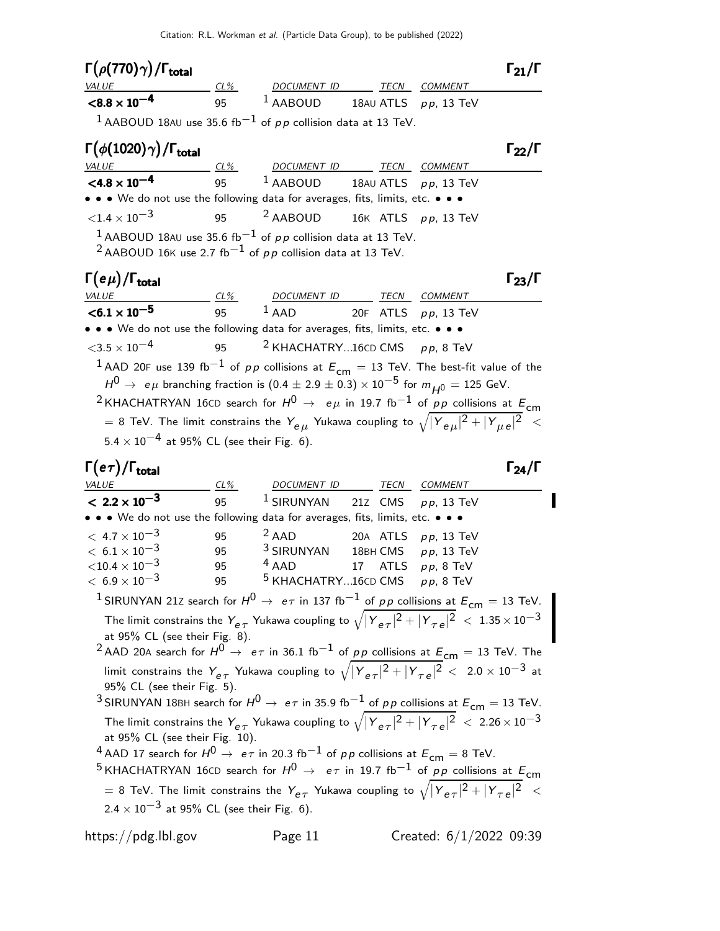Citation: R.L. Workman et al. (Particle Data Group), to be published (2022)

| $\Gamma(\rho(770)\gamma)/\Gamma_{\rm total}$                                                                                                                                                                        |                                                 |  | $\Gamma_{21}/\Gamma$ |
|---------------------------------------------------------------------------------------------------------------------------------------------------------------------------------------------------------------------|-------------------------------------------------|--|----------------------|
| <b>VALUE</b>                                                                                                                                                                                                        | <u>CL% DOCUMENT ID TECN COMMENT</u>             |  |                      |
| $\leq 8.8 \times 10^{-4}$ 95 <sup>1</sup> AABOUD 18AU ATLS pp, 13 TeV                                                                                                                                               |                                                 |  |                      |
| $1$ AABOUD 18AU use 35.6 fb $^{-1}$ of pp collision data at 13 TeV.                                                                                                                                                 |                                                 |  |                      |
| $\Gamma(\phi(1020)\gamma)/\Gamma_{\rm total}$                                                                                                                                                                       |                                                 |  | $\Gamma_{22}/\Gamma$ |
| VALUE $\frac{CL\%}{<\textbf{4.8} \times 10^{-4}}$ $\frac{CL\%}{95}$ $\frac{DOCUMENT ID}{4ABOUDD}$ TECN COMMENT<br>$\frac{TCN}{4.8 \times 10^{-4}}$ $\frac{1}{25}$ $\frac{1}{4}$ AABOUD 18AU ATLS <i>pp</i> , 13 TeV |                                                 |  |                      |
|                                                                                                                                                                                                                     |                                                 |  |                      |
| • • • We do not use the following data for averages, fits, limits, etc. • • •                                                                                                                                       |                                                 |  |                      |
| ${<}1.4 \times 10^{-3}$                                                                                                                                                                                             | 95 $\frac{2}{4}$ AABOUD 16K ATLS $p p$ , 13 TeV |  |                      |
| <sup>1</sup> AABOUD 18AU use 35.6 fb <sup>-1</sup> of $p p$ collision data at 13 TeV.<br><sup>2</sup> AABOUD 16K use 2.7 fb <sup>-1</sup> of $p p$ collision data at 13 TeV.                                        |                                                 |  |                      |
| $\Gamma(e\mu)/\Gamma_{\rm total}$                                                                                                                                                                                   |                                                 |  | $\Gamma_{23}/\Gamma$ |
| $< 6.1 \times 10^{-5}$                                                                                                                                                                                              | <u>CL% DOCUMENT ID TECN COMMENT</u>             |  |                      |
|                                                                                                                                                                                                                     | 95 $1$ AAD 20F ATLS $p p$ , 13 TeV              |  |                      |
| • • • We do not use the following data for averages, fits, limits, etc. • • •<br>$<$ 3.5 $\times$ 10 <sup>-4</sup>                                                                                                  |                                                 |  |                      |
|                                                                                                                                                                                                                     | 95 <sup>2</sup> KHACHATRY16CD CMS $pp$ , 8 TeV  |  |                      |
| <sup>1</sup> AAD 20F use 139 fb <sup>-1</sup> of pp collisions at $E_{cm} = 13$ TeV. The best-fit value of the                                                                                                      |                                                 |  |                      |
| $H^0 \rightarrow e\,\mu$ branching fraction is $(0.4 \pm 2.9 \pm 0.3) \times 10^{-5}$ for $m_{H^0} = 125$ GeV.                                                                                                      |                                                 |  |                      |
| <sup>2</sup> KHACHATRYAN 16CD search for $H^0 \rightarrow e\mu$ in 19.7 fb <sup>-1</sup> of pp collisions at $E_{cm}$                                                                                               |                                                 |  |                      |
| $\tau=$ 8 TeV. The limit constrains the $Y_{e\,\mu}$ Yukawa coupling to $\sqrt{ Y_{e\,\mu} ^2+ Y_{\mu\,e} ^2} \ < \tau$                                                                                             |                                                 |  |                      |
| $5.4 \times 10^{-4}$ at 95% CL (see their Fig. 6).                                                                                                                                                                  |                                                 |  |                      |
| $\Gamma(e\tau)/\Gamma_{\rm total}$                                                                                                                                                                                  |                                                 |  | $\Gamma_{24}/\Gamma$ |
| <i><b>VALUE</b></i>                                                                                                                                                                                                 | <u>CL% DOCUMENT ID TECN COMMENT</u>             |  |                      |
| $< 2.2 \times 10^{-3}$                                                                                                                                                                                              | 95 $1$ SIRUNYAN 21Z CMS $pp$ , 13 TeV           |  |                      |
| • • • We do not use the following data for averages, fits, limits, etc. • • •                                                                                                                                       |                                                 |  |                      |

| • • • We do not use the following data for averages, fits, limits, etc. • • •                                                                                                                                                                                                 |                                                                                                                       |                                    |                      |                                                                                                                                 |  |  |  |
|-------------------------------------------------------------------------------------------------------------------------------------------------------------------------------------------------------------------------------------------------------------------------------|-----------------------------------------------------------------------------------------------------------------------|------------------------------------|----------------------|---------------------------------------------------------------------------------------------------------------------------------|--|--|--|
| $< 4.7 \times 10^{-3}$                                                                                                                                                                                                                                                        | 95                                                                                                                    | $2$ AAD                            |                      | 20A ATLS $pp$ , 13 TeV                                                                                                          |  |  |  |
| $< 6.1 \times 10^{-3}$                                                                                                                                                                                                                                                        | 95                                                                                                                    | <sup>3</sup> SIRUNYAN              |                      | 18BH CMS pp, 13 TeV                                                                                                             |  |  |  |
| $<$ 10.4 $\times$ 10 $^{-3}$                                                                                                                                                                                                                                                  | 95                                                                                                                    | $4$ AAD                            | 17 ATLS $pp$ , 8 TeV |                                                                                                                                 |  |  |  |
| $< 6.9 \times 10^{-3}$                                                                                                                                                                                                                                                        | 95                                                                                                                    | $5$ KHACHATRY16CD CMS $pp$ , 8 TeV |                      |                                                                                                                                 |  |  |  |
|                                                                                                                                                                                                                                                                               |                                                                                                                       |                                    |                      | <sup>1</sup> SIRUNYAN 21Z search for $H^0 \rightarrow e\tau$ in 137 fb $^{-1}$ of pp collisions at $E^{}_{\mathsf{cm}}=13$ TeV. |  |  |  |
| The limit constrains the $Y_{e\tau}$ Yukawa coupling to $\sqrt{ Y_{e\tau} ^2+ Y_{\tau e} ^2} < 1.35 \times 10^{-3}$<br>at 95% CL (see their Fig. 8).<br><sup>2</sup> AAD 20A search for $H^0 \rightarrow e\tau$ in 36.1 fb $^{-1}$ of pp collisions at $E_{cm} = 13$ TeV. The |                                                                                                                       |                                    |                      |                                                                                                                                 |  |  |  |
|                                                                                                                                                                                                                                                                               |                                                                                                                       |                                    |                      |                                                                                                                                 |  |  |  |
| limit constrains the $Y_{e\tau}$ Yukawa coupling to $\sqrt{ Y_{e\tau} ^2+ Y_{\tau e} ^2} < 2.0 \times 10^{-3}$ at<br>95% CL (see their Fig. 5).                                                                                                                               |                                                                                                                       |                                    |                      |                                                                                                                                 |  |  |  |
|                                                                                                                                                                                                                                                                               |                                                                                                                       |                                    |                      | <sup>3</sup> SIRUNYAN 18BH search for $H^0 \rightarrow e\tau$ in 35.9 fb <sup>-1</sup> of pp collisions at $E_{cm} = 13$ TeV.   |  |  |  |
| The limit constrains the $Y_{e\tau}$ Yukawa coupling to $\sqrt{ Y_{e\tau} ^2+ Y_{\tau e} ^2}~<~2.26\times 10^{-3}$<br>at 95% CL (see their Fig. 10).                                                                                                                          |                                                                                                                       |                                    |                      |                                                                                                                                 |  |  |  |
|                                                                                                                                                                                                                                                                               | <sup>4</sup> AAD 17 search for $H^0 \rightarrow e\tau$ in 20.3 fb <sup>-1</sup> of pp collisions at $E_{cm} = 8$ TeV. |                                    |                      |                                                                                                                                 |  |  |  |
|                                                                                                                                                                                                                                                                               |                                                                                                                       |                                    |                      | <sup>5</sup> KHACHATRYAN 16CD search for $H^0 \rightarrow e\tau$ in 19.7 fb <sup>-1</sup> of pp collisions at $E_{cm}$          |  |  |  |
|                                                                                                                                                                                                                                                                               |                                                                                                                       |                                    |                      | = 8 TeV. The limit constrains the $Y_{e\tau}$ Yukawa coupling to $\sqrt{ Y_{e\tau} ^2+ Y_{\tau e} ^2}$ <                        |  |  |  |

 $2.4 \times 10^{-3}$  at 95% CL (see their Fig. 6).

 $\blacksquare$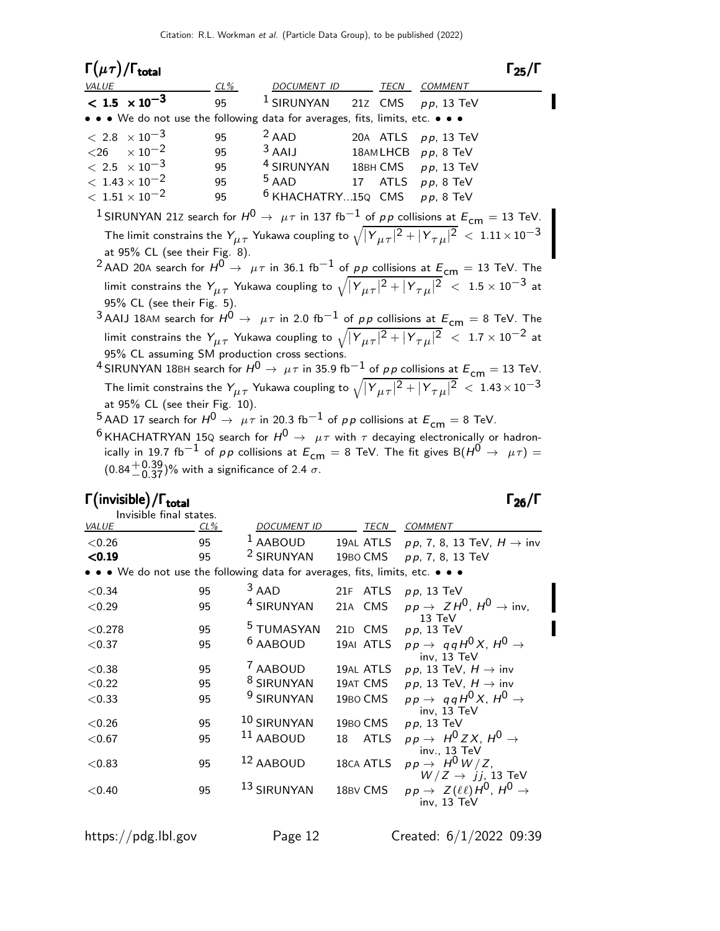| $\Gamma(\mu\tau)/\Gamma_{\rm total}$                                                                                                                                                                                                                                                                                                                                                                                                                                                                                                                                                                                                                                                                                                                                                                                                                                                          |     |                               |  |          | $\Gamma_{25}/\Gamma$                                                                                                                                                                                                               |  |
|-----------------------------------------------------------------------------------------------------------------------------------------------------------------------------------------------------------------------------------------------------------------------------------------------------------------------------------------------------------------------------------------------------------------------------------------------------------------------------------------------------------------------------------------------------------------------------------------------------------------------------------------------------------------------------------------------------------------------------------------------------------------------------------------------------------------------------------------------------------------------------------------------|-----|-------------------------------|--|----------|------------------------------------------------------------------------------------------------------------------------------------------------------------------------------------------------------------------------------------|--|
| <b>VALUE</b>                                                                                                                                                                                                                                                                                                                                                                                                                                                                                                                                                                                                                                                                                                                                                                                                                                                                                  | CL% | DOCUMENT ID                   |  | TECN     | <b>COMMENT</b>                                                                                                                                                                                                                     |  |
| $< 1.5 \times 10^{-3}$                                                                                                                                                                                                                                                                                                                                                                                                                                                                                                                                                                                                                                                                                                                                                                                                                                                                        | 95  | <sup>1</sup> SIRUNYAN         |  | 21z CMS  | $p p$ , 13 TeV                                                                                                                                                                                                                     |  |
| • • We do not use the following data for averages, fits, limits, etc. • •                                                                                                                                                                                                                                                                                                                                                                                                                                                                                                                                                                                                                                                                                                                                                                                                                     |     |                               |  |          |                                                                                                                                                                                                                                    |  |
| $< 2.8 \times 10^{-3}$                                                                                                                                                                                                                                                                                                                                                                                                                                                                                                                                                                                                                                                                                                                                                                                                                                                                        | 95  | $2$ AAD                       |  |          | 20A ATLS $pp$ , 13 TeV                                                                                                                                                                                                             |  |
| $\times$ 10 <sup>-2</sup><br>$<$ 26                                                                                                                                                                                                                                                                                                                                                                                                                                                                                                                                                                                                                                                                                                                                                                                                                                                           | 95  | $3$ AAIJ                      |  |          | 18AMLHCB pp, 8 TeV                                                                                                                                                                                                                 |  |
| $< 2.5 \times 10^{-3}$                                                                                                                                                                                                                                                                                                                                                                                                                                                                                                                                                                                                                                                                                                                                                                                                                                                                        | 95  | <sup>4</sup> SIRUNYAN         |  | 18BH CMS | $p p$ , 13 TeV                                                                                                                                                                                                                     |  |
| $< 1.43 \times 10^{-2}$                                                                                                                                                                                                                                                                                                                                                                                                                                                                                                                                                                                                                                                                                                                                                                                                                                                                       | 95  | $5$ AAD                       |  |          | 17 ATLS $pp$ , 8 TeV                                                                                                                                                                                                               |  |
| $<\rm~1.51\times 10^{-2}$                                                                                                                                                                                                                                                                                                                                                                                                                                                                                                                                                                                                                                                                                                                                                                                                                                                                     | 95  | <sup>6</sup> KHACHATRY15Q CMS |  |          | pp, 8 TeV                                                                                                                                                                                                                          |  |
|                                                                                                                                                                                                                                                                                                                                                                                                                                                                                                                                                                                                                                                                                                                                                                                                                                                                                               |     |                               |  |          |                                                                                                                                                                                                                                    |  |
| $^1$ SIRUNYAN 21Z search for $H^0\rightarrow\ \mu\tau$ in 137 fb $^{-1}$ of $\rho\,p$ collisions at $E^{}_{\mathsf{cm}}=13$ TeV. $\mid$<br>The limit constrains the $Y_{\mu\tau}$ Yukawa coupling to $\sqrt{ Y_{\mu\tau} ^2+ Y_{\tau\mu} ^2}$ < $1.11\times10^{-3}$<br>at 95% CL (see their Fig. 8).<br><sup>2</sup> AAD 20A search for $H^0 \rightarrow \mu \tau$ in 36.1 fb $^{-1}$ of pp collisions at $E_{cm} = 13$ TeV. The<br>limit constrains the $Y_{\mu\tau}$ Yukawa coupling to $\sqrt{ Y_{\mu\tau} ^2+ Y_{\tau\mu} ^2}$ < 1.5 × 10 <sup>-3</sup> at<br>95% CL (see their Fig. 5).<br>$^3$ AAIJ 18AM search for $H^0 \rightarrow \mu \tau$ in 2.0 fb $^{-1}$ of pp collisions at $E_{cm} = 8$ TeV. The<br>limit constrains the $Y_{\mu\tau}$ Yukawa coupling to $\sqrt{ Y_{\mu\tau} ^2 +  Y_{\tau\mu} ^2} < 1.7 \times 10^{-2}$ at<br>95% CL assuming SM production cross sections. |     |                               |  |          |                                                                                                                                                                                                                                    |  |
|                                                                                                                                                                                                                                                                                                                                                                                                                                                                                                                                                                                                                                                                                                                                                                                                                                                                                               |     |                               |  |          | <sup>4</sup> SIRUNYAN 18BH search for $H^0 \rightarrow \mu \tau$ in 35.9 fb $^{-1}$ of pp collisions at $E_{cm} = 13$ TeV.                                                                                                         |  |
| at 95% CL (see their Fig. 10).<br>$^5$ AAD 17 search for $H^0 \rightarrow \ \mu \tau$ in 20.3 fb $^{-1}$ of $\rho \rho$ collisions at $E^{}_{\mathsf{cm}}=$ 8 TeV.                                                                                                                                                                                                                                                                                                                                                                                                                                                                                                                                                                                                                                                                                                                            |     |                               |  |          | The limit constrains the $Y_{\mu\tau}$ Yukawa coupling to $\sqrt{ Y_{\mu\tau} ^2+ Y_{\tau\mu} ^2} < 1.43 \times 10^{-3}$                                                                                                           |  |
|                                                                                                                                                                                                                                                                                                                                                                                                                                                                                                                                                                                                                                                                                                                                                                                                                                                                                               |     |                               |  |          | $^6$ KHACHATRYAN 15Q search for $H^0 \rightarrow \mu \tau$ with $\tau$ decaying electronically or hadron-<br>ically in 19.7 fb <sup>-1</sup> of pp collisions at $E_{cm} = 8$ TeV. The fit gives B( $H^0 \rightarrow \mu \tau$ ) = |  |

 $(0.84 + 0.39)$ % with a significance of 2.4  $\sigma$ .

# Γ (invisible) / Γ<sub>total</sub> 26 Δεκεμβρίου - Στο Στον Καρτινά του Στον Γραμμάτου - Στο Στον Γραμμάτου - Γραμμάτου - Γ

| Invisible final states. |          |                                                                             |                               |                                                                                                         |
|-------------------------|----------|-----------------------------------------------------------------------------|-------------------------------|---------------------------------------------------------------------------------------------------------|
| <i>VALUE</i>            | CL%      | <b>DOCUMENT ID</b>                                                          | TECN                          | <b>COMMENT</b>                                                                                          |
| < 0.26                  | 95       | <sup>1</sup> AABOUD                                                         | 19AL ATLS                     | pp, 7, 8, 13 TeV, $H \rightarrow inv$                                                                   |
| < 0.19                  | 95       | <sup>2</sup> SIRUNYAN                                                       | 19BO CMS                      | $pp, 7, 8, 13 \text{ TeV}$                                                                              |
|                         |          | • • We do not use the following data for averages, fits, limits, etc. • • • |                               |                                                                                                         |
| ${<}0.34$               | 95       | $3$ AAD                                                                     | 21F ATLS                      | $pp$ , 13 TeV                                                                                           |
| ${<}0.29$               | 95       | <sup>4</sup> SIRUNYAN                                                       | 21A CMS                       | $pp \rightarrow ZH^0$ , $H^0 \rightarrow inv$ ,                                                         |
| ${<}0.278$              | 95       | <sup>5</sup> TUMASYAN                                                       | 21D CMS                       | $13 \text{ TeV}$<br>$p p$ , 13 TeV                                                                      |
| ${<}0.37$               | 95       | <sup>6</sup> AABOUD                                                         | 19AI ATLS                     | $pp \rightarrow qqH^{0}X, H^{0} \rightarrow$                                                            |
| ${<}0.38$<br>${<}0.22$  | 95<br>95 | <sup>7</sup> AABOUD<br><sup>8</sup> SIRUNYAN                                | 19AL ATLS<br>19AT CMS         | inv. 13 TeV<br>$p p$ , 13 TeV, $H \rightarrow \text{inv}$<br>$p p$ , 13 TeV, $H \rightarrow \text{inv}$ |
| ${<}0.33$               | 95       | <sup>9</sup> SIRUNYAN                                                       | 19BO CMS                      | $pp \rightarrow qqH^{0}X, H^{0} \rightarrow$                                                            |
| ${<}0.26$<br>${<}0.67$  | 95<br>95 | <sup>10</sup> SIRUNYAN<br>$11$ AABOUD                                       | 19BO CMS<br><b>ATLS</b><br>18 | inv. 13 TeV<br>$p p$ , 13 TeV<br>$pp \rightarrow H^0 Z X$ , $H^0 \rightarrow$                           |
| $<$ 0.83                | 95       | $12$ AABOUD                                                                 | 18CA ATLS                     | inv., 13 TeV<br>$pp \rightarrow H^0 W/Z$ ,                                                              |
| ${<}0.40$               | 95       | $^{13}$ SIRUNYAN                                                            | 18BV CMS                      | $W/Z \rightarrow jj$ , 13 TeV<br>$pp \rightarrow Z(\ell\ell)H^0, H^0 \rightarrow$<br>inv, 13 TeV        |

https://pdg.lbl.gov Page 12 Created: 6/1/2022 09:39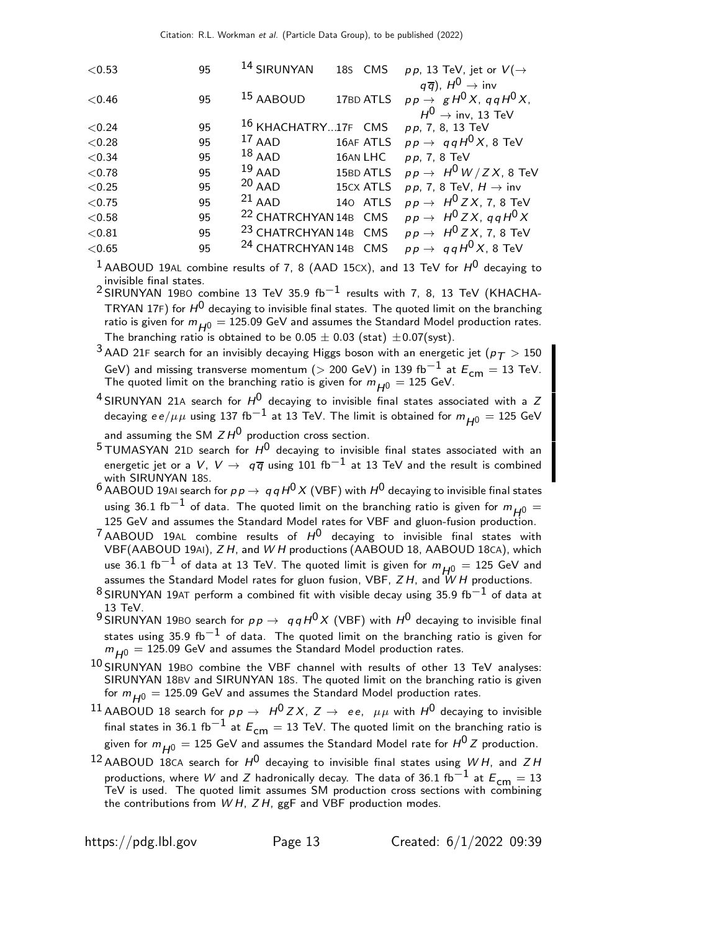| < 0.53 | 95 | 14 SIRUNYAN                      | 18s CMS   | pp, 13 TeV, jet or $V(\rightarrow$                                                                                                        |
|--------|----|----------------------------------|-----------|-------------------------------------------------------------------------------------------------------------------------------------------|
| < 0.46 | 95 | <sup>15</sup> AABOUD             | 17BD ATLS | $q\overline{q}$ ), $H^0 \rightarrow \text{inv}$<br>$pp \rightarrow gH^0 X$ , qq $H^0 X$ ,<br>$H^0 \rightarrow \text{inv}, 13 \text{ TeV}$ |
| < 0.24 | 95 | 16 KHACHATRY17F CMS              |           | pp, 7, 8, 13 TeV                                                                                                                          |
| < 0.28 | 95 | $^{17}$ AAD                      | 16AF ATLS | $pp \rightarrow qqH^{0}X$ , 8 TeV                                                                                                         |
| < 0.34 | 95 | $18$ AAD                         | 16AN LHC  | $pp, 7, 8$ TeV                                                                                                                            |
| < 0.78 | 95 | $19$ AAD                         | 15BD ATLS | $pp \rightarrow H^0 W/ZX$ , 8 TeV                                                                                                         |
| < 0.25 | 95 | $20$ AAD                         | 15CX ATLS | $p p$ , 7, 8 TeV, $H \rightarrow \text{inv}$                                                                                              |
| < 0.75 | 95 | $21$ AAD                         | 140 ATLS  | $pp \rightarrow H^0 Z X$ , 7, 8 TeV                                                                                                       |
| < 0.58 | 95 | <sup>22</sup> CHATRCHYAN 14B CMS |           | $pp \rightarrow H^0 Z X$ , qq $H^0 X$                                                                                                     |
| < 0.81 | 95 | <sup>23</sup> CHATRCHYAN 14B CMS |           | $pp \rightarrow H^0 ZX$ , 7, 8 TeV                                                                                                        |
| < 0.65 | 95 | <sup>24</sup> CHATRCHYAN 14B CMS |           | $pp \rightarrow qqH^{0}X$ , 8 TeV                                                                                                         |
|        |    |                                  |           |                                                                                                                                           |

<sup>1</sup> AABOUD 19AL combine results of 7, 8 (AAD 15CX), and 13 TeV for  $H^0$  decaying to invisible final states.

2 SIRUNYAN 19BO combine 13 TeV 35.9 fb<sup>-1</sup> results with 7, 8, 13 TeV (KHACHA-TRYAN 17F) for  $H^0$  decaying to invisible final states. The quoted limit on the branching ratio is given for  $m_{H0} = 125.09$  GeV and assumes the Standard Model production rates. The branching ratio is obtained to be 0.05  $\pm$  0.03 (stat)  $\pm$ 0.07(syst).

 $^3$ AAD 21F search for an invisibly decaying Higgs boson with an energetic jet ( $p_{\mathcal{T}}>150$ GeV) and missing transverse momentum ( $>$  200 GeV) in 139 fb $^{-1}$  at  $E_{\text{cm}} = 13$  TeV. The quoted limit on the branching ratio is given for  $m_{H^0} = 125$  GeV.

 $4$  SIRUNYAN 21A search for  $H^0$  decaying to invisible final states associated with a Z decaying  $ee/\mu\mu$  using 137 fb<sup>-1</sup> at 13 TeV. The limit is obtained for  $m_{H0} = 125$  GeV and assuming the SM  $ZH^0$  production cross section.

 $5$  TUMASYAN 21D search for  $H^0$  decaying to invisible final states associated with an energetic jet or a V, V  $\rightarrow$   $q\overline{q}$  using 101 fb<sup>-1</sup> at 13 TeV and the result is combined with SIRUNYAN 18S.

- 6 AABOUD 19AI search for  $p p \to q q H^0 X$  (VBF) with  $H^0$  decaying to invisible final states using 36.1 fb<sup>-1</sup> of data. The quoted limit on the branching ratio is given for  $m_{H0} =$ 125 GeV and assumes the Standard Model rates for VBF and gluon-fusion production.
- $^7$ AABOUD 19AL combine results of  $H^0$  decaying to invisible final states with VBF(AABOUD 19AI), ZH, and WH productions (AABOUD 18, AABOUD 18CA), which use 36.1 fb $^{-1}$  of data at 13 TeV. The quoted limit is given for  $m_{H0} = 125$  GeV and assumes the Standard Model rates for gluon fusion, VBF,  $ZH$ , and  $WH$  productions.
- $8$  SIRUNYAN 19AT perform a combined fit with visible decay using 35.9 fb<sup>-1</sup> of data at 13 TeV.
- 9 SIRUNYAN 19BO search for  $p p \rightarrow q q H^{0} X$  (VBF) with  $H^{0}$  decaying to invisible final states using 35.9 fb $^{-1}$  of data. The quoted limit on the branching ratio is given for  $m_{H^0} = 125.09$  GeV and assumes the Standard Model production rates.
- $10$  SIRUNYAN 19BO combine the VBF channel with results of other 13 TeV analyses: SIRUNYAN 18BV and SIRUNYAN 18S. The quoted limit on the branching ratio is given for  $m_{H0} = 125.09$  GeV and assumes the Standard Model production rates.

 $^{11}$  AABOUD 18 search for  $p \, p \, \rightarrow \, \, H^0 \, Z \, X, \, Z \, \rightarrow \, \, e \, e, \, \, \, \mu \mu$  with  $H^0$  decaying to invisible final states in 36.1 fb $^{-1}$  at  $E^{}_{\mathsf{cm}}=$  13 TeV. The quoted limit on the branching ratio is given for  $m_{H0} = 125$  GeV and assumes the Standard Model rate for  $H^{0}Z$  production.

<sup>12</sup> AABOUD 18CA search for  $H^0$  decaying to invisible final states using WH, and ZH productions, where W and Z hadronically decay. The data of 36.1 fb<sup>-1</sup> at  $E_{cm} = 13$ TeV is used. The quoted limit assumes SM production cross sections with combining the contributions from  $WH$ ,  $ZH$ , ggF and VBF production modes.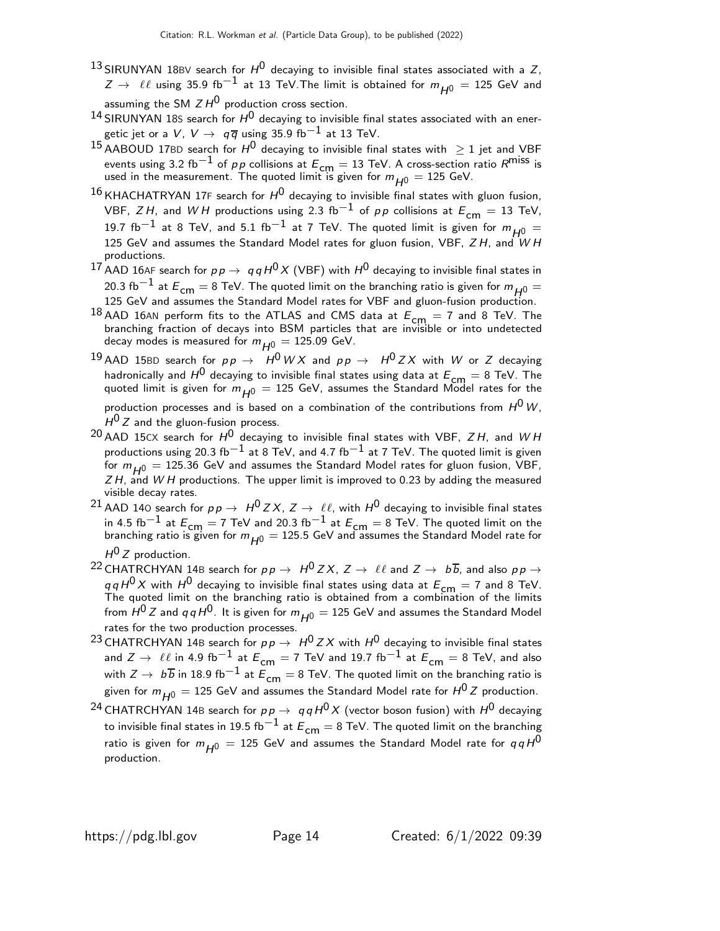- <sup>13</sup> SIRUNYAN 18BV search for  $H^0$  decaying to invisible final states associated with a Z,  $Z \rightarrow \ell \ell$  using 35.9 fb $^{-1}$  at 13 TeV. The limit is obtained for  $m_{H^0} = 125$  GeV and assuming the SM  $ZH^0$  production cross section.
- 14 SIRUNYAN 18S search for  $H^0$  decaying to invisible final states associated with an energetic jet or a V,  $V \rightarrow q \overline{q}$  using 35.9 fb $^{-1}$  at 13 TeV.
- 15 AABOUD 17BD search for  $H^0$  decaying to invisible final states with  $\geq 1$  jet and VBF events using 3.2 fb<sup>−1</sup> of *p p* collisions at  $E_{cm} = 13$  TeV. A cross-section ratio  $R^{\text{miss}}$  is used in the measurement. The quoted limit is given for  $m_{H^0} = 125$  GeV.
- $^{16}$ KHACHATRYAN 17F search for  $H^0$  decaying to invisible final states with gluon fusion, VBF, ZH, and WH productions using 2.3 fb<sup>-1</sup> of pp collisions at  $E_{cm} = 13$  TeV, 19.7 fb<sup>-1</sup> at 8 TeV, and 5.1 fb<sup>-1</sup> at 7 TeV. The quoted limit is given for  $m_{H^0} =$ 125 GeV and assumes the Standard Model rates for gluon fusion, VBF,  $ZH$ , and WH productions.
- 17 AAD 16AF search for  $p \, p \to \, q \, q \, H^0 \, X$  (VBF) with  $H^0$  decaying to invisible final states in 20.3 fb $^{-1}$  at  $E_{cm} = 8$  TeV. The quoted limit on the branching ratio is given for  $m_{H0} =$ 125 GeV and assumes the Standard Model rates for VBF and gluon-fusion production.
- $^{18}$  AAD 16AN perform fits to the ATLAS and CMS data at  $E_{cm} = 7$  and 8 TeV. The branching fraction of decays into BSM particles that are invisible or into undetected decay modes is measured for  $m_{H^{0}} = 125.09$  GeV.
- <sup>19</sup> AAD 15BD search for  $p p \rightarrow H^0 W X$  and  $p p \rightarrow H^0 Z X$  with W or Z decaying hadronically and  $H^0$  decaying to invisible final states using data at  $E_{\text{cm}} = 8$  TeV. The quoted limit is given for  $m_{H^0} = 125$  GeV, assumes the Standard Model rates for the production processes and is based on a combination of the contributions from  $H^0 W$ ,

 $H^{0}$  Z and the gluon-fusion process.

- $^{20}$  AAD 15CX search for  $H^0$  decaying to invisible final states with VBF, ZH, and WH productions using 20.3 fb<sup>-1</sup> at 8 TeV, and 4.7 fb<sup>-1</sup> at 7 TeV. The quoted limit is given for  $m_{H0} = 125.36$  GeV and assumes the Standard Model rates for gluon fusion, VBF,  $ZH$ , and  $WH$  productions. The upper limit is improved to 0.23 by adding the measured visible decay rates.
- <sup>21</sup> AAD 140 search for  $p \, p \to H^0 Z X$ ,  $Z \to \ell \ell$ , with  $H^0$  decaying to invisible final states in 4.5 fb<sup>−1</sup> at  $E_{\text{cm}} = 7$  TeV and 20.3 fb<sup>−1</sup> at  $E_{\text{cm}} = 8$  TeV. The quoted limit on the branching ratio is given for  $m_{H^0} = 125.5$  GeV and assumes the Standard Model rate for  $H^{0}Z$  production.
- <sup>22</sup> CHATRCHYAN 14B search for  $p \, p \to H^0 Z X$ ,  $Z \to \ell \ell$  and  $Z \to b \overline{b}$ , and also  $p \, p \to t$  $q \, q \, H^0 \, X$  with  $H^0$  decaying to invisible final states using data at  $E_{\mathsf{cm}} = 7$  and 8 TeV.<br>The quoted limit on the branching ratio is obtained from a combination of the limits from  $H^0 Z$  and  $q q H^0$ . It is given for  $m_{H^0} = 125$  GeV and assumes the Standard Model rates for the two production processes.
- <sup>23</sup> CHATRCHYAN 14B search for  $p \, p \rightarrow H^0 Z X$  with  $H^0$  decaying to invisible final states and  $Z \to \ell \ell$  in 4.9 fb<sup>-1</sup> at  $E_{cm} = 7$  TeV and 19.7 fb<sup>-1</sup> at  $E_{cm} = 8$  TeV, and also with  $Z \to b\overline{b}$  in 18.9 fb<sup>-1</sup> at  $\overline{E}_{cm} = 8$  TeV. The quoted limit on the branching ratio is given for  $m_{H0} = 125$  GeV and assumes the Standard Model rate for  $H^{0}Z$  production.
- <sup>24</sup> CHATRCHYAN 14B search for  $pp \rightarrow q\,q\,H^0\,X$  (vector boson fusion) with  $H^0$  decaying to invisible final states in 19.5 fb<sup>-1</sup> at  $E_{cm} = 8$  TeV. The quoted limit on the branching ratio is given for  $m_{H0} = 125$  GeV and assumes the Standard Model rate for  $q \, q \, H^0$ production.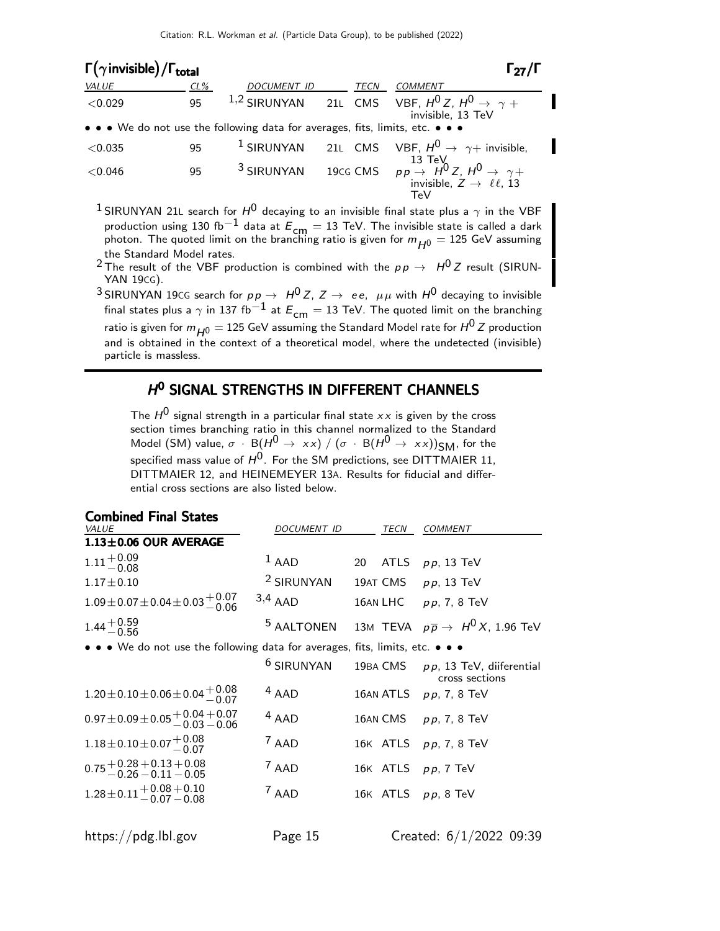| $\Gamma(\gamma)$ invisible) / $\Gamma_{total}$ |        |                                                                               |             | $\Gamma_{27}/\Gamma$                                                                                                                   |
|------------------------------------------------|--------|-------------------------------------------------------------------------------|-------------|----------------------------------------------------------------------------------------------------------------------------------------|
| VALUE                                          | $CL\%$ | <b>DOCUMENT ID</b>                                                            | <b>TECN</b> | <b>COMMENT</b>                                                                                                                         |
| < 0.029                                        | 95     |                                                                               |             | <sup>1,2</sup> SIRUNYAN 21L CMS VBF, $H^0Z$ , $H^0 \rightarrow \gamma +$<br>invisible, 13 TeV                                          |
|                                                |        | • • • We do not use the following data for averages, fits, limits, etc. • • • |             |                                                                                                                                        |
| < 0.035                                        | 95     |                                                                               |             | <sup>1</sup> SIRUNYAN 21L CMS VBF, $H^0 \rightarrow \gamma +$ invisible,                                                               |
| < 0.046                                        | 95     |                                                                               |             | <sup>3</sup> SIRUNYAN 19CG CMS $pp \rightarrow H^0 Z$ , $H^0 \rightarrow \gamma +$<br>invisible, $Z \rightarrow \ell \ell$ , 13<br>TeV |

- <sup>1</sup> SIRUNYAN 21L search for  $H^0$  decaying to an invisible final state plus a  $\gamma$  in the VBF production using 130 fb $^{-1}$  data at  $E_{\mathsf{cm}}=13$  TeV. The invisible state is called a dark photon. The quoted limit on the branching ratio is given for  $m_{H^0} = 125$  GeV assuming
- the Standard Model rates.<br><sup>2</sup> The result of the VBF production is combined with the  $p \, p \, \rightarrow \, \, H^0 \, Z$  result (SIRUN-YAN 19CG).
- <sup>3</sup> SIRUNYAN 19CG search for  $pp \to H^0 Z$ ,  $Z \to ee$ ,  $\mu\mu$  with  $H^0$  decaying to invisible final states plus a  $\gamma$  in 137 fb<sup>-1</sup> at  $E_{cm} = 13$  TeV. The quoted limit on the branching ratio is given for  $m_{H0} = 125$  GeV assuming the Standard Model rate for  $H^{0}Z$  production and is obtained in the context of a theoretical model, where the undetected (invisible) particle is massless.

# H<sup>O</sup> SIGNAL STRENGTHS IN DIFFERENT CHANNELS

The  $H^0$  signal strength in a particular final state  $xx$  is given by the cross section times branching ratio in this channel normalized to the Standard Model (SM) value,  $\sigma \cdot B(H^0 \to xx) / (\sigma \cdot B(H^0 \to xx))_{\text{SM}}$ , for the specified mass value of  $H^0$ . For the SM predictions, see DITTMAIER 11, DITTMAIER 12, and HEINEMEYER 13A. Results for fiducial and differential cross sections are also listed below.

Combined Final States

| Compined Final States                                                             |                       |                       |                                                                             |
|-----------------------------------------------------------------------------------|-----------------------|-----------------------|-----------------------------------------------------------------------------|
| VALUE                                                                             | DOCUMENT ID           | TECN                  | <b>COMMENT</b>                                                              |
| $1.13 \pm 0.06$ OUR AVERAGE                                                       |                       |                       |                                                                             |
| $1.11 + 0.09$<br>-0.08                                                            | $1$ AAD               | <b>ATLS</b><br>20     | $pp$ , 13 TeV                                                               |
| $1.17 \pm 0.10$                                                                   | <sup>2</sup> SIRUNYAN |                       | 19AT CMS $pp$ , 13 TeV                                                      |
| $1.09 \pm 0.07 \pm 0.04 \pm 0.03 \pm 0.07$                                        | $3,4$ AAD             |                       | 16AN LHC $pp$ , 7, 8 TeV                                                    |
| $1.44^{+0.59}_{-0.56}$                                                            |                       |                       | <sup>5</sup> AALTONEN 13M TEVA $p\overline{p} \rightarrow H^0 X$ , 1.96 TeV |
| • • • We do not use the following data for averages, fits, limits, etc. • • •     |                       |                       |                                                                             |
|                                                                                   | <sup>6</sup> SIRUNYAN | 19BA CMS              | $p p$ , 13 TeV, diiferential<br>cross sections                              |
| $1.20 \pm 0.10 \pm 0.06 \pm 0.04 \pm 0.08$                                        | $4$ AAD               |                       | 16AN ATLS $pp, 7, 8$ TeV                                                    |
| $0.97 \pm 0.09 \pm 0.05 \begin{array}{l} +0.04 + 0.07 \ -0.03 - 0.06 \end{array}$ | $4$ AAD               |                       | 16AN CMS $pp, 7, 8$ TeV                                                     |
| $1.18 \pm 0.10 \pm 0.07 \begin{array}{c} +0.08 \\ -0.07 \end{array}$              | $7$ AAD               |                       | 16K ATLS pp, 7, 8 TeV                                                       |
| $0.75 + 0.28 + 0.13 + 0.08$<br>$-0.26 - 0.11 - 0.05$                              | $7$ AAD               | 16K ATLS pp, 7 TeV    |                                                                             |
| $1.28 \pm 0.11 + 0.08 + 0.10$<br>$-0.07 - 0.08$                                   | $7$ AAD               | 16K ATLS $pp$ , 8 TeV |                                                                             |
| https://pdg.lbl.gov                                                               | Page 15               |                       | Created: $6/1/2022$ 09:39                                                   |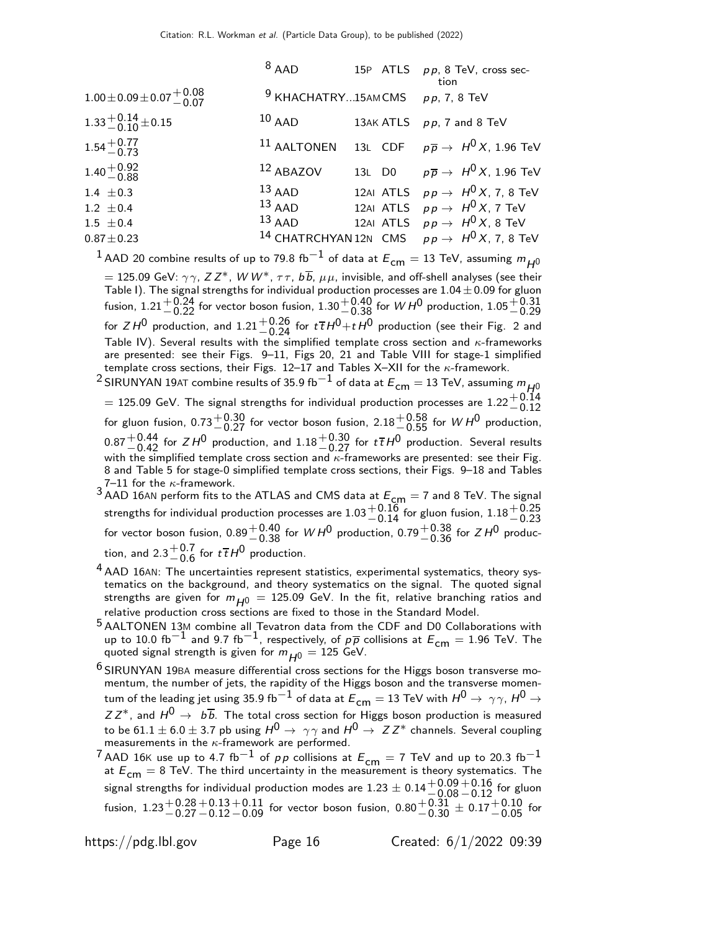| $8$ AAD   |                      | 15P ATLS pp, 8 TeV, cross sec-<br>tion                                                                                                                                                             |
|-----------|----------------------|----------------------------------------------------------------------------------------------------------------------------------------------------------------------------------------------------|
|           |                      |                                                                                                                                                                                                    |
| $10$ AAD  |                      | 13AK ATLS pp, 7 and 8 TeV                                                                                                                                                                          |
|           |                      |                                                                                                                                                                                                    |
| 12 ABAZOV |                      | 13L D0 $p\overline{p} \rightarrow H^0 X$ , 1.96 TeV                                                                                                                                                |
| $13$ AAD  |                      | 12AI ATLS $pp \rightarrow H^0 X$ , 7, 8 TeV                                                                                                                                                        |
|           |                      | 12AI ATLS $pp \rightarrow H^0 X$ , 7 TeV                                                                                                                                                           |
|           |                      | 12AI ATLS $pp \rightarrow H^0 X$ , 8 TeV                                                                                                                                                           |
|           |                      |                                                                                                                                                                                                    |
|           | $13$ AAD<br>$13$ AAD | <sup>9</sup> KHACHATRY15AMCMS $pp$ , 7, 8 TeV<br><sup>11</sup> AALTONEN 13L CDF $p\overline{p} \rightarrow H^0 X$ , 1.96 TeV<br><sup>14</sup> CHATRCHYAN 12N CMS $pp \rightarrow H^0 X$ , 7, 8 TeV |

<sup>1</sup> AAD 20 combine results of up to 79.8 fb<sup>-1</sup> of data at  $E_{cm} = 13$  TeV, assuming  $m_{H0}$  $= 125.09$  GeV:  $\gamma\gamma$ , Z Z\*, W W\*,  $\tau\tau$ ,  $b\overline{b}$ ,  $\mu\mu$ , invisible, and off-shell analyses (see their Table I). The signal strengths for individual production processes are  $1.04\pm0.09$  for gluon fusion,  $1.21^{+0.24}_{-0.22}$  for vector boson fusion,  $1.30^{+0.40}_{-0.38}$  for  $W$  H<sup>0</sup> production,  $1.05^{+0.31}_{-0.29}$ for  $ZH^0$  production, and  $1.21^{+0.26}_{-0.24}$  for  $t\bar{t}H^0+tH^0$  production (see their Fig. 2 and Table IV). Several results with the simplified template cross section and  $\kappa$ -frameworks are presented: see their Figs. 9–11, Figs 20, 21 and Table VIII for stage-1 simplified template cross sections, their Figs.  $12-17$  and Tables X-XII for the  $\kappa$ -framework.

<sup>2</sup> SIRUNYAN 19AT combine results of 35.9 fb $^{-1}$  of data at  $E_{cm} = 13$  TeV, assuming  $m_{H0}$  $= 125.09$  GeV. The signal strengths for individual production processes are  $1.22^{+0.14}_{-0.12}$ for gluon fusion, 0.73 $^{+0.30}_{-0.27}$  for vector boson fusion, 2.18 $^{+0.58}_{-0.55}$  for WH<sup>0</sup> production,  $0.87^{+0.44}_{-0.42}$  for  $ZH^0$  production, and  $1.18^{+0.30}_{-0.27}$  for  $t\overline{t}H^0$  production. Several results with the simplified template cross section and κ-frameworks are presented: see their Fig. 8 and Table 5 for stage-0 simplified template cross sections, their Figs. 9–18 and Tables 7–11 for the  $\kappa$ -framework.

<sup>3</sup> AAD 16AN perform fits to the ATLAS and CMS data at  $E_{\text{cm}} = 7$  and 8 TeV. The signal strengths for individual production processes are  $1.03 {+0.16 \atop -0.14}$  for gluon fusion,  $1.18 {+0.25 \atop -0.23}$ for vector boson fusion,  $0.89^{+0.40}_{-0.38}$  for  $WH^0$  production,  $0.79^{+0.38}_{-0.36}$  for  $ZH^0$  production, and 2.3 $^{+0.7}_{-0.6}$  $^{\rm +0.7}_{\rm -0.6}$  for  $t\overline{t}$  H $^{\rm 0}$  production.

- <sup>4</sup> AAD 16AN: The uncertainties represent statistics, experimental systematics, theory systematics on the background, and theory systematics on the signal. The quoted signal strengths are given for  $m_{H^0} = 125.09$  GeV. In the fit, relative branching ratios and relative production cross sections are fixed to those in the Standard Model.
- <sup>5</sup> AALTONEN 13M combine all Tevatron data from the CDF and D0 Collaborations with up to 10.0 fb<sup>-1</sup> and 9.7 fb<sup>-1</sup>, respectively, of  $p\bar{p}$  collisions at  $E_{cm} = 1.96$  TeV. The quoted signal strength is given for  $m_{H0} = 125$  GeV.
- <sup>6</sup> SIRUNYAN 19BA measure differential cross sections for the Higgs boson transverse momentum, the number of jets, the rapidity of the Higgs boson and the transverse momentum of the leading jet using 35.9 fb $^{-1}$  of data at  $E_{\sf cm} =$  13 TeV with  $H^0 \rightarrow \gamma \gamma$ ,  $H^0 \rightarrow$  $ZZ^*$ , and  $H^0 \rightarrow b\overline{b}$ . The total cross section for Higgs boson production is measured to be 61.1  $\pm$  6.0  $\pm$  3.7 pb using  $H^0 \rightarrow \gamma\gamma$  and  $H^0 \rightarrow ZZ^*$  channels. Several coupling measurements in the  $\kappa$ -framework are performed.
- 7 AAD 16K use up to 4.7 fb<sup>-1</sup> of pp collisions at  $E_{cm} = 7$  TeV and up to 20.3 fb<sup>-1</sup> at  $E_{cm} = 8$  TeV. The third uncertainty in the measurement is theory systematics. The signal strengths for individual production modes are  $1.23\pm0.14\frac{+0.09}{-0.08}$  $^{+0.16}_{-0.12}$  for gluon fusion,  $1.23^{+0.28}_{-0.27}$  $+0.13$  $-0.12$  $^{+0.11}_{-0.09}$  for vector boson fusion,  $0.80^{+0.31}_{-0.30}\pm 0.17^{+0.10}_{-0.05}$  for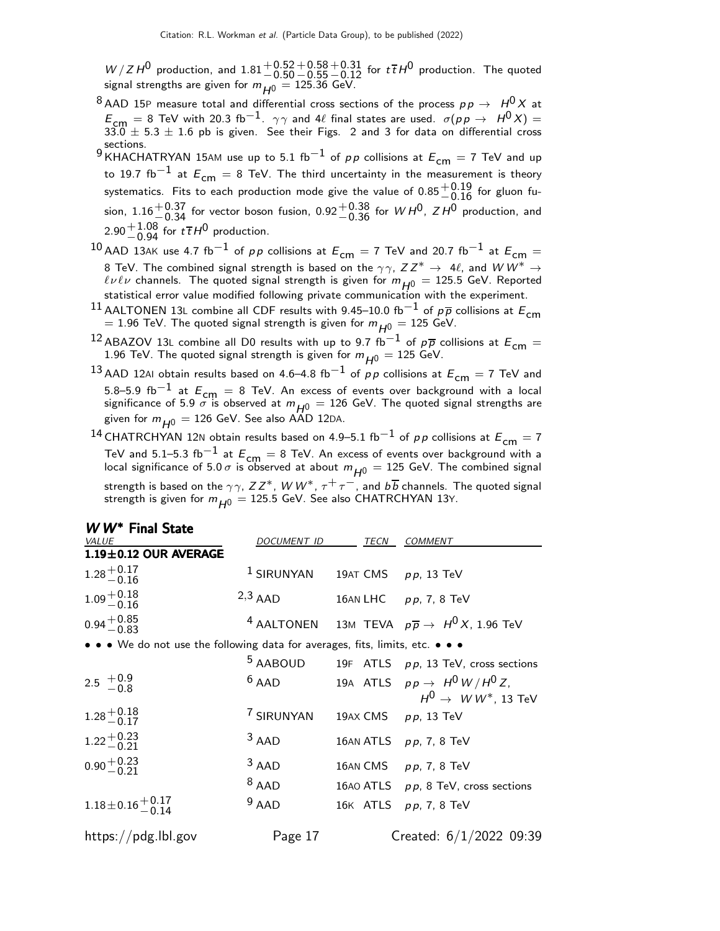$W/ZH^0$  production, and  $1.81^{+0.52}_{-0.50}$  $+0.58$  $-0.55$  $^{\rm +0.31}_{\rm -0.12}$  for  $t\overline{t}$   $H^{\rm 0}$  production. The quoted signal strengths are given for  $m_{H^0} = 125.36$  GeV.

- <sup>8</sup> AAD 15P measure total and differential cross sections of the process  $p \, p \, \rightarrow \, H^0 X$  at  $E_{\mathsf{cm}}=8$  TeV with 20.3 fb $^{-1}$ .  $\gamma\gamma$  and 4 $\ell$  final states are used.  $\sigma(p \, p \, \rightarrow \, H^0 \, X)=33.0\,\pm\,5.3\,\pm\,1.6$  pb is given. See their Figs. 2 and 3 for data on differential cross sections.
- 9 EXECUTE: 9 KHACHATRYAN 15AM use up to 5.1 fb<sup>-1</sup> of pp collisions at  $E_{cm} = 7$  TeV and up to 19.7 fb<sup>-1</sup> at  $E_{cm} = 8$  TeV. The third uncertainty in the measurement is theory systematics. Fits to each production mode give the value of  $0.85^{+0.19}_{-0.16}$  for gluon fusion,  $1.16 + 0.37$  for vector boson fusion,  $0.92 + 0.38$  for  $W H^{0}$ ,  $Z H^{0}$  production, and 2.90 $^{+1.08}_{-0.94}$  for  $t\bar{t}H^0$  production.
- 10 AAD 13AK use 4.7 fb<sup>-1</sup> of pp collisions at  $E_{cm} = 7$  TeV and 20.7 fb<sup>-1</sup> at  $E_{cm} =$ 8 TeV. The combined signal strength is based on the  $\gamma\gamma$ ,  $ZZ^* \to 4\ell$ , and  $WW^* \to 4\ell$  $\ell\nu\ell\nu$  channels. The quoted signal strength is given for  $m_{H0} = 125.5$  GeV. Reported statistical error value modified following private communication with the experiment.
- <sup>11</sup> AALTONEN 13L combine all CDF results with 9.45–10.0 fb<sup>-1</sup> of p<sub>p</sub> collisions at  $E_{cm}$  $=$  1.96 TeV. The quoted signal strength is given for  $m_{H0}^{\phantom{\dag}}=$  125 GeV.
- <sup>12</sup> ABAZOV 13L combine all D0 results with up to 9.7 fb<sup>-1</sup> of  $p\overline{p}$  collisions at  $E_{cm} =$ 1.96 TeV. The quoted signal strength is given for  $m_{H^0} = 125$  GeV.
- <sup>13</sup> AAD 12AI obtain results based on 4.6–4.8 fb<sup>-1</sup> of pp collisions at  $E_{cm} = 7$  TeV and 5.8–5.9 fb<sup>-1</sup> at  $E_{\text{cm}} = 8$  TeV. An excess of events over background with a local significance of 5.9  $\sigma$  is observed at  $m_{H^0} = 126$  GeV. The quoted signal strengths are given for  $m_{H0} = 126$  GeV. See also AAD 12DA.

14 CHATRCHYAN 12N obtain results based on 4.9–5.1 fb<sup>-1</sup> of pp collisions at  $E_{cm} = 7$ TeV and 5.1–5.3 fb<sup>-1</sup> at  $E_{\text{cm}} = 8$  TeV. An excess of events over background with a local significance of 5.0  $\sigma$  is observed at about  $m_{H^0} =$  125 GeV. The combined signal strength is based on the  $\gamma\gamma$ ,  $ZZ^*$ ,  $W\,W^*$ ,  $\tau^+\tau^-$ , and  $b\overline{b}$  channels. The quoted signal strength is given for  $m_{H^0} = 125.5$  GeV. See also CHATRCHYAN 13Y.

| W W <sup>*</sup> Final State<br><i>VALUE</i>                                  | DOCUMENT ID           | TECN                | <b>COMMENT</b>                                                              |
|-------------------------------------------------------------------------------|-----------------------|---------------------|-----------------------------------------------------------------------------|
| $1.19 \pm 0.12$ OUR AVERAGE                                                   |                       |                     |                                                                             |
| $1.28 + 0.17$<br>$-0.16$                                                      | <sup>1</sup> SIRUNYAN | 19AT CMS pp, 13 TeV |                                                                             |
| $1.09 + 0.18$<br>-0.16                                                        | $2,3$ AAD             |                     | 16AN LHC $pp, 7, 8 \text{ TeV}$                                             |
| $0.94 + 0.85$<br>$-0.83$                                                      |                       |                     | <sup>4</sup> AALTONEN 13M TEVA $p\overline{p} \rightarrow H^0 X$ , 1.96 TeV |
| • • • We do not use the following data for averages, fits, limits, etc. • • • |                       |                     |                                                                             |
|                                                                               |                       |                     | $5$ AABOUD 19F ATLS $pp$ , 13 TeV, cross sections                           |
| 2.5 $^{+0.9}_{-0.8}$                                                          | $6$ AAD               |                     | 19A ATLS $pp \rightarrow H^0 W/H^0 Z$ ,<br>$H^0 \rightarrow W W^*$ , 13 TeV |
| $1.28^{+0.18}_{-0.17}$                                                        | 7 SIRUNYAN            |                     | 19AX CMS pp, 13 TeV                                                         |
| $1.22^{+0.23}_{-0.21}$                                                        | $3$ AAD               |                     | 16AN ATLS $pp$ , 7, 8 TeV                                                   |
| $0.90 + 0.23$                                                                 | $3$ AAD               |                     | 16AN CMS $pp, 7, 8$ TeV                                                     |
|                                                                               | $8$ AAD               |                     | 16AO ATLS pp, 8 TeV, cross sections                                         |
| $1.18\pm0.16\frac{+0.17}{-0.14}$                                              | $9$ AAD               |                     | 16K ATLS pp, 7, 8 TeV                                                       |
| https://pdg.lbl.gov                                                           | Page 17               |                     | Created: $6/1/2022$ 09:39                                                   |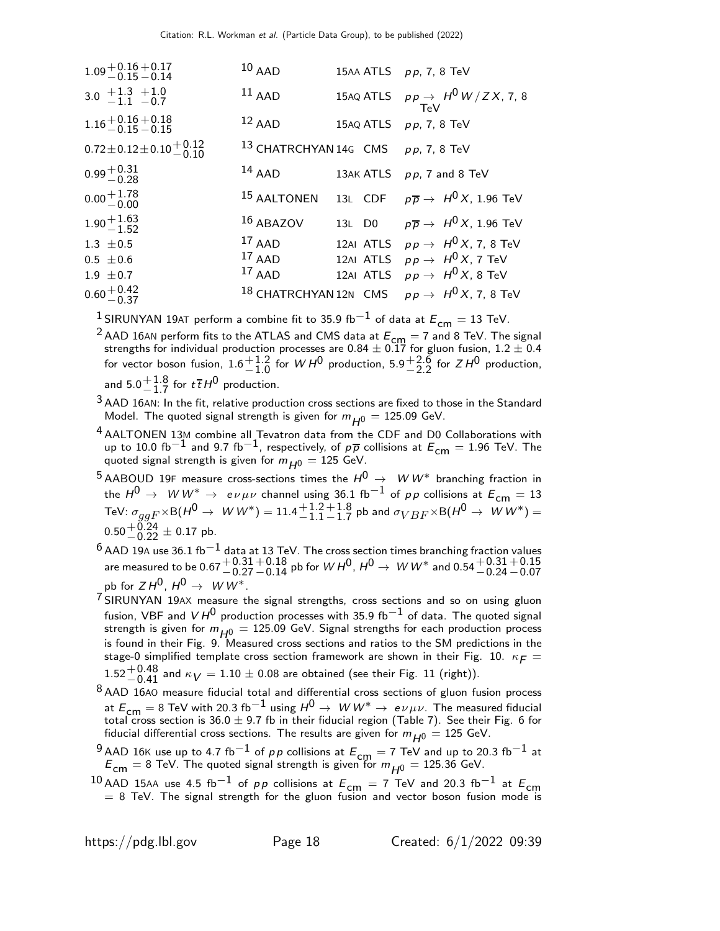| $1.09 + 0.16 + 0.17$<br>-0.15 - 0.14   | $10$ AAD                           |        | 15AA ATLS $pp$ , 7, 8 TeV                                         |
|----------------------------------------|------------------------------------|--------|-------------------------------------------------------------------|
| 3.0 $+1.3$ $+1.0$<br>-1.1 -0.7         | $11$ AAD                           |        | 15AQ ATLS $pp \rightarrow H^0 W/ZX$ , 7, 8<br>TeV                 |
| $1.16 + 0.16 + 0.18$<br>$-0.15 - 0.15$ | $12$ AAD                           |        | 15AQ ATLS $pp$ , 7, 8 TeV                                         |
| $0.72 \pm 0.12 \pm 0.10 \pm 0.12$      | 13 CHATRCHYAN 14G CMS pp, 7, 8 TeV |        |                                                                   |
| $0.99 + 0.31$<br>$-0.28$               | $14$ AAD                           |        | 13AK ATLS pp, 7 and 8 TeV                                         |
| $0.00 + 1.78$                          | 15 AALTONEN                        |        | 13L CDF $p\overline{p} \rightarrow H^0 X$ , 1.96 TeV              |
| $1.90 + 1.63$<br>$-1.52$               | $16$ ABAZOV                        | 13L D0 | $p\, \overline{\!p}\, \rightarrow\; H^0\, X$ , 1.96 TeV           |
| $1.3 \pm 0.5$                          | $17$ AAD                           |        | 12AI ATLS $pp \rightarrow H^0 X$ , 7, 8 TeV                       |
| $0.5 \pm 0.6$                          | $17$ AAD                           |        | 12AI ATLS $pp \rightarrow H^0 X$ , 7 TeV                          |
| $1.9 \pm 0.7$                          | $17$ AAD                           |        | 12AI ATLS $p p \rightarrow H^0 X$ , 8 TeV                         |
| $0.60 + 0.42$<br>0.60 - 0.37           |                                    |        | <sup>18</sup> CHATRCHYAN12N CMS $pp \rightarrow H^0 X$ , 7, 8 TeV |

<sup>1</sup> SIRUNYAN 19AT perform a combine fit to 35.9 fb<sup>-1</sup> of data at  $E_{cm} = 13$  TeV.

<sup>2</sup> AAD 16AN perform fits to the ATLAS and CMS data at  $E_{\text{cm}} = 7$  and 8 TeV. The signal strengths for individual production processes are 0.84  $\pm$  0.17 for gluon fusion, 1.2  $\pm$  0.4 for vector boson fusion,  $1.6^{+1.2}_{-1.0}$  $^{+1.2}_{-1.0}$  for  $WH^0$  production,  $5.9^{+2.6}_{-2.2}$  $^{+2.6}_{-2.2}$  for  $ZH^0$  production, and  $5.0 + 1.8$  $^{+1.8}_{-1.7}$  for  $t\bar{t}H^0$  production.

 $3$  AAD 16AN: In the fit, relative production cross sections are fixed to those in the Standard Model. The quoted signal strength is given for  $m_{H0} = 125.09$  GeV.

- $^{4}$  AALTONEN 13M combine all Tevatron data from the CDF and D0 Collaborations with up to 10.0 fb<sup>-1</sup> and 9.7 fb<sup>-1</sup>, respectively, of  $p\bar{p}$  collisions at  $E_{cm} = 1.96$  TeV. The quoted signal strength is given for  $m_{H^0} = 125$  GeV.
- 5 AABOUD 19F measure cross-sections times the  $H^0 \rightarrow \ W W^*$  branching fraction in the  $H^0 \to \ W W^* \to \ e \nu \mu \nu$  channel using 36.1 fb $^{-1}$  of pp collisions at  $E_{\mathsf{cm}}=13$ TeV:  $\sigma_{ggF}{\times}{\sf B}(H^0\to~W\,W^*)=11.4 {+1.2\atop -1.1}$ −1.1  $+1.8$  $^{+1.8}_{-1.7}$  pb and  $\sigma_{VBF}{\times}{\sf B}(H^0\to~W\,W^*)=$  $0.50^{+0.24}_{-0.22} \pm 0.17$  pb.
- $^6$  AAD 19A use 36.1 fb $^{-1}$  data at 13 TeV. The cross section times branching fraction values are measured to be  $0.67\genfrac{}{}{0pt}{}{+0.31}{-0.27}$  $^{+0.18}_{-0.14}$  pb for  $WH^0$  ,  $H^0\rightarrow\,W\,W^*$  and  $0.54{+0.31\atop -0.24}$  $+0.15$  $-0.07$ pb for  $Z H^0$ ,  $H^0 \rightarrow W W^*$ .
- 7 SIRUNYAN 19AX measure the signal strengths, cross sections and so on using gluon fusion, VBF and V  $H^0$  production processes with 35.9 fb<sup>-1</sup> of data. The quoted signal strength is given for  $m_{H^0} = 125.09$  GeV. Signal strengths for each production process is found in their Fig. 9. Measured cross sections and ratios to the SM predictions in the stage-0 simplified template cross section framework are shown in their Fig. 10.  $\kappa_F =$  $1.52^{+0.48}_{-0.41}$  and  $\kappa_V=1.10\pm0.08$  are obtained (see their Fig. 11 (right)).
- 8 AAD 16AO measure fiducial total and differential cross sections of gluon fusion process at  $E_{cm} = 8$  TeV with 20.3 fb<sup>-1</sup> using  $H^0 \to W W^* \to e \nu \mu \nu$ . The measured fiducial total cross section is  $36.0 \pm 9.7$  fb in their fiducial region (Table 7). See their Fig. 6 for fiducial differential cross sections. The results are given for  $m_{H0} = 125$  GeV.
- $^{9}$  AAD 16K use up to 4.7 fb<sup>-1</sup> of *p p* collisions at  $E_{cm} = 7$  TeV and up to 20.3 fb<sup>-1</sup> at  $E_{\text{cm}} = 8$  TeV. The quoted signal strength is given for  $m_{H0} = 125.36$  GeV.
- $10$  AAD 15AA use 4.5 fb<sup>-1</sup> of pp collisions at  $E_{cm} = 7$  TeV and 20.3 fb<sup>-1</sup> at  $E_{cm}$  $= 8$  TeV. The signal strength for the gluon fusion and vector boson fusion mode is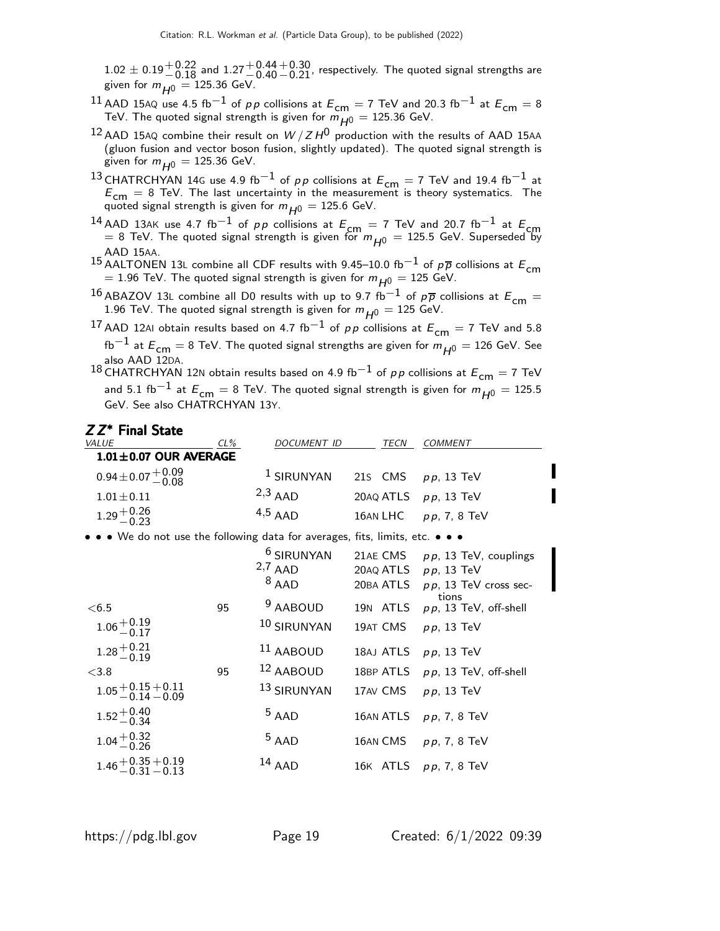$1.02 \pm 0.19^{+0.22}_{-0.18}$  and  $1.27^{+0.44}_{-0.40}$  $\rm _{-0.21}^{+0.30}$ , respectively. The quoted signal strengths are given for  $m_{H^0} = 125.36$  GeV.

- 11 AAD 15AQ use 4.5 fb<sup>-1</sup> of p p collisions at  $E_{cm} = 7$  TeV and 20.3 fb<sup>-1</sup> at  $E_{cm} = 8$ TeV. The quoted signal strength is given for  $m_{H0} = 125.36$  GeV.
- $^{12}$  AAD 15AQ combine their result on  $W/ZH^0$  production with the results of AAD 15AA (gluon fusion and vector boson fusion, slightly updated). The quoted signal strength is given for  $m_{H^0} = 125.36$  GeV.
- 13 CHATRCHYAN 14G use 4.9 fb<sup>-1</sup> of pp collisions at  $E_{cm} = 7$  TeV and 19.4 fb<sup>-1</sup> at  $E_{\text{cm}} = 8$  TeV. The last uncertainty in the measurement is theory systematics. The quoted signal strength is given for  $m_{H0} = 125.6$  GeV.
- <sup>14</sup> AAD 13AK use 4.7 fb<sup>-1</sup> of pp collisions at  $E_{cm} = 7$  TeV and 20.7 fb<sup>-1</sup> at  $E_{cm}$  $=$  8 TeV. The quoted signal strength is given for  $m_{H^0} = 125.5$  GeV. Superseded by

AAD 15AA.<br><sup>15</sup> AALTONEN 13L combine all CDF results with 9.45–10.0 fb<sup>−1</sup> of p<sub>p</sub> collisions at E<sub>cm</sub>  $=$  1.96 TeV. The quoted signal strength is given for  $m_{H^{0}} =$  125 GeV.

<sup>16</sup> ABAZOV 13L combine all D0 results with up to 9.7 fb<sup>-1</sup> of  $p\overline{p}$  collisions at  $E_{cm} =$ 1.96 TeV. The quoted signal strength is given for  $m_{H^0} = 125$  GeV.

17 AAD 12AI obtain results based on 4.7 fb<sup>-1</sup> of pp collisions at  $E_{cm} = 7$  TeV and 5.8  $\text{fb}^{-1}$  at  $E_{\text{cm}}=$  8 TeV. The quoted signal strengths are given for  $m_{H^0} = 126$  GeV. See

also AAD 12DA.<br><sup>18</sup> CHATRCHYAN 12N obtain results based on 4.9 fb<sup>−1</sup> of *p p* collisions at  $E_{\sf cm} =$  7 TeV and 5.1 fb $^{-1}$  at  $E_{cm} = 8$  TeV. The quoted signal strength is given for  $m_{H0} = 125.5$ GeV. See also CHATRCHYAN 13Y.

#### Z Z<sup>\*</sup> Final State

| <b>VALUE</b>                                                                  | $CL\%$ | DOCUMENT ID                                   |                                    | TECN | <b>COMMENT</b>                                                             |
|-------------------------------------------------------------------------------|--------|-----------------------------------------------|------------------------------------|------|----------------------------------------------------------------------------|
| $1.01 \pm 0.07$ OUR AVERAGE                                                   |        |                                               |                                    |      |                                                                            |
| $0.94 \pm 0.07 \begin{array}{l} +0.09 \\ -0.08 \end{array}$                   |        | $1$ SIRUNYAN                                  | 21s CMS                            |      | $pp$ , 13 TeV                                                              |
| $1.01 \pm 0.11$                                                               |        | $2,3$ AAD                                     | 20AQ ATLS                          |      | $p p$ , 13 TeV                                                             |
| $1.29 + 0.26$<br>$-0.23$                                                      |        | $4,5$ AAD                                     | 16AN LHC                           |      | $pp, 7, 8$ TeV                                                             |
| • • • We do not use the following data for averages, fits, limits, etc. • • • |        |                                               |                                    |      |                                                                            |
|                                                                               |        | <sup>6</sup> SIRUNYAN<br>$2,7$ AAD<br>$8$ AAD | 21AE CMS<br>20AQ ATLS<br>20BA ATLS |      | $pp$ , 13 TeV, couplings<br><i>pp</i> , 13 TeV<br>$pp$ , 13 TeV cross sec- |
| < 6.5                                                                         | 95     | <sup>9</sup> AABOUD<br>10 SIRUNYAN            | 19N ATLS                           |      | tions<br>$p p$ , 13 TeV, off-shell                                         |
| $1.06 + 0.19$<br>-0.17<br>$1.28 + 0.21$<br>$-0.19$                            |        | <sup>11</sup> AABOUD                          | 19AT CMS<br>18AJ ATLS              |      | $pp$ , 13 TeV<br>$pp$ , 13 TeV                                             |
| < 3.8                                                                         | 95     | 12 AABOUD                                     | 18BP ATLS                          |      | $p p$ , 13 TeV, off-shell                                                  |
| $1.05 + 0.15 + 0.11$<br>$- 0.14 - 0.09$                                       |        | 13 SIRUNYAN                                   | 17AV CMS                           |      | $pp$ , 13 TeV                                                              |
| $1.52^{+0.40}_{-0.34}$                                                        |        | $5$ AAD                                       | 16AN ATLS                          |      | $pp, 7, 8$ TeV                                                             |
| $1.04 + 0.32$<br>$-0.26$                                                      |        | $5$ AAD                                       | 16AN CMS                           |      | $pp, 7, 8$ TeV                                                             |
| $1.46 + 0.35 + 0.19$<br>-0.31 -0.13                                           |        | $14$ AAD                                      |                                    |      | 16K ATLS pp, 7, 8 TeV                                                      |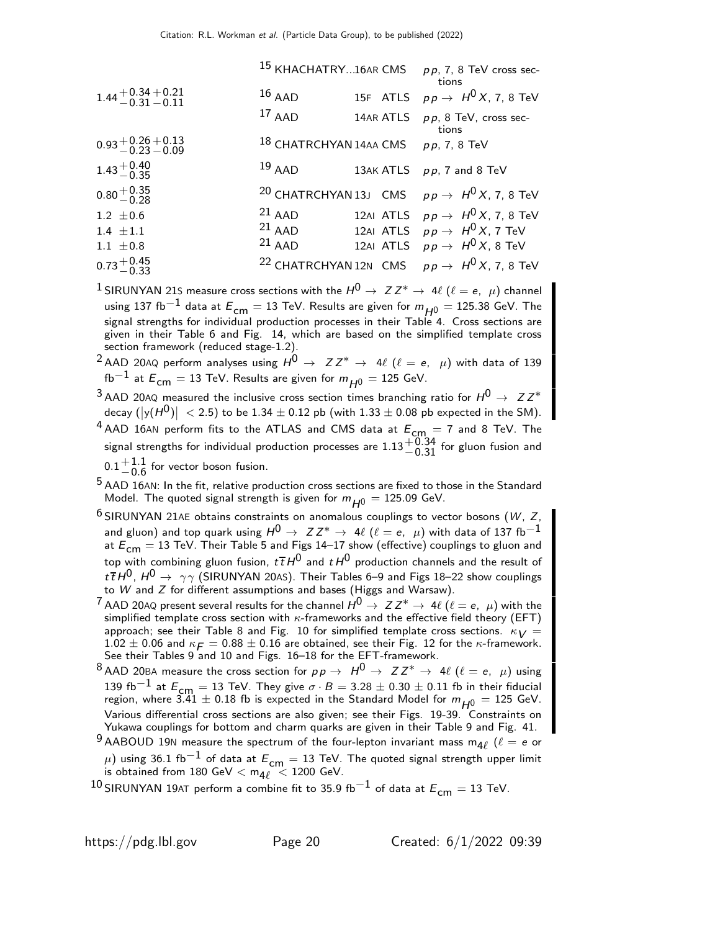|                                        |                                       | <sup>15</sup> KHACHATRY16AR CMS pp, 7, 8 TeV cross sec-<br>tions   |
|----------------------------------------|---------------------------------------|--------------------------------------------------------------------|
| $1.44 + 0.34 + 0.21$<br>$-0.31 - 0.11$ | $16$ AAD                              | 15F ATLS $pp \rightarrow H^0 X$ , 7, 8 TeV                         |
|                                        | $17$ AAD                              | 14AR ATLS pp, 8 TeV, cross sec-<br>tions                           |
| $0.93 + 0.26 + 0.13$<br>$-0.23 - 0.09$ | $18$ CHATRCHYAN 14AA CMS pp, 7, 8 TeV |                                                                    |
| $1.43 + 0.40$<br>$-0.35$               | $19$ AAD                              | 13AK ATLS pp, 7 and 8 TeV                                          |
| $0.80 + 0.35$<br>$-0.28$               |                                       | <sup>20</sup> CHATRCHYAN 13J CMS $pp \rightarrow H^0 X$ , 7, 8 TeV |
| $1.2 \pm 0.6$                          | $21$ AAD                              | 12AI ATLS $pp \rightarrow H^0 X$ , 7, 8 TeV                        |
| $1.4 \pm 1.1$                          | $21$ AAD                              | 12AI ATLS $pp \rightarrow H^0 X$ , 7 TeV                           |
| $1.1 \pm 0.8$                          | $21$ AAD                              | 12AI ATLS $p \, p \rightarrow \, H^0 \, X$ , 8 TeV                 |
| $0.73 + 0.45$<br>0.73 - 0.33           |                                       | <sup>22</sup> CHATRCHYAN 12N CMS $pp \rightarrow H^0 X$ , 7, 8 TeV |

<sup>1</sup> SIRUNYAN 215 measure cross sections with the  $H^0 \rightarrow Z Z^* \rightarrow 4\ell$  ( $\ell = e, \mu$ ) channel using 137 fb<sup>−1</sup> data at  $E_{cm} = 13$  TeV. Results are given for  $m_{H0} = 125.38$  GeV. The signal strengths for individual production processes in their Table 4. Cross sections are given in their Table 6 and Fig. 14, which are based on the simplified template cross section framework (reduced stage-1.2).

<sup>2</sup> AAD 20AQ perform analyses using  $H^0 \rightarrow Z Z^* \rightarrow 4\ell$  ( $\ell = e, \mu$ ) with data of 139  $fb^{-1}$  at  $E_{cm} = 13$  TeV. Results are given for  $m_{H0} = 125$  GeV.

 $^3$  AAD 20AQ measured the inclusive cross section times branching ratio for  $H^0\rightarrow~$  Z Z $^*$ decay  $(|\mathsf{y}(H^0)|\ <$  2.5) to be  $1.34\pm0.12$  pb (with  $1.33\pm0.08$  pb expected in the SM).

 $^{4}$  AAD 16AN perform fits to the ATLAS and CMS data at  $E_{cm} = 7$  and 8 TeV. The signal strengths for individual production processes are  $1.13^{+0.34}_{-0.31}$  for gluon fusion and  $0.1 + 1.1$  $+1.1$  for vector boson fusion.

 $5$  AAD 16AN: In the fit, relative production cross sections are fixed to those in the Standard Model. The quoted signal strength is given for  $m_{H0} = 125.09$  GeV.

 $6$  SIRUNYAN 21AE obtains constraints on anomalous couplings to vector bosons (W, Z, and gluon) and top quark using  $H^0 \to Z Z^* \to 4\ell$  ( $\ell = e$ ,  $\mu$ ) with data of 137 fb<sup>-1</sup> at  $\mathcal{E}_{cm} = 13$  TeV. Their Table 5 and Figs 14–17 show (effective) couplings to gluon and top with combining gluon fusion,  $t\bar{t}H^0$  and  $tH^0$  production channels and the result of  $t\bar{t}H^0$ ,  $H^0\to \gamma\gamma$  (SIRUNYAN 20AS). Their Tables 6–9 and Figs 18–22 show couplings to W and Z for different assumptions and bases (Higgs and Warsaw).

<sup>7</sup> AAD 20AQ present several results for the channel  $H^0\to ZZ^*\to 4\ell$  ( $\ell=e,\;\mu)$  with the simplified template cross section with  $\kappa$ -frameworks and the effective field theory (EFT) approach; see their Table 8 and Fig. 10 for simplified template cross sections.  $\kappa_V =$  $1.02 \pm 0.06$  and  $\kappa_F = 0.88 \pm 0.16$  are obtained, see their Fig. 12 for the  $\kappa$ -framework. See their Tables 9 and 10 and Figs. 16–18 for the EFT-framework.

8 AAD 20BA measure the cross section for  $pp \to H^0 \to ZZ^* \to 4\ell$  ( $\ell = e$ ,  $\mu$ ) using 139 fb<sup>-1</sup> at  $E_{cm} = 13$  TeV. They give  $\sigma \cdot B = 3.28 \pm 0.30 \pm 0.11$  fb in their fiducial region, where 3.41  $\pm$  0.18 fb is expected in the Standard Model for  $m_{H^0} = 125$  GeV. Various differential cross sections are also given; see their Figs. 19-39. Constraints on Yukawa couplings for bottom and charm quarks are given in their Table 9 and Fig. 41.

 $^9$  AABOUD 19N measure the spectrum of the four-lepton invariant mass m<sub>4</sub> $\ell$  ( $\ell = e$  or  $\mu$ ) using 36.1 fb $^{-1}$  of data at  $E_{\mathsf{cm}}=13$  TeV. The quoted signal strength upper limit is obtained from  $180$  GeV  $<$   $\mathsf{m}_{4\ell}$   $~<$   $1200$  GeV.

<sup>10</sup> SIRUNYAN 19AT perform a combine fit to 35.9 fb<sup>−1</sup> of data at  $E_{cm} = 13$  TeV.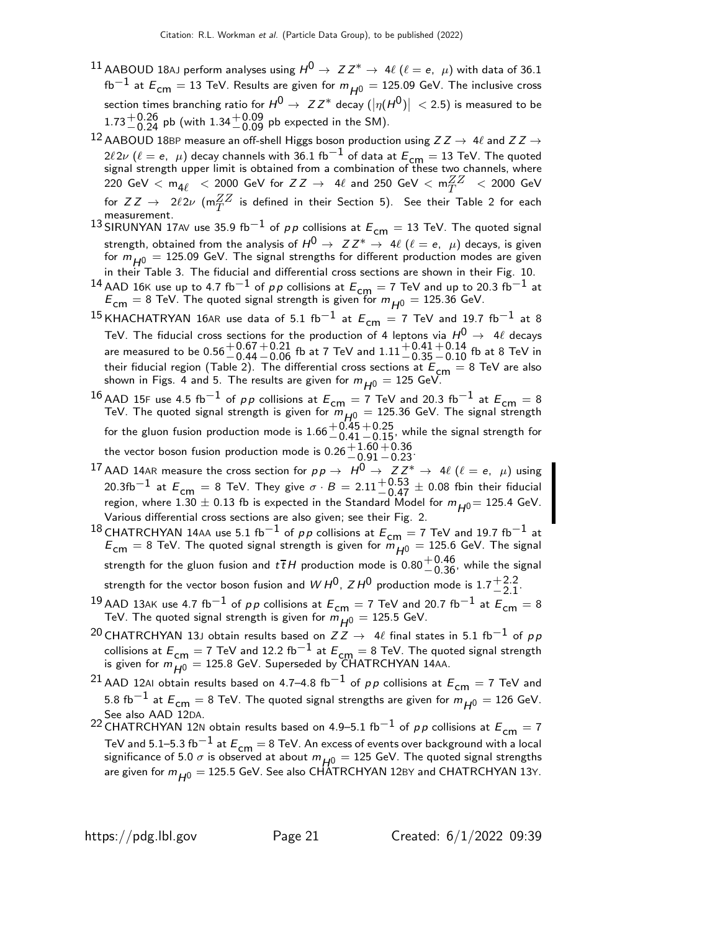- $^{11}$  AABOUD 18AJ perform analyses using  $H^{0}\to~Z\,Z^{*}\to~4\ell$   $(\ell=e,~\mu)$  with data of 36.1  $fb^{-1}$  at  $E_{cm} = 13$  TeV. Results are given for  $m_{H^0} = 125.09$  GeV. The inclusive cross section times branching ratio for  $H^0\to~Z\,Z^*$  decay  $(|\eta(H^0)|\,<$  2.5) is measured to be  $1.73^{+0.26}_{-0.24}$  pb (with  $1.34^{+0.09}_{-0.09}$  pb expected in the SM).
- 12 AABOUD 18BP measure an off-shell Higgs boson production using  $ZZ \rightarrow 4\ell$  and  $ZZ \rightarrow$ 2ℓ2ν (ℓ = e, μ) decay channels with 36.1 fb $^{-1}$  of data at  $E_{\text{cm}} = 13$  TeV. The quoted<br>signal strength upper limit is obtained from a combination of these two channels, where  $220\,\,{\rm GeV}\,<\,m_{4\ell}\,\,<\,2000\,\,{\rm GeV}\,$  for  $ZZ\,\rightarrow\,\,4\ell$  and  $250\,\,{\rm GeV}\,<\,m_{T}^{ZZ}\,\,<\,2000\,\,{\rm GeV}\,$ for  $ZZ \to 2\ell 2\nu$  (m $^{ZZ}_T$  is defined in their Section 5). See their Table 2 for each measurement.
- 13 SIRUNYAN 17AV use 35.9 fb<sup>-1</sup> of pp collisions at  $E_{cm} = 13$  TeV. The quoted signal strength, obtained from the analysis of  $H^0 \to Z Z^* \to 4\ell$  ( $\ell = e, \mu$ ) decays, is given for  $m_{H0} = 125.09$  GeV. The signal strengths for different production modes are given in their Table 3. The fiducial and differential cross sections are shown in their Fig. 10.
- <sup>14</sup> AAD 16K use up to 4.7 fb<sup>-1</sup> of *pp* collisions at  $E_{\text{cm}} = 7$  TeV and up to 20.3 fb<sup>-1</sup> at  $E_{\text{cm}} = 8$  TeV. The quoted signal strength is given for  $m_{H0} = 125.36$  GeV.
- <sup>15</sup> KHACHATRYAN 16AR use data of 5.1 fb<sup>-1</sup> at  $E_{cm}$  = 7 TeV and 19.7 fb<sup>-1</sup> at 8 TeV. The fiducial cross sections for the production of 4 leptons via  $H^0\,\rightarrow\,\,$  4 $\ell$  decays are measured to be  $0.56 {+0.67 \atop -0.44}$  $^+_-0.21$  fb at 7 TeV and  $1.11^{+0.41}_{-0.35}$  $^{\rm +0.14}_{\rm -0.10}$  fb at 8 TeV in their fiducial region (Table 2). The differential cross sections at  $E_{\text{cm}} = 8 \text{ TeV}$  are also shown in Figs. 4 and 5. The results are given for  $m_{H0} = 125$  GeV.
- <sup>16</sup> AAD 15F use 4.5 fb<sup>-1</sup> of pp collisions at  $E_{cm} = 7$  TeV and 20.3 fb<sup>-1</sup> at  $E_{cm} = 8$ TeV. The quoted signal strength is given for  $\widetilde{m}_{H0} = 125.36$  GeV. The signal strength for the gluon fusion production mode is  $1.66 \, {}^{+\, 0.45}_{-\, 0.41}$  $+0.25$  while the signal strength for<br> $-0.15$ the vector boson fusion production mode is  $0.26 \, {}^{+\, 1.60}_{-\, 0.91}$  $^{\rm +0.36}_{\rm -0.23}$
- 17 AAD 14AR measure the cross section for  $p p \to H^0 \to Z Z^* \to 4\ell$  ( $\ell = e, \mu$ ) using  $20.3{\rm fb}^{-1}$  at  $E_{\rm cm} = 8$  TeV. They give  $\sigma \cdot B = 2.11 {+0.53 \atop -0.47} \pm 0.08$  fbin their fiducial region, where 1.30  $\pm$  0.13 fb is expected in the Standard Model for  $m_{H0}$  = 125.4 GeV. Various differential cross sections are also given; see their Fig. 2.
- 18 CHATRCHYAN 14AA use 5.1 fb<sup>-1</sup> of pp collisions at  $E_{cm} = 7$  TeV and 19.7 fb<sup>-1</sup> at  $E_{\text{cm}} = 8$  TeV. The quoted signal strength is given for  $\ddot{m}_{H0} = 125.6$  GeV. The signal strength for the gluon fusion and  $t\,\overline{t}H$  production mode is  $0.80\frac{+0.46}{-0.36}$ , while the signal strength for the vector boson fusion and  $WH^0$ ,  $ZH^0$  production mode is 1.7  $^+{}^{2.2}_{2.1}$  $-2.1$
- 19 AAD 13AK use 4.7 fb<sup>-1</sup> of pp collisions at  $E_{cm} = 7$  TeV and 20.7 fb<sup>-1</sup> at  $E_{cm} = 8$ TeV. The quoted signal strength is given for  $m_{H0} = 125.5$  GeV.
- <sup>20</sup> CHATRCHYAN 13J obtain results based on  $ZZ \rightarrow 4\ell$  final states in 5.1 fb<sup>-1</sup> of pp collisions at  $E_{\textsf{cm}}=7$  TeV and 12.2 fb $^{-1}$  at  $E_{\textsf{cm}}=8$  TeV. The quoted signal strength is given for  $m_{H^0} = 125.8$  GeV. Superseded by CHATRCHYAN 14AA.
- <sup>21</sup> AAD 12AI obtain results based on 4.7–4.8 fb<sup>-1</sup> of pp collisions at  $E_{cm} = 7$  TeV and 5.8 fb<sup>-1</sup> at  $E_{cm} = 8$  TeV. The quoted signal strengths are given for  $m_{H0} = 126$  GeV. See also AAD 12DA.
- 22 CHATRCHYAN 12N obtain results based on 4.9–5.1 fb<sup>-1</sup> of pp collisions at  $E_{cm} = 7$ TeV and 5.1–5.3 fb $^{-1}$  at  $E_{cm} = 8$  TeV. An excess of events over background with a local significance of 5.0  $\sigma$  is observed at about  $m_{H0} = 125$  GeV. The quoted signal strengths are given for  $m_{H0} = 125.5$  GeV. See also CHATRCHYAN 12BY and CHATRCHYAN 13Y.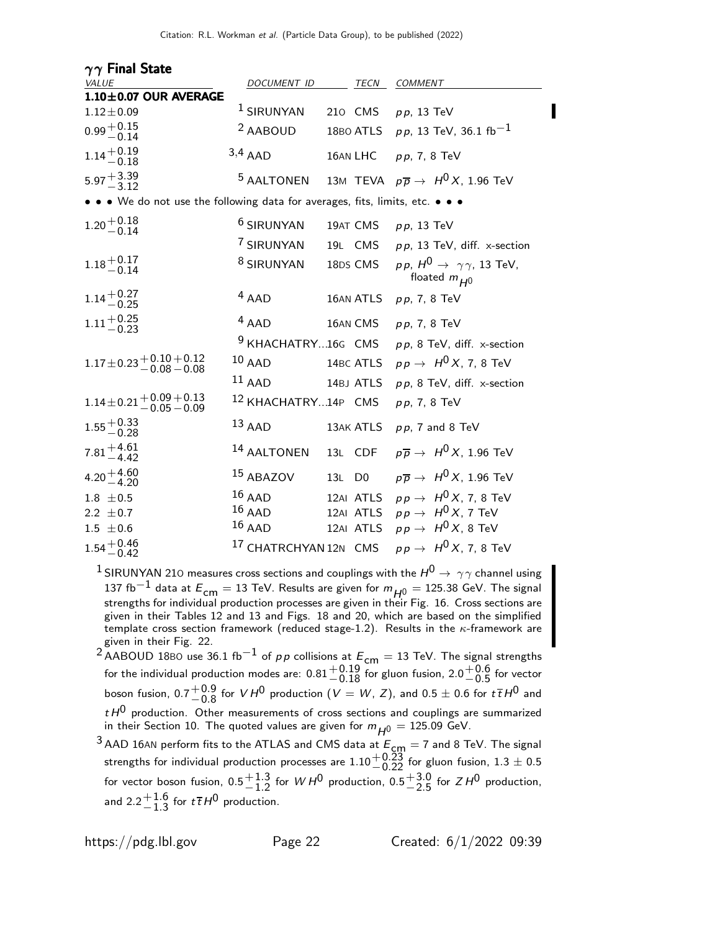| $\gamma\gamma$ Final State                                                  |                                  |                    |           |                                                                       |
|-----------------------------------------------------------------------------|----------------------------------|--------------------|-----------|-----------------------------------------------------------------------|
| <b>VALUE</b>                                                                | DOCUMENT ID                      |                    |           | TECN COMMENT                                                          |
| $1.10\pm0.07$ OUR AVERAGE                                                   |                                  |                    |           |                                                                       |
| $1.12 \pm 0.09$                                                             | <sup>1</sup> SIRUNYAN            |                    |           | 210 CMS pp, 13 TeV                                                    |
| $0.99 + 0.15$<br>$-0.14$                                                    | <sup>2</sup> AABOUD              |                    |           | 18BO ATLS $pp$ , 13 TeV, 36.1 fb <sup>-1</sup>                        |
| $1.14 + 0.19$<br>-0.18                                                      | $3,4$ AAD                        |                    | 16AN LHC  | pp, 7, 8 TeV                                                          |
| $5.97 + 3.39$<br>$-3.12$                                                    | <sup>5</sup> AALTONEN            |                    |           | 13M TEVA $p\overline{p} \rightarrow H^0 X$ , 1.96 TeV                 |
| • • We do not use the following data for averages, fits, limits, etc. • • • |                                  |                    |           |                                                                       |
| $1.20 + 0.18$<br>-0.14                                                      | <sup>6</sup> SIRUNYAN            |                    | 19AT CMS  | $pp$ , 13 TeV                                                         |
|                                                                             | <sup>7</sup> SIRUNYAN            |                    | 19L CMS   | $p p$ , 13 TeV, diff. x-section                                       |
| $1.18 + 0.17$<br>$-0.14$                                                    | <sup>8</sup> SIRUNYAN            |                    | 18DS CMS  | $p p$ , $H^0 \rightarrow \gamma \gamma$ , 13 TeV,<br>floated $m_{H0}$ |
| $1.14 + 0.27$<br>-0.25                                                      | $4$ AAD                          |                    |           | 16AN ATLS $pp$ , 7, 8 TeV                                             |
| $1.11 + 0.25$<br>$-0.23$                                                    | $4$ AAD                          |                    | 16AN CMS  | $pp, 7, 8$ TeV                                                        |
|                                                                             | <sup>9</sup> KHACHATRY16G CMS    |                    |           | $p p$ , 8 TeV, diff. x-section                                        |
| $1.17 \pm 0.23 \begin{array}{r} +0.10 + 0.12 \\ -0.08 - 0.08 \end{array}$   | $10$ AAD                         |                    | 14BC ATLS | $pp \rightarrow H^0 X$ , 7, 8 TeV                                     |
|                                                                             | $11$ AAD                         |                    | 14BJ ATLS | $pp$ , 8 TeV, diff. x-section                                         |
| $1.14\pm0.21\frac{+0.09+0.13}{-0.05-0.09}$                                  | 12 KHACHATRY14P CMS              |                    |           | pp, 7, 8 TeV                                                          |
| $1.55 + 0.33$<br>-0.28                                                      | $13$ AAD                         |                    | 13AK ATLS | $p p$ , 7 and 8 TeV                                                   |
| $7.81 + 4.61$<br>$-4.42$                                                    | 14 AALTONEN                      |                    | 13L CDF   | $p\overline{p}\rightarrow\ H^0X$ , 1.96 TeV                           |
| $4.20 + 4.60$<br>$-4.20$                                                    | 15 ABAZOV                        | 13L D <sub>0</sub> |           | $p\overline{p} \rightarrow H^0 X$ , 1.96 TeV                          |
| $1.8 \pm 0.5$                                                               | $16$ AAD                         |                    | 12AI ATLS | $p \, p \rightarrow \, H^0 \, X$ , 7, 8 TeV                           |
| 2.2 $\pm$ 0.7                                                               | $16$ AAD                         |                    | 12AI ATLS | $p \, p \rightarrow \, H^0 \, X$ , 7 TeV                              |
| $1.5 \pm 0.6$                                                               | $16$ AAD                         |                    | 12AI ATLS | $p \, p \, \rightarrow \, \, H^0 \, X, \, 8$ TeV                      |
| $1.54 + 0.46$<br>-0.42                                                      | <sup>17</sup> CHATRCHYAN 12N CMS |                    |           | $pp \rightarrow H^0 X$ , 7, 8 TeV                                     |

<sup>1</sup> SIRUNYAN 210 measures cross sections and couplings with the  $H^0\to\gamma\gamma$  channel using 137 fb $^{-1}$  data at  $E_{cm} = 13$  TeV. Results are given for  $m_{H^0} = 125.38$  GeV. The signal strengths for individual production processes are given in their Fig. 16. Cross sections are given in their Tables 12 and 13 and Figs. 18 and 20, which are based on the simplified template cross section framework (reduced stage-1.2). Results in the  $\kappa$ -framework are given in their Fig. 22.

2 AABOUD 18BO use 36.1 fb<sup>-1</sup> of p p collisions at  $E_{cm} = 13$  TeV. The signal strengths for the individual production modes are:  $0.81 {+0.19 \atop -0.18}$  for gluon fusion,  $2.0 {+0.6 \atop -0.5}$  $-0.5$  for vector boson fusion,  $0.7^{+0.9}_{-0.8}$  $^{+0.9}_{-0.8}$  for  $V H^0$  production  $(V = W, Z)$ , and  $0.5 \pm 0.6$  for  $t\bar{t}H^0$  and  $t \, t^{0}$  production. Other measurements of cross sections and couplings are summarized in their Section 10. The quoted values are given for  $m_{\small{H^0}} = 125.09$  GeV.

 $^3$  AAD 16AN perform fits to the ATLAS and CMS data at  $E_{\text{cm}}=7$  and 8 TeV. The signal strengths for individual production processes are  $1.10 {+0.23 \atop -0.22}$  for gluon fusion,  $1.3 \pm 0.5$ for vector boson fusion,  $0.5 - 1.3$  $^{+1.3}_{-1.2}$  for  $WH^0$  production,  $0.5^{+3.0}_{-2.5}$  $+3.0$  for  $ZH^0$  production, and 2.2 $^{+1.6}_{-1.3}$  $^{+1.6}_{-1.3}$  for  $t\bar{t}H^0$  production.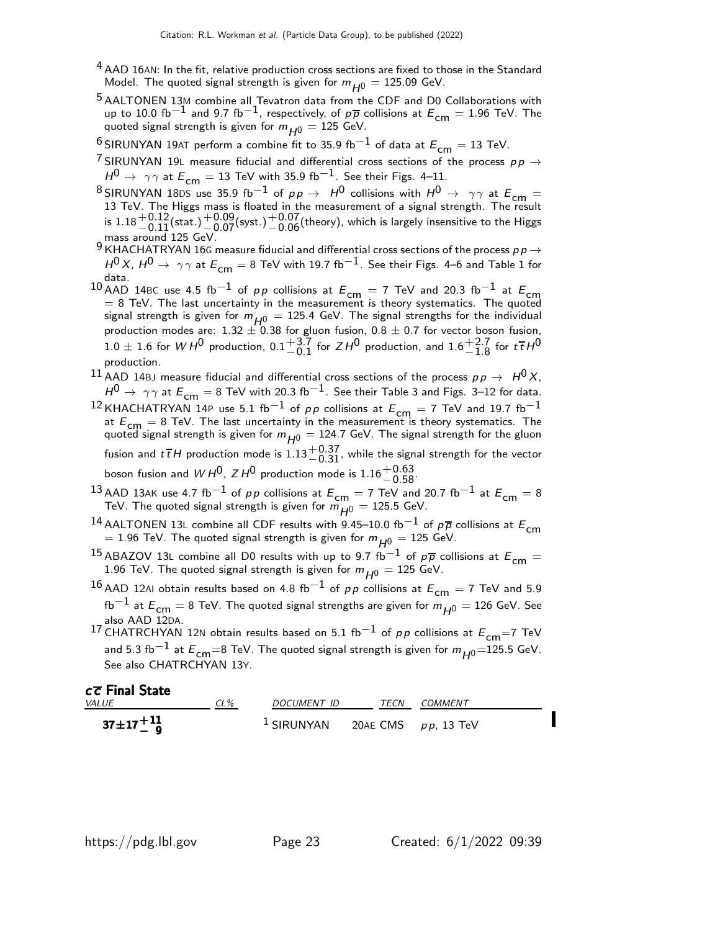- <sup>4</sup> AAD 16AN: In the fit, relative production cross sections are fixed to those in the Standard Model. The quoted signal strength is given for  $m_{H0} = 125.09$  GeV.
- <sup>5</sup> AALTONEN 13M combine all Tevatron data from the CDF and D0 Collaborations with up to 10.0 fb<sup>-1</sup> and 9.7 fb<sup>-1</sup>, respectively, of  $p\bar{p}$  collisions at  $E_{cm} = 1.96$  TeV. The quoted signal strength is given for  $m_{H^0} = 125$  GeV.
- <sup>6</sup> SIRUNYAN 19AT perform a combine fit to 35.9 fb<sup>-1</sup> of data at  $E_{cm} = 13$  TeV.
- 7 SIRUNYAN 19L measure fiducial and differential cross sections of the process  $pp \rightarrow$  $H^0$  →  $\gamma\gamma$  at  $E_{\text{cm}} = 13$  TeV with 35.9 fb<sup>-1</sup>. See their Figs. 4–11.
- $^8$ SIRUNYAN 18DS use 35.9 fb $^{-1}$  of  $p \, p \, \rightarrow \, H^0$  collisions with  $H^0 \rightarrow \, \gamma \gamma$  at  $E_{\mathsf{cm}}=13$  TeV. The Higgs mass is floated in the measurement of a signal strength. The result is  $1.18 \frac{+0.12}{-0.11}$ (stat.) $\frac{+0.09}{-0.07}$ (syst.) $\frac{+0.07}{-0.06}$ (theory), which is largely insensitive to the Higgs mass around 125 GeV.
- 9 KHACHATRYAN 16G measure fiducial and differential cross sections of the process  $p p \rightarrow$  $H^{0}X$ ,  $H^{0}\rightarrow \gamma\gamma$  at  $E_{cm}=8$  TeV with 19.7 fb $^{-1}$ . See their Figs. 4–6 and Table 1 for data.
- $10$  AAD 14BC use 4.5 fb<sup>-1</sup> of *pp* collisions at  $E_{cm} = 7$  TeV and 20.3 fb<sup>-1</sup> at  $E_{cm} = 8$  TeV. The last uncertainty in the measurement is theory systematics. The quoted signal strength is given for  $m_{\overline{H^0}} = 125.4$  GeV. The signal strengths for the individual production modes are: 1.32  $\pm$  0.38 for gluon fusion, 0.8  $\pm$  0.7 for vector boson fusion,  $1.0 \pm 1.6$  for  $WH^{0}$  production,  $0.1^{+3.7}_{-0.1}$  $^{+3.7}_{-0.1}$  for  $ZH^0$  production, and  $1.6^{+2.7}_{-1.8}$  $^{+2.7}_{-1.8}$  for  $t\overline{t}H^0$ production.
- 11 AAD 14BJ measure fiducial and differential cross sections of the process  $p p \rightarrow H^0 X$ ,  $H^0$  →  $\gamma\gamma$  at  $E_{cm}$  = 8 TeV with 20.3 fb $^{-1}$ . See their Table 3 and Figs. 3–12 for data.
- <sup>12</sup> KHACHATRYAN 14P use 5.1 fb<sup>-1</sup> of pp collisions at  $E_{cm} = 7$  TeV and 19.7 fb<sup>-1</sup> at  $E_{\text{cm}} = 8$  TeV. The last uncertainty in the measurement is theory systematics. The quoted signal strength is given for  $m_{H^0} = 124.7$  GeV. The signal strength for the gluon fusion and  $t\,\overline{t}H$  production mode is  $1.13\frac{+0.37}{-0.31}$ , while the signal strength for the vector boson fusion and  $WH^0$ ,  $ZH^0$  production mode is  $1.16^{+0.63}_{-0.58}$ .
- <sup>13</sup> AAD 13AK use 4.7 fb<sup>-1</sup> of pp collisions at  $E_{cm} = 7$  TeV and 20.7 fb<sup>-1</sup> at  $E_{cm} = 8$ TeV. The quoted signal strength is given for  $m_{H^0} = 125.5$  GeV.
- <sup>14</sup> AALTONEN 13L combine all CDF results with 9.45–10.0 fb<sup>-1</sup> of  $p\overline{p}$  collisions at  $E_{cm}$ = 1.96 TeV. The quoted signal strength is given for  $m_{H0} = 125$  GeV.
- <sup>15</sup> ABAZOV 13L combine all D0 results with up to 9.7 fb<sup>-1</sup> of  $p\overline{p}$  collisions at  $E_{cm} =$ 1.96 TeV. The quoted signal strength is given for  $m_{H0} = 125$  GeV.
- $16$  AAD 12AI obtain results based on 4.8 fb $^{-1}$  of pp collisions at  $E_{cm} = 7$  TeV and 5.9  $fb^{-1}$  at  $E_{cm} = 8$  TeV. The quoted signal strengths are given for  $m_{H^0} = 126$  GeV. See also AAD 12DA.
- 17 CHATRCHYAN 12N obtain results based on 5.1 fb<sup>-1</sup> of pp collisions at  $E_{cm}$ =7 TeV and 5.3 fb $^{-1}$  at  $E_{cm}=8$  TeV. The quoted signal strength is given for  $m_{H0}=125.5$  GeV. See also CHATRCHYAN 13Y.

#### $c\overline{c}$  Final State

| <i>VALUE</i>     | CL% | <i>DOCUMENT ID</i>                  | TECN COMMENT |
|------------------|-----|-------------------------------------|--------------|
| $37 \pm 17 + 11$ |     | $1$ SIRUNYAN 20AE CMS $pp$ , 13 TeV |              |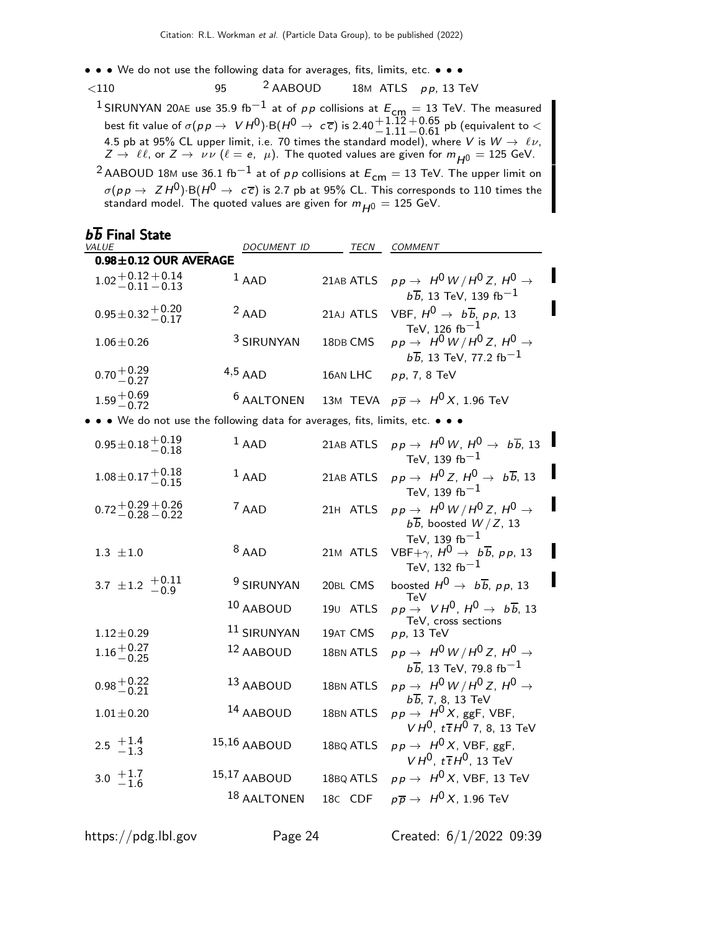- • We do not use the following data for averages, fits, limits, etc. • •
- $\langle 110$  95  $^2$  AABOUD 18M ATLS pp, 13 TeV
	- <sup>1</sup> SIRUNYAN 20AE use 35.9 fb<sup>−1</sup> at of *p p* collisions at  $E_{\text{cm}} = 13$  TeV. The measured best fit value of  $\sigma(p\,p\to\;\;V\,H^0)\;{\rm B}(H^0\to\;c\,\overline{c})$  is 2.40 ${+1.12}\atop{-1.11}$  $\rm _{-0.61}^{+0.65}$  pb (equivalent to  $<$ 4.5 pb at 95% CL upper limit, i.e. 70 times the standard model), where V is  $W\to~\ell\nu,$  $Z \to \ell \ell$ , or  $Z \to \nu \nu$   $(\ell = e, \mu)$ . The quoted values are given for  $m_{\overline{H^0}} = 125$  GeV.
	- <sup>2</sup> AABOUD 18M use 36.1 fb<sup>-1</sup> at of pp collisions at  $E_{cm} = 13$  TeV. The upper limit on  $\sigma(p \, p \to Z \, H^0)$ ·B $(H^0 \to c\overline{c})$  is 2.7 pb at 95% CL. This corresponds to 110 times the standard model. The quoted values are given for  $m_{H^0} = 125$  GeV.

| $b\overline{b}$ Final State                                 |                                                                             |                      |                                                                                                                |
|-------------------------------------------------------------|-----------------------------------------------------------------------------|----------------------|----------------------------------------------------------------------------------------------------------------|
| <i>VALUE</i>                                                | DOCUMENT ID TECN                                                            |                      | <i>COMMENT</i>                                                                                                 |
| $0.98 \pm 0.12$ OUR AVERAGE                                 |                                                                             |                      |                                                                                                                |
| $1.02 + 0.12 + 0.14$<br>-0.11 -0.13                         | $1$ AAD                                                                     | 21AB ATLS            | $pp \rightarrow H^0 W/H^0 Z$ , $H^0 \rightarrow$<br>$b\overline{b}$ , 13 TeV, 139 fb $^{-1}$                   |
| $0.95 \pm 0.32 + 0.20$<br>-0.17                             | $2$ AAD                                                                     | 21AJ ATLS            | VBF, $H^0 \rightarrow b\overline{b}$ , pp, 13<br>TeV, 126 $fb^{-1}$                                            |
| $1.06 \pm 0.26$                                             | <sup>3</sup> SIRUNYAN                                                       | 18DB CMS             | $pp \rightarrow H^0 W/H^0 Z$ , $H^0 \rightarrow$<br>$b\overline{b}$ , 13 TeV, 77.2 fb $^{-1}$                  |
| $0.70 + 0.29$<br>-0.27                                      | $4,5$ AAD                                                                   | 16AN LHC             | $pp, 7, 8$ TeV                                                                                                 |
| $1.59 + 0.69$<br>-0.72                                      | <sup>6</sup> AALTONEN                                                       |                      | 13M TEVA $p\overline{p} \rightarrow H^0 X$ , 1.96 TeV                                                          |
|                                                             | • • We do not use the following data for averages, fits, limits, etc. • • • |                      |                                                                                                                |
| $0.95 \pm 0.18 \begin{array}{c} +0.19 \\ -0.18 \end{array}$ | $1$ AAD                                                                     | 21AB ATLS            | $pp \rightarrow H^0 W$ , $H^0 \rightarrow b\overline{b}$ , 13<br>TeV, 139 $fb^{-1}$                            |
| $1.08 \pm 0.17 + 0.18$                                      | $1$ AAD                                                                     | 21AB ATLS            | $pp \rightarrow H^0 Z$ , $H^0 \rightarrow b\overline{b}$ , 13<br>TeV, 139 $fb^{-1}$                            |
| $0.72 + 0.29 + 0.26$<br>$-0.28 - 0.22$                      | $7$ AAD                                                                     | 21H ATLS             | $pp \rightarrow H^0 W/H^0 Z$ , $H^0 \rightarrow$<br>$b\overline{b}$ , boosted $W/Z$ , 13<br>TeV, 139 $fb^{-1}$ |
| $1.3 \pm 1.0$                                               | $8$ AAD                                                                     | 21M ATLS             | VBF+ $\gamma$ , $H^0 \rightarrow b\overline{b}$ , pp, 13<br>TeV, 132 fb $^{-1}$                                |
| 3.7 $\pm$ 1.2 $+0.11$<br>-0.9                               | <sup>9</sup> SIRUNYAN                                                       | 20BL CMS             | boosted $H^0 \rightarrow b\overline{b}$ , pp, 13<br>TeV                                                        |
|                                                             | 10 AABOUD                                                                   | 19 <sub>U</sub> ATLS | $pp \rightarrow V H^0$ , $H^0 \rightarrow b\overline{b}$ , 13<br>TeV, cross sections                           |
| $1.12 \pm 0.29$                                             | 11 SIRUNYAN                                                                 | 19AT CMS             | $p p$ , 13 TeV                                                                                                 |
| $1.16 + 0.27$<br>$-0.25$                                    | <sup>12</sup> AABOUD                                                        | 18BN ATLS            | $pp \rightarrow H^0 W/H^0 Z$ , $H^0 \rightarrow$<br>$b\overline{b}$ , 13 TeV, 79.8 fb $^{-1}$                  |
| $0.98 + 0.22$<br>$-0.21$                                    | 13 AABOUD                                                                   | 18BN ATLS            | $pp \rightarrow H^0 W/H^0 Z$ , $H^0 \rightarrow$<br>$b\overline{b}$ , 7, 8, 13 TeV                             |
| $1.01 \pm 0.20$                                             | 14 AABOUD                                                                   | 18BN ATLS            | $pp \rightarrow H^0 X$ , ggF, VBF,<br>$V H^{0}$ , $t \bar{t} H^{0}$ 7, 8, 13 TeV                               |
| 2.5 $+1.4$<br>-1.3                                          | 15,16 AABOUD                                                                | 18BQ ATLS            | $pp \rightarrow H^0 X$ , VBF, ggF,<br>$V H^{0}$ , $t \overline{t} H^{0}$ , 13 TeV                              |
| $3.0 \begin{array}{c} +1.7 \\ -1.6 \end{array}$             | 15,17 AABOUD                                                                | 18BQ ATLS            | $pp \rightarrow H^0 X$ , VBF, 13 TeV                                                                           |
|                                                             | 18 AALTONEN                                                                 | 18C CDF              | $p\overline{p} \rightarrow H^0 X$ , 1.96 TeV                                                                   |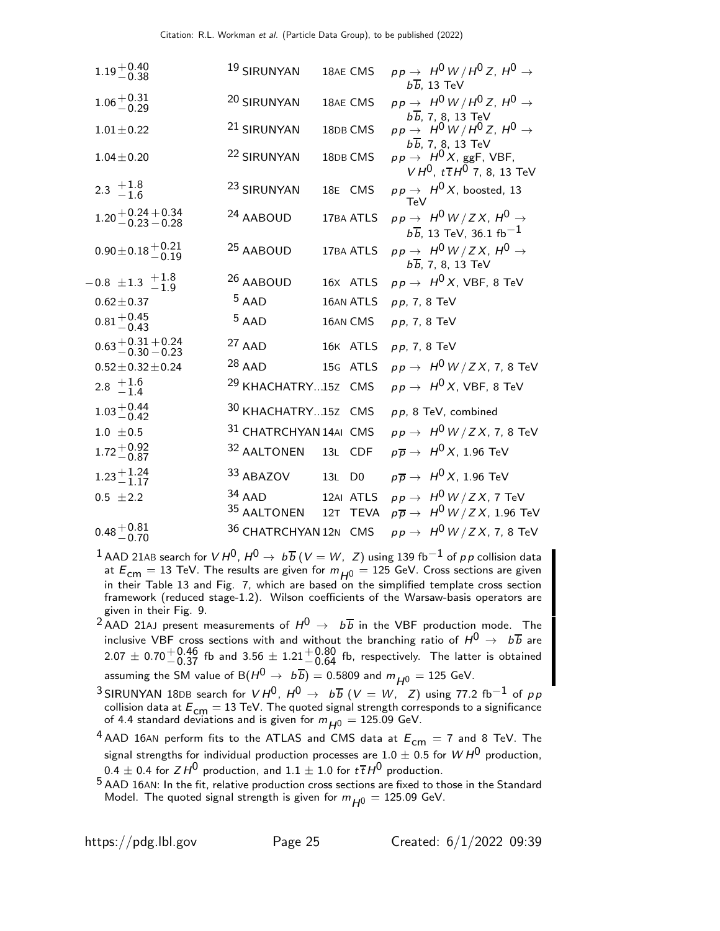| $1.19 + 0.40$<br>$-0.38$               | 19 SIRUNYAN                      | 18AE CMS  | $pp \rightarrow H^0 W/H^0 Z$ , $H^0 \rightarrow$<br>$b\overline{b}$ , 13 TeV                                         |
|----------------------------------------|----------------------------------|-----------|----------------------------------------------------------------------------------------------------------------------|
| $1.06 + 0.31$<br>$-0.29$               | 20 SIRUNYAN                      | 18AE CMS  | $pp \rightarrow H^0 W/H^0 Z$ , $H^0 \rightarrow$                                                                     |
| $1.01 \pm 0.22$                        | <sup>21</sup> SIRUNYAN           | 18DB CMS  | $b\overline{b}$ , 7, 8, 13 TeV<br>$pp \rightarrow H^0 W/H^0 Z$ , $H^0 \rightarrow$<br>$b\overline{b}$ , 7, 8, 13 TeV |
| $1.04 \pm 0.20$                        | <sup>22</sup> SIRUNYAN           | 18DB CMS  | $pp \rightarrow H^0 X$ , ggF, VBF,<br>$VH^0$ , $t\bar{t}H^0$ 7, 8, 13 TeV                                            |
| 2.3 $+1.8$<br>-1.6                     | 23 SIRUNYAN                      | 18E CMS   | $pp \rightarrow H^0 X$ , boosted, 13<br>TeV                                                                          |
| $1.20 + 0.24 + 0.34$<br>$-0.23 - 0.28$ | <sup>24</sup> AABOUD             | 17BA ATLS | $pp \rightarrow H^0 W/ZX$ , $H^0 \rightarrow$<br>$b\overline{b}$ , 13 TeV, 36.1 fb <sup>-1</sup>                     |
| $0.90 \pm 0.18 + 0.21$<br>-0.19        | <sup>25</sup> AABOUD             | 17BA ATLS | $pp \rightarrow H^0 W/ZX$ , $H^0 \rightarrow$<br>$b\overline{b}$ , 7, 8, 13 TeV                                      |
| $-0.8 \pm 1.3 + 1.8 \atop -1.9$        | <sup>26</sup> AABOUD             | 16X ATLS  | $pp \rightarrow H^0 X$ , VBF, 8 TeV                                                                                  |
| $0.62 \pm 0.37$                        | $5$ AAD                          | 16AN ATLS | $pp, 7, 8$ TeV                                                                                                       |
| $0.81 + 0.45$<br>$-0.43$               | $5$ AAD                          | 16AN CMS  | $pp, 7, 8$ TeV                                                                                                       |
| $0.63 + 0.31 + 0.24$<br>$-0.30 - 0.23$ | $27$ AAD                         | 16K ATLS  | $pp, 7, 8$ TeV                                                                                                       |
| $0.52 \pm 0.32 \pm 0.24$               | $28$ AAD                         | 15G ATLS  | $pp \rightarrow H^0 W/ZX$ , 7, 8 TeV                                                                                 |
| 2.8 $+1.6$<br>-1.4                     | <sup>29</sup> KHACHATRY15Z CMS   |           | $pp \rightarrow H^0 X$ , VBF, 8 TeV                                                                                  |
| $1.03 + 0.44$<br>-0.42                 | 30 KHACHATRY15Z CMS              |           | $pp$ , 8 TeV, combined                                                                                               |
| $1.0 \pm 0.5$                          | 31 CHATRCHYAN 14AI CMS           |           | $pp \rightarrow H^0 W/ZX$ , 7, 8 TeV                                                                                 |
| $1.72 + 0.92$<br>-0.87                 | 32 AALTONEN 13L CDF              |           | $p\overline{p} \rightarrow H^0 X$ , 1.96 TeV                                                                         |
| $1.23 + 1.24$<br>$-1.17$               | 33 ABAZOV 13L D0                 |           | $p\overline{p} \rightarrow H^0 X$ , 1.96 TeV                                                                         |
| $0.5 \pm 2.2$                          | $34$ AAD<br>35 AALTONEN 12T TEVA | 12AI ATLS | $pp \rightarrow H^0 W/ZX$ , 7 TeV<br>$p\overline{p} \rightarrow ~ H^{\text{O}}$ W $/$ Z X , 1.96 TeV                 |
| $0.48 + 0.81$<br>-0.70                 | 36 CHATRCHYAN 12N CMS            |           | $pp \rightarrow H^0 W/ZX$ , 7, 8 TeV                                                                                 |

- <sup>1</sup> AAD 21AB search for  $V H^{0}$ ,  $H^{0} \rightarrow b\overline{b}$  ( $V = W$ ,  $Z$ ) using 139 fb<sup>-1</sup> of pp collision data at  $E_{cm} = 13$  TeV. The results are given for  $m_{H0} = 125$  GeV. Cross sections are given in their Table 13 and Fig. 7, which are based on the simplified template cross section framework (reduced stage-1.2). Wilson coefficients of the Warsaw-basis operators are given in their Fig. 9.
- <sup>2</sup> AAD 21AJ present measurements of  $H^0 \rightarrow b\overline{b}$  in the VBF production mode. The inclusive VBF cross sections with and without the branching ratio of  $H^0 \rightarrow b\overline{b}$  are  $2.07\pm0.70 {+0.46\atop -0.37}$  fb and  $3.56\pm1.21{+0.80\atop -0.64}$  fb, respectively. The latter is obtained assuming the SM value of B $(H^0 \rightarrow b\overline{b}) = 0.5809$  and  $m_{H^0} = 125$  GeV.
- $^3$ SIRUNYAN 18DB search for  $V H^{0}$ ,  $H^{0} \rightarrow~b \overline{b}$   $(V = W,~Z)$  using 77.2 fb $^{-1}$  of  $\rho\overline{\rho}$ collision data at  $E_{\text{cm}} = 13 \text{ TeV}$ . The quoted signal strength corresponds to a significance of 4.4 standard deviations and is given for  $m_{\small{H^0}} = 125.09$  GeV.
- <sup>4</sup> AAD 16AN perform fits to the ATLAS and CMS data at  $E_{cm} = 7$  and 8 TeV. The signal strengths for individual production processes are  $1.0 \pm 0.5$  for  $W H^0$  production,  $0.4 \pm 0.4$  for  $ZH^0$  production, and  $1.1 \pm 1.0$  for  $t\bar{t}H^0$  production.
- 5 AAD 16AN: In the fit, relative production cross sections are fixed to those in the Standard Model. The quoted signal strength is given for  $m_{H0} = 125.09$  GeV.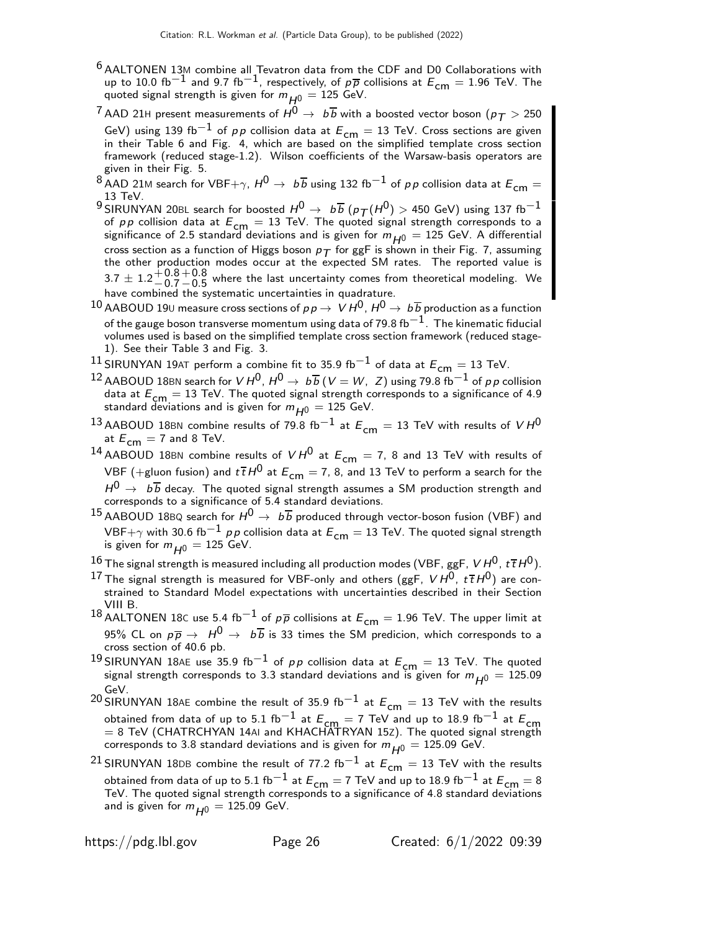- $6$  AALTONEN 13M combine all Tevatron data from the CDF and D0 Collaborations with up to 10.0 fb $^{-1}$  and 9.7 fb $^{-1}$ , respectively, of  $p\overline{p}$  collisions at  $E_{\mathsf{cm}}=1.96$  TeV. The quoted signal strength is given for  $m_{H0} = 125$  GeV.
- $^{7}$  AAD 21H present measurements of  $H^{0} \rightarrow~b \overline{b}$  with a boosted vector boson ( $p_{\mathcal{T}} > 250$ GeV) using 139 fb<sup>-1</sup> of pp collision data at  $E_{cm} = 13$  TeV. Cross sections are given in their Table 6 and Fig. 4, which are based on the simplified template cross section framework (reduced stage-1.2). Wilson coefficients of the Warsaw-basis operators are given in their Fig. 5.
- 8 AAD 21M search for VBF+ $\gamma$ ,  $H^0 \rightarrow b\overline{b}$  using 132 fb<sup>-1</sup> of pp collision data at  $E_{cm} =$ 13 TeV.
- 9 SIRUNYAN 20BL search for boosted  $H^0 \rightarrow b \overline{b}$  ( $p_T(H^0) > 450$  GeV) using 137 fb<sup>-1</sup> of *p p* collision data at  $E_{\text{cm}} = 13$  TeV. The quoted signal strength corresponds to a significance of 2.5 standard deviations and is given for  $m_{H0} = 125$  GeV. A differential cross section as a function of Higgs boson  $p_T$  for ggF is shown in their Fig. 7, assuming the other production modes occur at the expected SM rates. The reported value is  $3.7 \pm 1.2 \pm 0.8$  $-0.7$  $+0.8$  $^{+0.0}_{-0.5}$  where the last uncertainty comes from theoretical modeling. We have combined the systematic uncertainties in quadrature.
- 10 AABOUD 190 measure cross sections of  $p \rightarrow V H^0$ ,  $H^0 \rightarrow b \overline{b}$  production as a function of the gauge boson transverse momentum using data of 79.8 fb $^{-1}$ . The kinematic fiducial volumes used is based on the simplified template cross section framework (reduced stage-1). See their Table 3 and Fig. 3.
- 11 SIRUNYAN 19AT perform a combine fit to 35.9 fb<sup>-1</sup> of data at  $E_{cm} = 13$  TeV.
- $^{12}$  AABOUD 18BN search for  $V H^{0}$ ,  $H^{0} \rightarrow b\overline{b}$  ( $V = W$ ,  $Z$ ) using 79.8 fb $^{-1}$  of pp collision data at  $E_{\text{cm}} = 13$  TeV. The quoted signal strength corresponds to a significance of 4.9 standard deviations and is given for  $m_{H0} = 125$  GeV.
- 13 AABOUD 18BN combine results of 79.8 fb<sup>-1</sup> at  $E_{cm} = 13$  TeV with results of  $V H^0$ at  $E_{cm} = 7$  and 8 TeV.
- <sup>14</sup> AABOUD 18BN combine results of  $V H^0$  at  $E_{cm} = 7$ , 8 and 13 TeV with results of VBF (+gluon fusion) and  $t\bar{t}H^0$  at  $E_{cm} = 7$ , 8, and 13 TeV to perform a search for the  $H^0\,\rightarrow\,\,b\,\overline{b}$  decay. The quoted signal strength assumes a SM production strength and corresponds to a significance of 5.4 standard deviations.
- <sup>15</sup> AABOUD 18BQ search for  $H^0 \rightarrow b\overline{b}$  produced through vector-boson fusion (VBF) and VBF+ $\gamma$  with 30.6 fb<sup>-1</sup> pp collision data at  $E_{cm} = 13$  TeV. The quoted signal strength is given for  $m_{H0} = 125$  GeV.
- 16 The signal strength is measured including all production modes (VBF, ggF,  $V H^{0}$ ,  $t\bar{t}H^{0}$ ).
- $^{17}$  The signal strength is measured for VBF-only and others (ggF, V  $H^{0}$ ,  $t\,\overline{t}\,H^{0})$  are constrained to Standard Model expectations with uncertainties described in their Section VIII B.
- 18 AALTONEN 18C use 5.4 fb<sup>-1</sup> of  $p\overline{p}$  collisions at  $E_{cm} = 1.96$  TeV. The upper limit at 95% CL on  $p\overline{p} \to H^0 \to b\overline{b}$  is 33 times the SM predicion, which corresponds to a cross section of 40.6 pb.
- 19 SIRUNYAN 18AE use 35.9 fb<sup>-1</sup> of pp collision data at  $E_{\text{cm}} = 13$  TeV. The quoted signal strength corresponds to 3.3 standard deviations and is given for  $m_{H0} = 125.09$ GeV.
- <sup>20</sup> SIRUNYAN 18AE combine the result of 35.9 fb<sup>-1</sup> at  $E_{cm} = 13$  TeV with the results obtained from data of up to 5.1 fb $^{-1}$  at  $E_{\mathsf{cm}}=7$  TeV and up to 18.9 fb $^{-1}$  at  $E_{\mathsf{cm}}=8$  TeV (CHATRCHYAN 14AI and KHACHATRYAN 15Z). The quoted signal strength corresponds to 3.8 standard deviations and is given for  $m_{H^0} = 125.09$  GeV.

<sup>21</sup> SIRUNYAN 18DB combine the result of 77.2 fb<sup>-1</sup> at  $E_{cm} = 13$  TeV with the results obtained from data of up to 5.1 fb $^{-1}$  at  $E_{\mathsf{cm}}=7$  TeV and up to 18.9 fb $^{-1}$  at  $E_{\mathsf{cm}}=8$  TeV. The quoted signal strength corresponds to a significance of 4.8 standard deviations and is given for  $m_{H0} = 125.09$  GeV.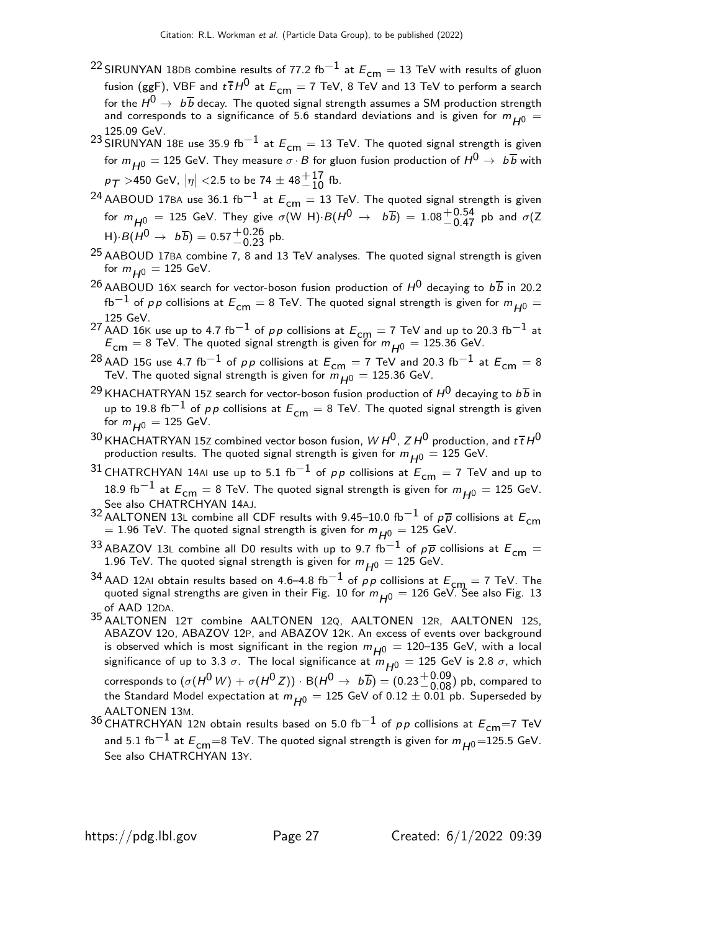- <sup>22</sup> SIRUNYAN 18DB combine results of 77.2 fb<sup>−1</sup> at  $E_{cm} = 13$  TeV with results of gluon fusion (ggF), VBF and  $t\bar{t}H^0$  at  $E_{cm} = 7$  TeV, 8 TeV and 13 TeV to perform a search for the  $H^0\rightarrow\ b\overline{b}$  decay. The quoted signal strength assumes a SM production strength and corresponds to a significance of 5.6 standard deviations and is given for  $m_{H0} =$ 125.09 GeV.
- 23 SIRUNYAN 18E use 35.9 fb<sup>-1</sup> at  $E_{cm} = 13$  TeV. The quoted signal strength is given for  $m_{H0} = 125$  GeV. They measure  $\sigma \cdot B$  for gluon fusion production of  $H^0 \to b \overline{b}$  with  $p_{\mathcal{T}} >$ 450 GeV,  $|\eta| <$  2.5 to be 74  $\pm$  48 $^{+17}_{-10}$  fb.
- 24 AABOUD 17BA use 36.1 fb<sup>-1</sup> at  $E_{cm} = 13$  TeV. The quoted signal strength is given for  $m_{\overline{H^0}} = 125$  GeV. They give  $\sigma$ (W H)· $B(H^0 \rightarrow b\overline{b}) = 1.08^{+0.54}_{-0.47}$  pb and  $\sigma$ (Z  $H)·B(H^0 \rightarrow b\overline{b}) = 0.57^{+0.26}_{-0.23}$  pb.
- $25$  AABOUD 17BA combine 7, 8 and 13 TeV analyses. The quoted signal strength is given for  $m_{H0} = 125$  GeV.
- <sup>26</sup> AABOUD 16X search for vector-boson fusion production of  $H^0$  decaying to  $b\overline{b}$  in 20.2 fb<sup>−1</sup> of pp collisions at  $E_{cm} = 8$  TeV. The quoted signal strength is given for  $m_{H0} =$ 125 GeV.
- <sup>27</sup> AAD 16K use up to 4.7 fb<sup>-1</sup> of *pp* collisions at  $E_{cm} = 7$  TeV and up to 20.3 fb<sup>-1</sup> at  $E_{\text{cm}} = 8$  TeV. The quoted signal strength is given for  $m_{H0} = 125.36$  GeV.
- <sup>28</sup> AAD 15G use 4.7 fb<sup>-1</sup> of pp collisions at  $E_{cm} = 7$  TeV and 20.3 fb<sup>-1</sup> at  $E_{cm} = 8$ TeV. The quoted signal strength is given for  $m_{H0}^{}=125.36$  GeV.
- <sup>29</sup> KHACHATRYAN 15Z search for vector-boson fusion production of  $H^0$  decaying to  $b\overline{b}$  in up to 19.8 fb<sup>-1</sup> of pp collisions at  $E_{cm} = 8$  TeV. The quoted signal strength is given for  $m_{H0} = 125$  GeV.
- $^{30}$  KHACHATRYAN 15Z combined vector boson fusion, W H<sup>0</sup>, Z H<sup>0</sup> production, and  $t\,\overline{t}$  H<sup>0</sup> production results. The quoted signal strength is given for  $m_{H0} = 125$  GeV.
- 31 CHATRCHYAN 14AI use up to 5.1 fb<sup>-1</sup> of  $pp$  collisions at  $E_{cm} = 7$  TeV and up to 18.9 fb $^{-1}$  at  $E_{cm} = 8$  TeV. The quoted signal strength is given for  $m_{H0} = 125$  GeV. See also CHATRCHYAN 14AJ.
- 32 AALTONEN 13L combine all CDF results with 9.45–10.0 fb<sup>-1</sup> of  $p\overline{p}$  collisions at  $E_{cm}$  $= 1.96$  TeV. The quoted signal strength is given for  $m_{H0} = 125$  GeV.
- 33 ABAZOV 13L combine all D0 results with up to 9.7 fb<sup>-1</sup> of  $p\overline{p}$  collisions at  $E_{cm} =$ 1.96 TeV. The quoted signal strength is given for  $m_{H^0} = 125$  GeV.
- 34 AAD 12AI obtain results based on 4.6–4.8 fb<sup>-1</sup> of pp collisions at  $E_{cm} = 7$  TeV. The quoted signal strengths are given in their Fig. 10 for  $m_{H0} = 126$  GeV. See also Fig. 13 of AAD 12DA.
- 35 AALTONEN 12<sup>T</sup> combine AALTONEN 12Q, AALTONEN 12R, AALTONEN 12S, ABAZOV 12O, ABAZOV 12P, and ABAZOV 12K. An excess of events over background is observed which is most significant in the region  $m_{H^0} = 120-135$  GeV, with a local significance of up to 3.3  $\sigma$ . The local significance at  $m_{H0} = 125$  GeV is 2.8  $\sigma$ , which corresponds to  $(\sigma(H^0 \, W) + \sigma(H^0 \, Z)) \cdot \mathsf{B}(H^0 \to \ b \overline{b}) = (0.23 {+0.09 \atop -0.08})$  pb, compared to the Standard Model expectation at  $m_{H^0} = 125$  GeV of 0.12  $\pm$  0.01 pb. Superseded by AALTONEN 13M.
- 36 CHATRCHYAN 12N obtain results based on 5.0 fb<sup>-1</sup> of pp collisions at  $E_{cm}$ =7 TeV and 5.1 fb $^{-1}$  at  $E_{\mathsf{cm}}$ =8 TeV. The quoted signal strength is given for  $m_{H^0}$ =125.5 GeV. See also CHATRCHYAN 13Y.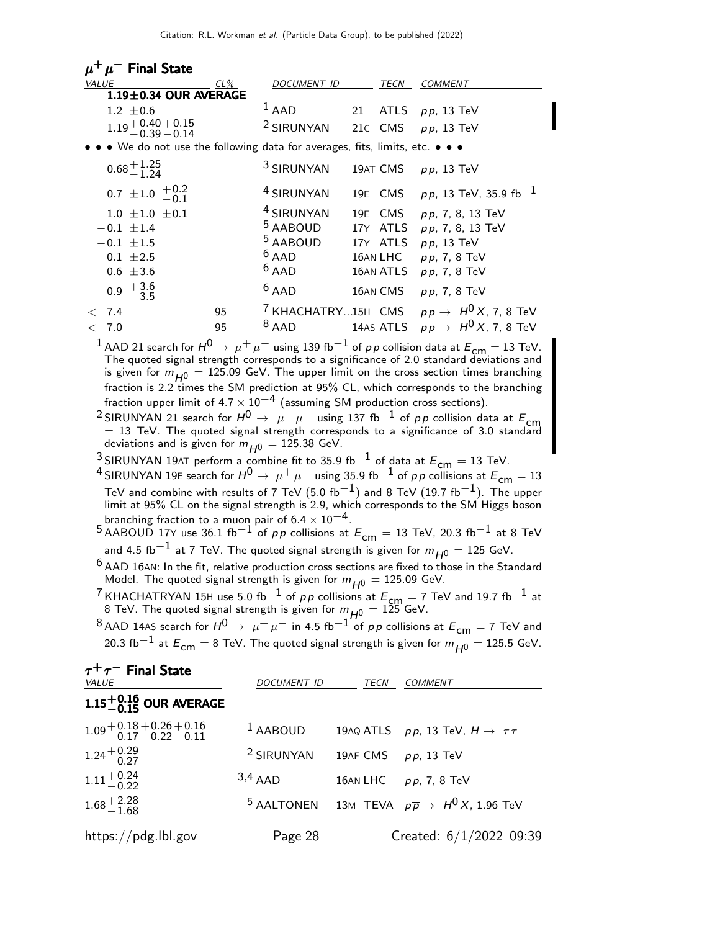|                                                                                                                                                                                                                                                                                                                                                                                                                                                                                                                                                                                                                                                                                                                                                                                                                                                                                                                                                                                                                                                                                                                                                                                                                                                                                                                                                                                                                                                                                                                                                                                                                                                                                                                                                                                                                                                                                                                                                          | $\mu^+\mu^-$ Final State                                                  |                                          |                   |                                                                                  |  |
|----------------------------------------------------------------------------------------------------------------------------------------------------------------------------------------------------------------------------------------------------------------------------------------------------------------------------------------------------------------------------------------------------------------------------------------------------------------------------------------------------------------------------------------------------------------------------------------------------------------------------------------------------------------------------------------------------------------------------------------------------------------------------------------------------------------------------------------------------------------------------------------------------------------------------------------------------------------------------------------------------------------------------------------------------------------------------------------------------------------------------------------------------------------------------------------------------------------------------------------------------------------------------------------------------------------------------------------------------------------------------------------------------------------------------------------------------------------------------------------------------------------------------------------------------------------------------------------------------------------------------------------------------------------------------------------------------------------------------------------------------------------------------------------------------------------------------------------------------------------------------------------------------------------------------------------------------------|---------------------------------------------------------------------------|------------------------------------------|-------------------|----------------------------------------------------------------------------------|--|
| <i>VALUE</i>                                                                                                                                                                                                                                                                                                                                                                                                                                                                                                                                                                                                                                                                                                                                                                                                                                                                                                                                                                                                                                                                                                                                                                                                                                                                                                                                                                                                                                                                                                                                                                                                                                                                                                                                                                                                                                                                                                                                             | CL%<br>1.19±0.34 OUR AVERAGE                                              | DOCUMENT ID                              |                   | TECN<br><b>COMMENT</b>                                                           |  |
|                                                                                                                                                                                                                                                                                                                                                                                                                                                                                                                                                                                                                                                                                                                                                                                                                                                                                                                                                                                                                                                                                                                                                                                                                                                                                                                                                                                                                                                                                                                                                                                                                                                                                                                                                                                                                                                                                                                                                          | $1.2 \pm 0.6$                                                             | $1$ AAD                                  | <b>ATLS</b><br>21 | $pp$ , 13 TeV                                                                    |  |
|                                                                                                                                                                                                                                                                                                                                                                                                                                                                                                                                                                                                                                                                                                                                                                                                                                                                                                                                                                                                                                                                                                                                                                                                                                                                                                                                                                                                                                                                                                                                                                                                                                                                                                                                                                                                                                                                                                                                                          | $1.19 + 0.40 + 0.15$<br>$-0.39 - 0.14$                                    | <sup>2</sup> SIRUNYAN                    | CMS<br>21C        | $p p$ , 13 TeV                                                                   |  |
|                                                                                                                                                                                                                                                                                                                                                                                                                                                                                                                                                                                                                                                                                                                                                                                                                                                                                                                                                                                                                                                                                                                                                                                                                                                                                                                                                                                                                                                                                                                                                                                                                                                                                                                                                                                                                                                                                                                                                          | • We do not use the following data for averages, fits, limits, etc. • • • |                                          |                   |                                                                                  |  |
|                                                                                                                                                                                                                                                                                                                                                                                                                                                                                                                                                                                                                                                                                                                                                                                                                                                                                                                                                                                                                                                                                                                                                                                                                                                                                                                                                                                                                                                                                                                                                                                                                                                                                                                                                                                                                                                                                                                                                          | $0.68 + 1.25$<br>-1.24                                                    | <sup>3</sup> SIRUNYAN                    | 19AT CMS          | $p p$ , 13 TeV                                                                   |  |
|                                                                                                                                                                                                                                                                                                                                                                                                                                                                                                                                                                                                                                                                                                                                                                                                                                                                                                                                                                                                                                                                                                                                                                                                                                                                                                                                                                                                                                                                                                                                                                                                                                                                                                                                                                                                                                                                                                                                                          | 0.7 $\pm$ 1.0 $\frac{+0.2}{-0.1}$                                         | <sup>4</sup> SIRUNYAN                    | 19E CMS           | $p p$ , 13 TeV, 35.9 fb $^{-1}$                                                  |  |
|                                                                                                                                                                                                                                                                                                                                                                                                                                                                                                                                                                                                                                                                                                                                                                                                                                                                                                                                                                                                                                                                                                                                                                                                                                                                                                                                                                                                                                                                                                                                                                                                                                                                                                                                                                                                                                                                                                                                                          | $1.0 \pm 1.0 \pm 0.1$                                                     | <sup>4</sup> SIRUNYAN                    | 19E CMS           | pp, 7, 8, 13 TeV                                                                 |  |
|                                                                                                                                                                                                                                                                                                                                                                                                                                                                                                                                                                                                                                                                                                                                                                                                                                                                                                                                                                                                                                                                                                                                                                                                                                                                                                                                                                                                                                                                                                                                                                                                                                                                                                                                                                                                                                                                                                                                                          | $-0.1 \pm 1.4$                                                            | <sup>5</sup> AABOUD                      | 17Y ATLS          | pp, 7, 8, 13 TeV                                                                 |  |
|                                                                                                                                                                                                                                                                                                                                                                                                                                                                                                                                                                                                                                                                                                                                                                                                                                                                                                                                                                                                                                                                                                                                                                                                                                                                                                                                                                                                                                                                                                                                                                                                                                                                                                                                                                                                                                                                                                                                                          | $-0.1 \pm 1.5$                                                            | <sup>5</sup> AABOUD                      | 17Y ATLS          | $p p$ , 13 TeV                                                                   |  |
|                                                                                                                                                                                                                                                                                                                                                                                                                                                                                                                                                                                                                                                                                                                                                                                                                                                                                                                                                                                                                                                                                                                                                                                                                                                                                                                                                                                                                                                                                                                                                                                                                                                                                                                                                                                                                                                                                                                                                          | $0.1 \pm 2.5$                                                             | $6$ AAD                                  | 16AN LHC          | pp, 7, 8 TeV                                                                     |  |
|                                                                                                                                                                                                                                                                                                                                                                                                                                                                                                                                                                                                                                                                                                                                                                                                                                                                                                                                                                                                                                                                                                                                                                                                                                                                                                                                                                                                                                                                                                                                                                                                                                                                                                                                                                                                                                                                                                                                                          | $-0.6 \pm 3.6$                                                            | $6$ AAD                                  | 16AN ATLS         | pp, 7, 8 TeV                                                                     |  |
|                                                                                                                                                                                                                                                                                                                                                                                                                                                                                                                                                                                                                                                                                                                                                                                                                                                                                                                                                                                                                                                                                                                                                                                                                                                                                                                                                                                                                                                                                                                                                                                                                                                                                                                                                                                                                                                                                                                                                          | $0.9 \begin{array}{c} +3.6 \\ -3.5 \end{array}$                           | $6$ AAD                                  | 16AN CMS          | $pp$ , 7, 8 TeV                                                                  |  |
| 7.4<br>$\,<\,$<br>< 7.0                                                                                                                                                                                                                                                                                                                                                                                                                                                                                                                                                                                                                                                                                                                                                                                                                                                                                                                                                                                                                                                                                                                                                                                                                                                                                                                                                                                                                                                                                                                                                                                                                                                                                                                                                                                                                                                                                                                                  | 95<br>95                                                                  | <sup>7</sup> KHACHATRY15H CMS<br>$8$ AAD |                   | $pp \rightarrow H^0 X$ , 7, 8 TeV<br>14AS ATLS $pp \rightarrow H^0 X$ , 7, 8 TeV |  |
| is given for $m_{H^0}$ = 125.09 GeV. The upper limit on the cross section times branching<br>fraction is 2.2 times the SM prediction at 95% CL, which corresponds to the branching<br>fraction upper limit of 4.7 $\times$ 10 $^{-4}$ (assuming SM production cross sections).<br><sup>2</sup> SIRUNYAN 21 search for $H^0 \rightarrow \mu^+ \mu^-$ using 137 fb <sup>-1</sup> of <i>pp</i> collision data at $E_{cm}$ = 13 TeV. The quoted signal strength corresponds to a significance of 3.0 standard<br>deviations and is given for $m_{H^0} = 125.38$ GeV.<br><sup>3</sup> SIRUNYAN 19AT perform a combine fit to 35.9 fb <sup>-1</sup> of data at $E_{cm} = 13$ TeV.<br><sup>4</sup> SIRUNYAN 19E search for $H^0 \rightarrow \mu^+ \mu^-$ using 35.9 fb <sup>-1</sup> of <i>pp</i> collisions at $E_{cm} = 13$<br>TeV and combine with results of 7 TeV (5.0 fb $^{-1})$ and 8 TeV (19.7 fb $^{-1}$ ). The upper<br>limit at 95% CL on the signal strength is 2.9, which corresponds to the SM Higgs boson<br>branching fraction to a muon pair of $6.4 \times 10^{-4}$ .<br>$^5$ AABOUD 17Y use 36.1 fb $^{-1}$ of $pp$ collisions at $E_{\sf cm} =$ 13 TeV, 20.3 fb $^{-1}$ at 8 TeV<br>and 4.5 fb $^{-1}$ at 7 TeV. The quoted signal strength is given for $m_{H^0} = 125$ GeV.<br>$^6$ AAD 16AN: In the fit, relative production cross sections are fixed to those in the Standard<br>Model. The quoted signal strength is given for $m_{\small \pmb{H}^0} = 125.09$ GeV.<br><sup>7</sup> KHACHATRYAN 15H use 5.0 fb <sup>-1</sup> of <i>pp</i> collisions at $E_{cm} = 7$ TeV and 19.7 fb <sup>-1</sup> at 8 TeV. The quoted signal strength is given for $m_{H^0} = 125$ GeV.<br><sup>8</sup> AAD 14AS search for $H^0 \rightarrow \mu^+ \mu^-$ in 4.5 fb $^{-1}$ of pp collisions at $E^{}_{\mathsf{cm}}=7$ TeV and<br>20.3 fb $^{-1}$ at $E^{}_{\rm cm}$ $=$ 8 TeV. The quoted signal strength is given for $m^{}_{H^0}$ $=$ 125.5 GeV. |                                                                           |                                          |                   |                                                                                  |  |
| VALUE                                                                                                                                                                                                                                                                                                                                                                                                                                                                                                                                                                                                                                                                                                                                                                                                                                                                                                                                                                                                                                                                                                                                                                                                                                                                                                                                                                                                                                                                                                                                                                                                                                                                                                                                                                                                                                                                                                                                                    | $\tau^+\tau^-$ Final State                                                | DOCUMENT ID TECN COMMENT                 |                   |                                                                                  |  |
|                                                                                                                                                                                                                                                                                                                                                                                                                                                                                                                                                                                                                                                                                                                                                                                                                                                                                                                                                                                                                                                                                                                                                                                                                                                                                                                                                                                                                                                                                                                                                                                                                                                                                                                                                                                                                                                                                                                                                          | $1.15^{+0.16}_{-0.15}$ OUR AVERAGE                                        |                                          |                   |                                                                                  |  |
|                                                                                                                                                                                                                                                                                                                                                                                                                                                                                                                                                                                                                                                                                                                                                                                                                                                                                                                                                                                                                                                                                                                                                                                                                                                                                                                                                                                                                                                                                                                                                                                                                                                                                                                                                                                                                                                                                                                                                          | $1.09 + 0.18 + 0.26 + 0.16$<br>$-0.17 - 0.22 - 0.11$                      | <sup>1</sup> AABOUD                      |                   | 19AQ ATLS $pp$ , 13 TeV, $H \rightarrow \tau \tau$                               |  |
| $1.24 + 0.29$<br>-0.27                                                                                                                                                                                                                                                                                                                                                                                                                                                                                                                                                                                                                                                                                                                                                                                                                                                                                                                                                                                                                                                                                                                                                                                                                                                                                                                                                                                                                                                                                                                                                                                                                                                                                                                                                                                                                                                                                                                                   |                                                                           | <sup>2</sup> SIRUNYAN                    | 19AF CMS          | $pp$ , 13 TeV                                                                    |  |
| $1.11 + 0.24$<br>$-0.22$                                                                                                                                                                                                                                                                                                                                                                                                                                                                                                                                                                                                                                                                                                                                                                                                                                                                                                                                                                                                                                                                                                                                                                                                                                                                                                                                                                                                                                                                                                                                                                                                                                                                                                                                                                                                                                                                                                                                 |                                                                           | $3,4$ AAD                                | 16AN LHC          | $pp, 7, 8$ TeV                                                                   |  |

 $1.68^{+2.28}_{-1.68}$  $5$  AALTONEN 13M TEVA  $p\overline{p} \rightarrow H^0 X$ , 1.96 TeV

https://pdg.lbl.gov Page 28 Created: 6/1/2022 09:39

I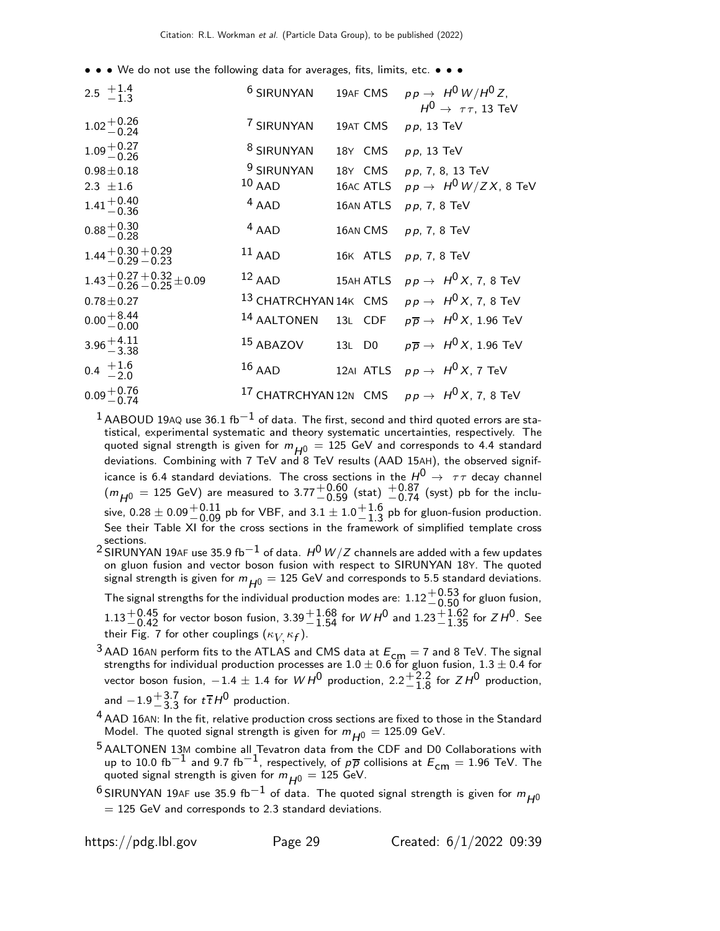• • • We do not use the following data for averages, fits, limits, etc. • • •

| 2.5 $+1.4$<br>-1.3                                       | <sup>6</sup> SIRUNYAN             | 19AF CMS  | $p p \rightarrow H^0 W/H^0 Z,$<br>$H^0 \rightarrow \tau \tau$ , 13 TeV |
|----------------------------------------------------------|-----------------------------------|-----------|------------------------------------------------------------------------|
| $1.02 + 0.26$<br>-0.24                                   | 7 SIRUNYAN                        | 19AT CMS  | $p p$ , 13 TeV                                                         |
| $1.09 + 0.27$<br>-0.26                                   | <sup>8</sup> SIRUNYAN             | 18Y CMS   | $p p$ , 13 TeV                                                         |
| $0.98 \pm 0.18$<br>2.3 $\pm 1.6$                         | <sup>9</sup> SIRUNYAN<br>$10$ AAD | 18Y CMS   | pp, 7, 8, 13 TeV<br>16AC ATLS $pp \rightarrow H^0 W/ZX$ , 8 TeV        |
| $1.41 + 0.40$<br>-0.36                                   | $4$ AAD                           | 16AN ATLS | $pp, 7, 8$ TeV                                                         |
| $0.88 + 0.30$<br>$-0.28$                                 | $4$ AAD                           | 16AN CMS  | $pp$ , 7, 8 TeV                                                        |
| $1.44 + 0.30 + 0.29$<br>-0.29 -0.23                      | $^{11}$ AAD                       | 16K ATLS  | pp, 7, 8 TeV                                                           |
| $1.43 + 0.27 + 0.32 \pm 0.09$<br>$-0.26 - 0.25 \pm 0.09$ | $12$ AAD                          | 15AH ATLS | $pp \rightarrow H^0 X$ , 7, 8 TeV                                      |
| $0.78 \pm 0.27$                                          |                                   |           | <sup>13</sup> CHATRCHYAN14K CMS $pp \rightarrow H^0 X$ , 7, 8 TeV      |
| $0.00 + 8.44$<br>$-0.00$                                 | <sup>14</sup> AALTONEN            |           | 13L CDF $p\overline{p} \rightarrow H^0 X$ , 1.96 TeV                   |
| $3.96 + 4.11$<br>$-3.38$                                 | 15 ABAZOV                         | 13L D0    | $p\overline{p} \rightarrow H^0 X$ , 1.96 TeV                           |
| $0.4 \begin{array}{c} +1.6 \\ -2.0 \end{array}$          | $16$ AAD                          |           | 12AI ATLS $p p \rightarrow H^0 X$ , 7 TeV                              |
| $0.09 + 0.76$<br>$-0.74$                                 |                                   |           | <sup>17</sup> CHATRCHYAN 12N CMS $pp \rightarrow H^0 X$ , 7, 8 TeV     |

 $1$  AABOUD 19AQ use 36.1 fb $^{-1}$  of data. The first, second and third quoted errors are statistical, experimental systematic and theory systematic uncertainties, respectively. The quoted signal strength is given for  $m_{H0} = 125$  GeV and corresponds to 4.4 standard deviations. Combining with 7 TeV and 8 TeV results (AAD 15AH), the observed significance is 6.4 standard deviations. The cross sections in the  $H^{\mathsf{0}} \, \rightarrow \, \, \tau \tau$  decay channel  $(m_{H^0} = 125 \text{ GeV})$  are measured to 3.77 $^{+0.60}_{-0.59}$  (stat)  $^{+0.87}_{-0.74}$  (syst) pb for the inclusive,  $0.28\pm0.09 {+0.11\atop -0.09}$  pb for VBF, and  $3.1\pm1.0 {+1.6\atop -1.3}$  $^{+1.0}_{-1.3}$  pb for gluon-fusion production. See their Table XI for the cross sections in the framework of simplified template cross sections.

2 SIRUNYAN 19AF use 35.9 fb<sup>-1</sup> of data.  $H^0$  W/Z channels are added with a few updates on gluon fusion and vector boson fusion with respect to SIRUNYAN 18Y. The quoted signal strength is given for  $m_{H0} = 125$  GeV and corresponds to 5.5 standard deviations. The signal strengths for the individual production modes are:  $1.12^{+0.53}_{-0.50}$  for gluon fusion,

 $1.13^{+0.45}_{-0.42}$  for vector boson fusion, 3.39 $^{+1.68}_{-1.54}$  for  $WH^0$  and  $1.23^{+1.62}_{-1.35}$  for  $ZH^0$ . See their Fig. 7 for other couplings  $(\kappa_{V\!,} \kappa_{\boldsymbol{f}}).$ 

- <sup>3</sup> AAD 16AN perform fits to the ATLAS and CMS data at  $E_{\text{cm}} = 7$  and 8 TeV. The signal strengths for individual production processes are 1.0  $\pm$  0.6 for gluon fusion, 1.3  $\pm$  0.4 for vector boson fusion,  $-1.4 \pm 1.4$  for  $WH^0$  production,  $2.2^{+2.2}_{-1.8}$  $^{+2.2}_{-1.8}$  for  $ZH^0$  production, and  $-1.9 + \frac{3.7}{3.3}$  $^{+3.7}_{-3.3}$  for  $t\bar{t}H^0$  production.
- $^4$  AAD 16AN: In the fit, relative production cross sections are fixed to those in the Standard Model. The quoted signal strength is given for  $m_{H^0} = 125.09$  GeV.
- <sup>5</sup> AALTONEN 13M combine all Tevatron data from the CDF and D0 Collaborations with up to 10.0 fb<sup>-1</sup> and 9.7 fb<sup>-1</sup>, respectively, of  $p\bar{p}$  collisions at  $E_{cm} = 1.96$  TeV. The quoted signal strength is given for  $m_{H^0} = 125$  GeV.
- <sup>6</sup> SIRUNYAN 19AF use 35.9 fb<sup>-1</sup> of data. The quoted signal strength is given for  $m_{H0}$  $= 125$  GeV and corresponds to 2.3 standard deviations.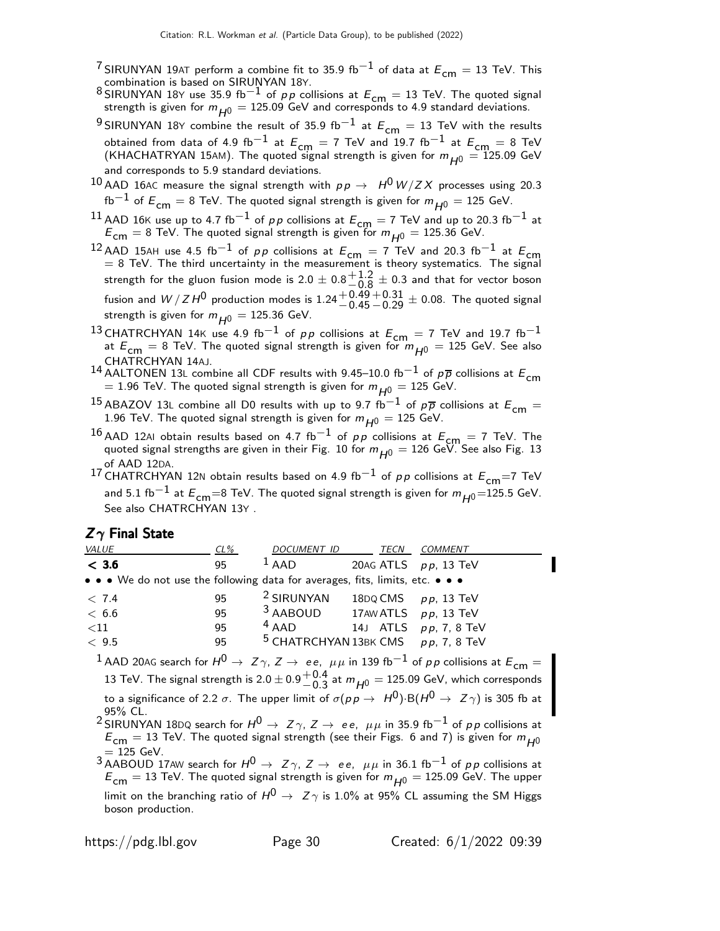- <sup>7</sup> SIRUNYAN 19AT perform a combine fit to 35.9 fb<sup>-1</sup> of data at  $E_{cm} = 13$  TeV. This combination is based on SIRUNYAN 18Y.
- 8 SIRUNYAN 18Y use 35.9 fb<sup>-1</sup> of *p p* collisions at  $E_{cm} = 13$  TeV. The quoted signal strength is given for  $m_{H^0} = 125.09$  GeV and corresponds to 4.9 standard deviations.
- <sup>9</sup> SIRUNYAN 18Y combine the result of 35.9 fb<sup>-1</sup> at  $E_{cm} = 13$  TeV with the results obtained from data of 4.9 fb<sup>-1</sup> at  $E_{cm} = 7$  TeV and 19.7 fb<sup>-1</sup> at  $E_{cm} = 8$  TeV (KHACHATRYAN 15AM). The quoted signal strength is given for  $m_{H^0} = 125.09$  GeV and corresponds to 5.9 standard deviations.
- $^{10}$  AAD 16AC measure the signal strength with  $\rho \, \rho \, \rightarrow \, \, H^0 \, W/ZX$  processes using 20.3 fb<sup>−1</sup> of  $E_{cm} = 8$  TeV. The quoted signal strength is given for  $m_{H0} = 125$  GeV.
- <sup>11</sup> AAD 16K use up to 4.7 fb<sup>-1</sup> of *pp* collisions at  $E_{cm} = 7$  TeV and up to 20.3 fb<sup>-1</sup> at  $E_{\text{cm}} = 8$  TeV. The quoted signal strength is given for  $m_{H0} = 125.36$  GeV.
- <sup>12</sup> AAD 15AH use 4.5 fb<sup>−1</sup> of *pp* collisions at  $E_{cm} = 7$  TeV and 20.3 fb<sup>−1</sup> at  $E_{cm} = 8$  TeV. The third uncertainty in the measurement is theory systematics. The signal strength for the gluon fusion mode is 2.0  $\pm$  0.8 $^{+1.2}_{-0.8}$  $^{+1.2}_{-0.8}$   $\pm$  0.3 and that for vector boson fusion and  $W/ZH^0$  production modes is  $1.24\genfrac{}{}{0pt}{}{+0.49}{-0.45}$  $^{\rm +0.31}_{\rm -0.29}$   $\pm$  0.08. The quoted signal strength is given for  $m_{H0} = 125.36$  GeV.
- 13 CHATRCHYAN 14K use 4.9 fb<sup>-1</sup> of pp collisions at  $E_{cm} = 7$  TeV and 19.7 fb<sup>-1</sup> at  $E_{\text{cm}} = 8$  TeV. The quoted signal strength is given for  $m_{H^0} = 125$  GeV. See also CHATRCHYAN 14AJ.
- 14 AALTONEN 13L combine all CDF results with 9.45–10.0 fb<sup>-1</sup> of  $p\overline{p}$  collisions at  $E_{cm}$ = 1.96 TeV. The quoted signal strength is given for  $m_{H0} = 125$  GeV.
- <sup>15</sup> ABAZOV 13L combine all D0 results with up to 9.7 fb<sup>-1</sup> of  $p\overline{p}$  collisions at  $E_{cm} =$ 1.96 TeV. The quoted signal strength is given for  $m_{H^0} = 125$  GeV.
- 16 AAD 12AI obtain results based on 4.7 fb<sup>-1</sup> of pp collisions at  $E_{\text{cm}} = 7$  TeV. The quoted signal strengths are given in their Fig. 10 for  $m_{H^0} = 126$  GeV. See also Fig. 13
- of AAD 12DA.<br><sup>17</sup> CHATRCHYAN 12N obtain results based on 4.9 fb<sup>−1</sup> of *p p* collisions at  $E_{\mathsf{cm}}{=}7$  TeV and 5.1 fb $^{-1}$  at  $E_{\textsf{cm}}$ =8 TeV. The quoted signal strength is given for  $m_{H^0}$ =125.5 GeV. See also CHATRCHYAN 13Y .

#### $Z\gamma$  Final State

| VALUE                                                                         | $CL\%$ | DOCUMENT ID                                      | TECN                    | COMMENT               |
|-------------------------------------------------------------------------------|--------|--------------------------------------------------|-------------------------|-----------------------|
| < 3.6                                                                         | 95     | $1$ AAD                                          | 20AG ATLS $pp$ , 13 TeV |                       |
| • • • We do not use the following data for averages, fits, limits, etc. • • • |        |                                                  |                         |                       |
| < 7.4                                                                         | 95     | <sup>2</sup> SIRUNYAN                            | 18DQ CMS $pp$ , 13 TeV  |                       |
| < 6.6                                                                         | 95     | $3$ AABOUD 17AW ATLS $pp$ , 13 TeV               |                         |                       |
| ${<}11$                                                                       | 95     | $4$ AAD                                          |                         | 14J ATLS pp, 7, 8 TeV |
| < 9.5                                                                         | 95     | <sup>5</sup> CHATRCHYAN 13BK CMS $pp$ , 7, 8 TeV |                         |                       |

<sup>1</sup> AAD 20AG search for  $H^0 \rightarrow Z\gamma$ ,  $Z \rightarrow ee$ ,  $\mu\mu$  in 139 fb $^{-1}$  of pp collisions at  $E_{cm} =$ 13 TeV. The signal strength is 2.0  $\pm$  0.9 $^{+0.4}_{-0.3}$  $^{+0.4}_{-0.3}$  at  $m_{H^0}$  = 125.09 GeV, which corresponds to a significance of 2.2  $\sigma$ . The upper limit of  $\sigma(p p \to H^0)$ ·B $(H^0 \to Z \gamma)$  is 305 fb at 95% CL.

 $^2$ SIRUNYAN 18DQ search for  $H^0 \rightarrow~Z\gamma$ ,  $Z \rightarrow~e\,e,~\mu\mu$  in 35.9 fb $^{-1}$  of  $\rho\,p$  collisions at  $E_{\text{cm}} = 13$  TeV. The quoted signal strength (see their Figs. 6 and 7) is given for  $m_{\overline{H^0}}$  $= 125$  GeV.

3 AABOUD 17AW search for  $H^0 \to Z\gamma$ ,  $Z \to ee$ ,  $\mu\mu$  in 36.1 fb<sup>-1</sup> of pp collisions at  $E_{\text{cm}} = 13$  TeV. The quoted signal strength is given for  $m_{H^0} = 125.09$  GeV. The upper limit on the branching ratio of  $H^0 \rightarrow Z\gamma$  is 1.0% at 95% CL assuming the SM Higgs boson production.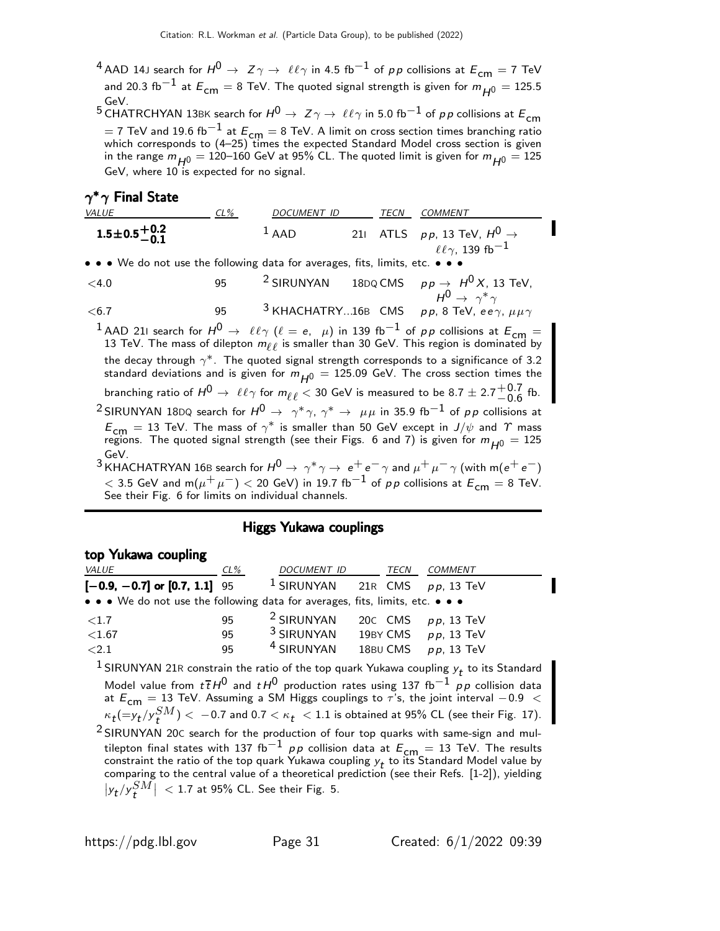<sup>4</sup> AAD 14J search for  $H^0 \to Z\gamma \to \ell \ell \gamma$  in 4.5 fb $^{-1}$  of pp collisions at  $E_{cm}=7$  TeV and 20.3 fb $^{-1}$  at  $E_{cm} = 8$  TeV. The quoted signal strength is given for  $m_{H0} = 125.5$ GeV.

5 CHATRCHYAN 13BK search for  $H^0 \rightarrow Z \gamma \rightarrow \ell \ell \gamma$  in 5.0 fb<sup>-1</sup> of pp collisions at  $E_{cm}$  $=$  7 TeV and 19.6 fb $^{-1}$  at  $E_{\mathsf{cm}}=$  8 TeV. A limit on cross section times branching ratio<br>which corresponds to (4–25) times the expected Standard Model cross section is given in the range  $m_{H^0} = 120-160$  GeV at 95% CL. The quoted limit is given for  $m_{H^0} = 125$ GeV, where 10 is expected for no signal.

# $\gamma^*\gamma$  Final State

| <i>VALUE</i>                                                                  | $CL\%$ | DOCUMENT ID | TECN | <i>COMMENT</i>                                                                 |
|-------------------------------------------------------------------------------|--------|-------------|------|--------------------------------------------------------------------------------|
| $1.5\pm0.5\frac{+0.2}{-0.1}$                                                  |        | $1$ AAD     |      | 211 ATLS $pp$ , 13 TeV, $H^0 \rightarrow$<br>$\ell\ell\gamma$ , 139 fb $^{-1}$ |
| • • • We do not use the following data for averages, fits, limits, etc. • • • |        |             |      |                                                                                |

<4.0 95  $^2$  SIRUNYAN 18DQ CMS  $p p → H^0 X$ , 13 TeV,  $H^0 \rightarrow \gamma^* \gamma$  $<$ 6.7  $\,$  95  $^3$  KHACHATRY...16B CMS  $\,$  pp, 8 TeV,  $\,$ ee $\gamma$ ,  $\mu\mu\gamma$ 

<sup>1</sup> AAD 21I search for  $H^0 \to \ell \ell \gamma$  ( $\ell = e, \mu$ ) in 139 fb<sup>-1</sup> of pp collisions at  $E_{cm} =$ 13 TeV. The mass of dilepton  $m_{\ell\ell}$  is smaller than 30 GeV. This region is dominated by the decay through  $\gamma^*$ . The quoted signal strength corresponds to a significance of 3.2 standard deviations and is given for  $m_{H0} = 125.09$  GeV. The cross section times the branching ratio of  $H^0 \rightarrow~\ell \ell \gamma$  for  $m_{\ell \ell} < 30$  GeV is measured to be 8.7  $\pm~2.7 {+0.7 \atop -0.6}$  $-0.6$  fb.  $^2$ SIRUNYAN 18DQ search for  $H^0\to\gamma^*\gamma$ ,  $\gamma^*\to\mu\mu$  in 35.9 fb $^{-1}$  of  $\rho\,p$  collisions at

- $E_{\text{cm}} = 13$  TeV. The mass of  $\gamma^*$  is smaller than 50 GeV except in  $J/\psi$  and  $\gamma$  mass regions. The quoted signal strength (see their Figs. 6 and 7) is given for  $m_{H0} = 125$ GeV.
- <sup>3</sup> KHACHATRYAN 16B search for  $H^0 \rightarrow \gamma^* \gamma \rightarrow e^+ e^- \gamma$  and  $\mu^+ \mu^- \gamma$  (with m( $e^+ e^-$ )  $<$  3.5 GeV and m $(\mu^+ \, \mu^-) <$  20 GeV) in 19.7 fb $^{-1}$  of  $\rho \, \rho$  collisions at  $E_{\mathsf{cm}}=$  8 TeV. See their Fig. 6 for limits on individual channels.

#### Higgs Yukawa couplings

#### top Yukawa coupling

| <i>VALUE</i>                                                                                                          | $CL\%$ | DOCUMENT ID                        | TECN     | <b>COMMENT</b>           |
|-----------------------------------------------------------------------------------------------------------------------|--------|------------------------------------|----------|--------------------------|
| $[-0.9, -0.7]$ or $[0.7, 1.1]$ 95                                                                                     |        | $1$ SIRUNYAN 21R CMS $pp$ , 13 TeV |          |                          |
| $\bullet \bullet \bullet$ We do not use the following data for averages, fits, limits, etc. $\bullet \bullet \bullet$ |        |                                    |          |                          |
| ${<}1.7$                                                                                                              | 95     | <sup>2</sup> SIRUNYAN              |          | 20 $C$ CMS $pp$ , 13 TeV |
| < 1.67                                                                                                                | 95     | $3$ SIRUNYAN                       | 19BY CMS | $pp$ , 13 TeV            |
| ${<}2.1$                                                                                                              | 95     | <sup>4</sup> SIRUNYAN              | 18BU CMS | $p p$ , 13 TeV           |

 $^1$  SIRUNYAN 21R constrain the ratio of the top quark Yukawa coupling  $y_t$  to its Standard Model value from  $t\,\overline{t}\,H^0$  and  $t\,H^0$  production rates using 137 fb $^{-1}$  pp collision data at  $E_{\text{cm}} = 13$  TeV. Assuming a SM Higgs couplings to  $\tau$ 's, the joint interval −0.9 <  $\kappa_{\bm{t}}(= \! y_{\bm{t}}/y_{\bm{t}}^{SM}) < -0.7$  and  $0.7 < \kappa_{\bm{t}}~ < 1.1$  is obtained at 95% CL (see their Fig. 17). 2 SIRUNYAN 20<sup>C</sup> search for the production of four top quarks with same-sign and multilepton final states with 137 fb $^{-1}$  pp collision data at  $E_{\text{cm}} = 13$  TeV. The results constraint the ratio of the top quark Yukawa coupling  $y_t$  to its Standard Model value by comparing to the central value of a theoretical prediction (see their Refs. [1-2]), yielding  $|y_t/y_t^{SM}$  $\vert$  < 1.7 at 95% CL. See their Fig. 5.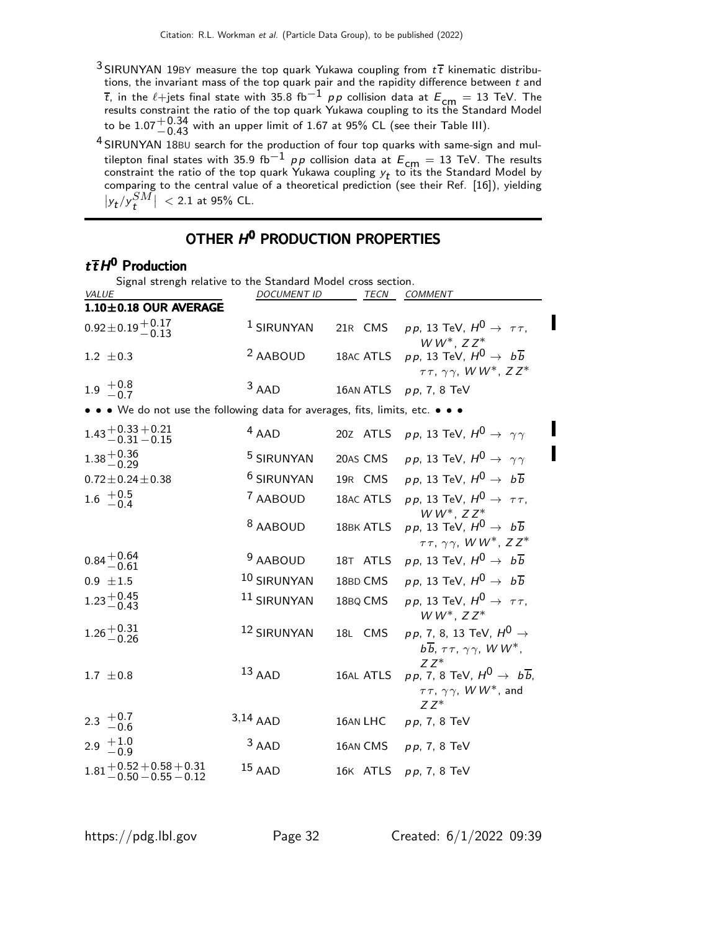- <sup>3</sup> SIRUNYAN 19BY measure the top quark Yukawa coupling from  $t\bar{t}$  kinematic distributions, the invariant mass of the top quark pair and the rapidity difference between  $t$  and  $\overline{t}$ , in the  $\ell+$ jets final state with 35.8 fb $^{-1}$   $\rho\rho$  collision data at  $E_{\mathsf{cm}}=13$  TeV. The results constraint the ratio of the top quark Yukawa coupling to its the Standard Model to be  $1.07^{+0.34}_{-0.43}$  with an upper limit of 1.67 at 95% CL (see their Table III).
- 4 SIRUNYAN 18BU search for the production of four top quarks with same-sign and multilepton final states with 35.9 fb<sup>-1</sup> pp collision data at  $E_{\text{cm}} = 13$  TeV. The results constraint the ratio of the top quark Yukawa coupling  $y_t$  to its the Standard Model by comparing to the central value of a theoretical prediction (see their Ref. [16]), yielding  $|y_t/y_t^{SM}$  $\vert$  < 2.1 at 95% CL.

# OTHER H<sup>O</sup> PRODUCTION PROPERTIES

#### $t\bar{t}H^0$  Production

Signal strengh relative to the Standard Model cross section.

| VALUE                                                                         | <b>DOCUMENT ID</b>    | TECN      | COMMENT                                                                                                              |  |
|-------------------------------------------------------------------------------|-----------------------|-----------|----------------------------------------------------------------------------------------------------------------------|--|
| 1.10±0.18 OUR AVERAGE                                                         |                       |           |                                                                                                                      |  |
| $0.92 \pm 0.19 \begin{array}{c} +0.17 \\ -0.13 \end{array}$                   | <sup>1</sup> SIRUNYAN | 21R CMS   | pp, 13 TeV, $H^0 \rightarrow \tau \tau$ ,<br>$WW^*$ , $ZZ^*$                                                         |  |
| $1.2 \pm 0.3$                                                                 | <sup>2</sup> AABOUD   | 18AC ATLS | $p p$ , 13 TeV, $H^0 \rightarrow b \overline{b}$<br>$\tau\tau$ , $\gamma\gamma$ , WW <sup>*</sup> , ZZ <sup>*</sup>  |  |
| $1.9 + 0.8 - 0.7$                                                             | $3$ AAD               | 16AN ATLS | $pp, 7, 8$ TeV                                                                                                       |  |
| • • • We do not use the following data for averages, fits, limits, etc. • • • |                       |           |                                                                                                                      |  |
| $1.43 + 0.33 + 0.21$<br>$-0.31 - 0.15$                                        | $4$ AAD               |           | 20Z ATLS $pp$ , 13 TeV, $H^0 \rightarrow \gamma \gamma$                                                              |  |
| $1.38 + 0.36$<br>-0.29                                                        | <sup>5</sup> SIRUNYAN | 20AS CMS  | <i>pp</i> , 13 TeV, $H^0 \rightarrow \gamma \gamma$                                                                  |  |
| $0.72 \pm 0.24 \pm 0.38$                                                      | <sup>6</sup> SIRUNYAN | 19R CMS   | $p p$ , 13 TeV, $H^0 \rightarrow b \overline{b}$                                                                     |  |
| $1.6 \t +0.5 \t -0.4$                                                         | <sup>7</sup> AABOUD   | 18AC ATLS | pp, 13 TeV, $H^0 \rightarrow \tau \tau$ ,<br>$WW^*$ , $ZZ^*$                                                         |  |
|                                                                               | <sup>8</sup> AABOUD   | 18BK ATLS | $p p$ , 13 TeV, $H^0 \rightarrow b \overline{b}$<br>$\tau\tau$ , $\gamma\gamma$ , WW <sup>*</sup> , ZZ <sup>*</sup>  |  |
| $0.84 + 0.64$<br>-0.61                                                        | <sup>9</sup> AABOUD   | 18T ATLS  | $p p$ , 13 TeV, $H^0 \rightarrow b \overline{b}$                                                                     |  |
| $0.9 \pm 1.5$                                                                 | 10 SIRUNYAN           | 18BD CMS  | $p p$ , 13 TeV, $H^0 \rightarrow b \overline{b}$                                                                     |  |
| $1.23 + 0.45$<br>-0.43                                                        | 11 SIRUNYAN           | 18BQ CMS  | pp, 13 TeV, $H^0 \rightarrow \tau \tau$ ,<br>$WW^*, ZZ^*$                                                            |  |
| $1.26 + 0.31$<br>$-0.26$                                                      | 12 SIRUNYAN           | 18L CMS   | $p p$ , 7, 8, 13 TeV, $H^0 \rightarrow$<br>$b\overline{b}$ , $\tau\tau$ , $\gamma\gamma$ , WW <sup>*</sup> ,         |  |
| $1.7 \pm 0.8$                                                                 | $13$ AAD              | 16AL ATLS | $77*$<br>$p p$ , 7, 8 TeV, $H^0 \rightarrow b \overline{b}$ ,<br>$\tau\tau$ , $\gamma\gamma$ , WW <sup>*</sup> , and |  |
| 2.3 $+0.7$<br>-0.6                                                            | $3,14$ AAD            | 16AN LHC  | $ZZ^*$<br>$pp, 7, 8$ TeV                                                                                             |  |
| 2.9 $+1.0$<br>-0.9                                                            | $3$ AAD               | 16AN CMS  | $pp, 7, 8$ TeV                                                                                                       |  |
| $1.81\genfrac{}{}{0pt}{}{+ 0.52 + 0.58 + 0.31}{- 0.50 - 0.55 - 0.12}$         | $15$ AAD              |           | 16K ATLS pp, 7, 8 TeV                                                                                                |  |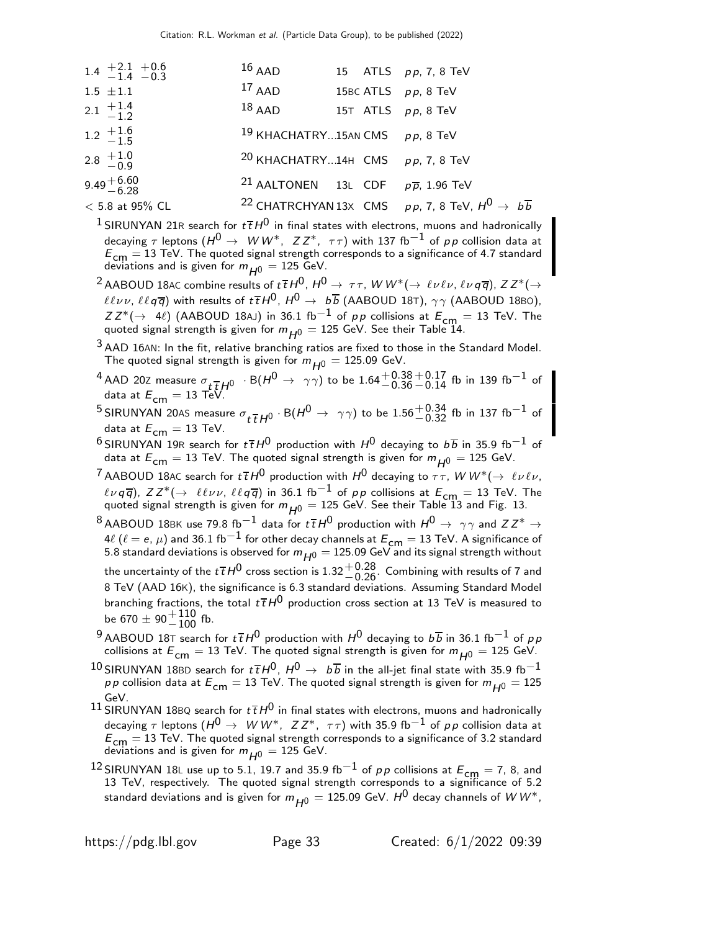| $1.4 + 2.1 + 0.6$<br>$-1.4 - 0.3$               | $16$ AAD                                                  |  | 15 ATLS <i>pp</i> , 7, 8 TeV                                                   |
|-------------------------------------------------|-----------------------------------------------------------|--|--------------------------------------------------------------------------------|
| $1.5 \pm 1.1$                                   | $17$ AAD                                                  |  | 15BC ATLS $pp$ , 8 TeV                                                         |
| 2.1 $\frac{+1.4}{-1.2}$                         | $18$ AAD                                                  |  | 15T ATLS $pp$ , 8 TeV                                                          |
| $1.2 \begin{array}{c} +1.6 \\ -1.5 \end{array}$ | 19 KHACHATRY15AN CMS $pp$ , 8 TeV                         |  |                                                                                |
| 2.8 $\frac{+1.0}{-0.9}$                         | <sup>20</sup> KHACHATRY14H CMS $pp$ , 7, 8 TeV            |  |                                                                                |
| $9.49 + 6.60$<br>-6.28                          | <sup>21</sup> AALTONEN 13L CDF $p\overline{p}$ , 1.96 TeV |  |                                                                                |
| $< 5.8$ at 95% CL                               |                                                           |  | <sup>22</sup> CHATRCHYAN 13x CMS pp. 7, 8 TeV, $H^0 \rightarrow b\overline{b}$ |

<sup>1</sup> SIRUNYAN 21R search for  $t\bar{t}H^0$  in final states with electrons, muons and hadronically decaying  $\tau$  leptons ( $H^0 \to W W^*$ ,  $ZZ^*$ ,  $\tau\tau$ ) with 137 fb<sup>-1</sup> of pp collision data at  $E_{cm} = 13$  TeV. The quoted signal strength corresponds to a significance of 4.7 standard deviations and is given for  $m_{H^0} = 125$  GeV.

<sup>2</sup> AABOUD 18AC combine results of  $t\bar{t}H^0$ ,  $H^0 \to \tau\tau$ ,  $WW^*(\to \ell\nu\ell\nu, \ell\nu q\bar{q})$ ,  $ZZ^*(\to \ell\nu q\bar{q})$  $\ell\ell\nu\nu$ ,  $\ell\ell q\overline{q}$ ) with results of  $t\overline{t}H^0$ ,  $H^0 \rightarrow b\overline{b}$  (AABOUD 18T),  $\gamma\gamma$  (AABOUD 18BO),  $ZZ^*(\rightarrow 4\ell)$  (AABOUD 18AJ) in 36.1 fb<sup>-1</sup> of pp collisions at  $E_{\text{cm}} = 13$  TeV. The quoted signal strength is given for  $m_{H^0} = 125$  GeV. See their Table 14.

 $3$  AAD 16AN: In the fit, relative branching ratios are fixed to those in the Standard Model. The quoted signal strength is given for  $m_{H^0} = 125.09$  GeV.

- $^4$  AAD 20Z measure  $\sigma_{t\,\overline{t}}$   $H^0$   $\;\cdot$  B( $H^0$   $\;\rightarrow$   $\;\gamma\gamma)$  to be 1.64 $^+$ 0.38  $^+0.17$  fb in 139 fb $^{-1}$  of data at  $E_{\text{cm}} = 13 \text{ TeV}.$
- $^5$ SIRUNYAN 20As measure  $\sigma_{t\bar{t}}H^{0}\cdot$  B $(H^{0}\rightarrow \gamma\gamma)$  to be  $1.56^{+0.34}_{-0.32}$  fb in 137 fb $^{-1}$  of data at  $E_{\text{cm}} = 13$  TeV.
- 6 SIRUNYAN 19R search for  $t\bar{t}H^0$  production with  $H^0$  decaying to  $b\bar{b}$  in 35.9 fb<sup>-1</sup> of data at  $E_{cm} = 13$  TeV. The quoted signal strength is given for  $m_{H0} = 125$  GeV.
- <sup>7</sup> AABOUD 18AC search for  $t\bar{t}H^0$  production with  $H^0$  decaying to  $\tau\tau$ , W  $W^*(\rightarrow \ell\nu\ell\nu$ ,  $\ell \nu q \overline{q}$ ),  $ZZ^*(\rightarrow \ell \ell \nu \nu, \ell \ell q \overline{q})$  in 36.1 fb<sup>-1</sup> of pp collisions at  $E_{cm} = 13$  TeV. The quoted signal strength is given for  $m_{H0} = 125$  GeV. See their Table 13 and Fig. 13.
- <sup>8</sup> AABOUD 18BK use 79.8 fb<sup>-1</sup> data for  $t\bar{t}H^0$  production with  $H^0 \rightarrow \gamma \gamma$  and  $ZZ^* \rightarrow$  $4\ell$  ( $\ell = e, \mu$ ) and 36.1 fb $^{-1}$  for other decay channels at  $E_{\textsf{cm}} = 13$  TeV. A significance of 5.8 standard deviations is observed for  $m_{H^0} = 125.09$  GeV and its signal strength without the uncertainty of the  $t\,\overline{t}\,H^0$  cross section is  $1.32 {+0.28\atop -0.26}$  . Combining with results of 7 and 8 TeV (AAD 16K), the significance is 6.3 standard deviations. Assuming Standard Model branching fractions, the total  $t\bar{t}H^0$  production cross section at 13 TeV is measured to be 670  $\pm$  90 $^{+110}_{-100}$  fb.
- $^{9}$ AABOUD 18⊤ search for  $t\,\overline{t}\,$  H $^{0}$  production with  $H^{0}$  decaying to  $b\,\overline{b}$  in 36.1 fb $^{-1}$  of  $\rho\,\overline{\rho}$ collisions at  $E_{cm} = 13$  TeV. The quoted signal strength is given for  $m_{H0} = 125$  GeV.
- $^{10}$ SIRUNYAN 18BD search for  $t\,\overline{t}\,H^0$ ,  $H^0\rightarrow\,\,b\,\overline{b}$  in the all-jet final state with 35.9 fb $^{-1}$ pp collision data at  $E_{cm} = 13$  TeV. The quoted signal strength is given for  $m_{H0} = 125$ GeV.
- 11 SIRUNYAN 18BQ search for  $t\bar{t}H^0$  in final states with electrons, muons and hadronically decaying  $\tau$  leptons  $(H^0 \to W W^*$ ,  $ZZ^*$ ,  $\tau\tau$ ) with 35.9 fb<sup>-1</sup> of pp collision data at  $E_{cm} = 13$  TeV. The quoted signal strength corresponds to a significance of 3.2 standard deviations and is given for  $m_{H0} = 125$  GeV.
- <sup>12</sup> SIRUNYAN 18L use up to 5.1, 19.7 and 35.9 fb $^{-1}$  of  $p \, p$  collisions at  $E_{\mathsf{cm}}=7$ , 8, and 13 TeV, respectively. The quoted signal strength corresponds to a significance of 5.2 standard deviations and is given for  $m_{H0} = 125.09$  GeV.  $H^0$  decay channels of  $WW^*$ ,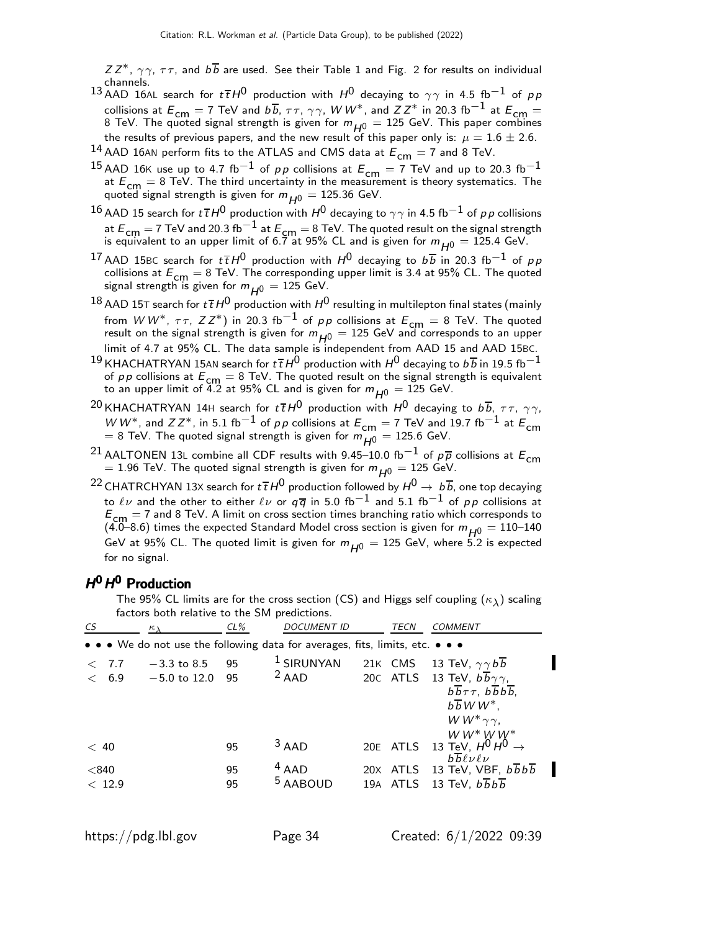$ZZ^*$ ,  $\gamma\gamma$ ,  $\tau\tau$ , and  $b\overline{b}$  are used. See their Table 1 and Fig. 2 for results on individual channels.

- 13 AAD 16AL search for  $t\bar{t}H^0$  production with  $H^0$  decaying to  $\gamma\gamma$  in 4.5 fb<sup>-1</sup> of pp collisions at  $E_{\textsf{cm}} = 7$  TeV and  $b\overline{b}$ ,  $\tau\tau$ ,  $\gamma\gamma$ ,  $WW^*$ , and  $ZZ^*$  in 20.3 fb $^{-1}$  at  $E_{\textsf{cm}} =$ 8 TeV. The quoted signal strength is given for  $m_{H^0} = 125$  GeV. This paper combines the results of previous papers, and the new result of this paper only is:  $\mu = 1.6 \pm 2.6$ .
- <sup>14</sup> AAD 16AN perform fits to the ATLAS and CMS data at  $E_{cm} = 7$  and 8 TeV.
- <sup>15</sup> AAD 16K use up to 4.7 fb<sup>-1</sup> of *pp* collisions at  $E_{cm} = 7$  TeV and up to 20.3 fb<sup>-1</sup> at  $E_{\text{cm}} = 8$  TeV. The third uncertainty in the measurement is theory systematics. The quoted signal strength is given for  $m_{H0} = 125.36$  GeV.
- 16 AAD 15 search for  $t\bar{t}H^0$  production with  $H^0$  decaying to  $\gamma\gamma$  in 4.5 fb<sup>-1</sup> of pp collisions at  $E_{\text{cm}} = 7$  TeV and 20.3 fb $^{-1}$  at  $E_{\text{cm}} = 8$  TeV. The quoted result on the signal strength is equivalent to an upper limit of 6.7 at 95% CL and is given for  $m_{H^0} = 125.4$  GeV.
- $^{17}$  AAD 15BC search for  $t\,\overline{t}\,H^0$  production with  $H^0$  decaying to  $b\overline{b}$  in 20.3 fb $^{-1}$  of  $\rho\,p$ collisions at  $E_{\text{cm}} = 8$  TeV. The corresponding upper limit is 3.4 at 95% CL. The quoted signal strength is given for  $m_{H0} = 125$  GeV.
- $^{18}$  AAD 15T search for  $t\bar{t}H^0$  production with  $H^0$  resulting in multilepton final states (mainly from  $WW^*$ ,  $\tau\tau$ ,  $ZZ^*$ ) in 20.3 fb<sup>-1</sup> of pp collisions at  $E_{\text{cm}} = 8$  TeV. The quoted result on the signal strength is given for  $m_{H^0} = 125$  GeV and corresponds to an upper limit of 4.7 at 95% CL. The data sample is independent from AAD 15 and AAD 15BC.
- $^{19}$  KHACHATRYAN 15AN search for  $t\bar{t}H^0$  production with  $H^0$  decaying to  $b\overline{b}$  in 19.5 fb<sup>-1</sup> of *p p* collisions at  $E_{\text{cm}} = 8$  TeV. The quoted result on the signal strength is equivalent to an upper limit of 4.2 at 95% CL and is given for  $m_{H^0} = 125$  GeV.
- <sup>20</sup> KHACHATRYAN 14H search for  $t\bar{t}H^0$  production with  $H^0$  decaying to  $b\bar{b}$ ,  $\tau\tau$ ,  $\gamma\gamma$ , W W<sup>\*</sup>, and  $ZZ^*$ , in 5.1 fb<sup>-1</sup> of p p collisions at  $E_{cm} = 7$  TeV and 19.7 fb<sup>-1</sup> at  $E_{cm}$  $=$  8 TeV. The quoted signal strength is given for  $m_{H^0}^{10} = 125.6$  GeV.
- <sup>21</sup> AALTONEN 13L combine all CDF results with 9.45–10.0 fb<sup>-1</sup> of  $p\overline{p}$  collisions at  $E_{cm}$  $= 1.96$  TeV. The quoted signal strength is given for  $m_{H0} = 125$  GeV.
- <sup>22</sup> CHATRCHYAN 13X search for  $t\bar{t}H^0$  production followed by  $H^0 \to b\bar{b}$ , one top decaying to  $\ell \nu$  and the other to either  $\ell \nu$  or  $q \overline{q}$  in 5.0 fb<sup>-1</sup> and 5.1 fb<sup>-1</sup> of pp collisions at  $E_{\text{cm}} = 7$  and 8 TeV. A limit on cross section times branching ratio which corresponds to (4.0–8.6) times the expected Standard Model cross section is given for  $m_{H^0} = 110$ –140 GeV at 95% CL. The quoted limit is given for  $m_{H0} = 125$  GeV, where 5.2 is expected for no signal.

# H<sup>0</sup> H<sup>0</sup> Production

The 95% CL limits are for the cross section (CS) and Higgs self coupling  $(\kappa_{\lambda})$  scaling factors both relative to the SM predictions.

| CS     | $\kappa_{\lambda}$ | $CL\%$ | <b>DOCUMENT ID</b>                                                                                                    | TECN    | <b>COMMENT</b>                                                              |  |
|--------|--------------------|--------|-----------------------------------------------------------------------------------------------------------------------|---------|-----------------------------------------------------------------------------|--|
|        |                    |        | $\bullet \bullet \bullet$ We do not use the following data for averages, fits, limits, etc. $\bullet \bullet \bullet$ |         |                                                                             |  |
| < 7.7  | $-3.3$ to 8.5      | 95     | $1$ SIRUNYAN                                                                                                          | 21K CMS | 13 TeV, $\gamma \gamma b b$                                                 |  |
| < 6.9  | $-5.0$ to $12.0$   | 95     | $2$ AAD                                                                                                               |         | 20C ATLS 13 TeV, $b\overline{b}\gamma\gamma$ ,                              |  |
|        |                    |        |                                                                                                                       |         | $b\overline{b}\tau\tau$ , $b\overline{b}b\overline{b}$ ,                    |  |
|        |                    |        |                                                                                                                       |         | $b\overline{b}WW^*$ ,                                                       |  |
|        |                    |        |                                                                                                                       |         | W $W^*$ $\gamma\gamma$ ,                                                    |  |
|        |                    |        |                                                                                                                       |         | $WW^*WW^*$                                                                  |  |
| < 40   |                    | 95     | $3$ AAD                                                                                                               |         | 20E ATLS 13 TeV, $H^0 H^0 \rightarrow$<br>$b\overline{b} \ell \nu \ell \nu$ |  |
| < 840  |                    | 95     | $4$ AAD                                                                                                               |         | 20X ATLS 13 TeV, VBF, $b\overline{b}b\overline{b}$                          |  |
| < 12.9 |                    | 95     | <sup>5</sup> AABOUD                                                                                                   |         | 19A ATLS 13 TeV, $b\overline{b}b\overline{b}$                               |  |
|        |                    |        |                                                                                                                       |         |                                                                             |  |
|        |                    |        |                                                                                                                       |         |                                                                             |  |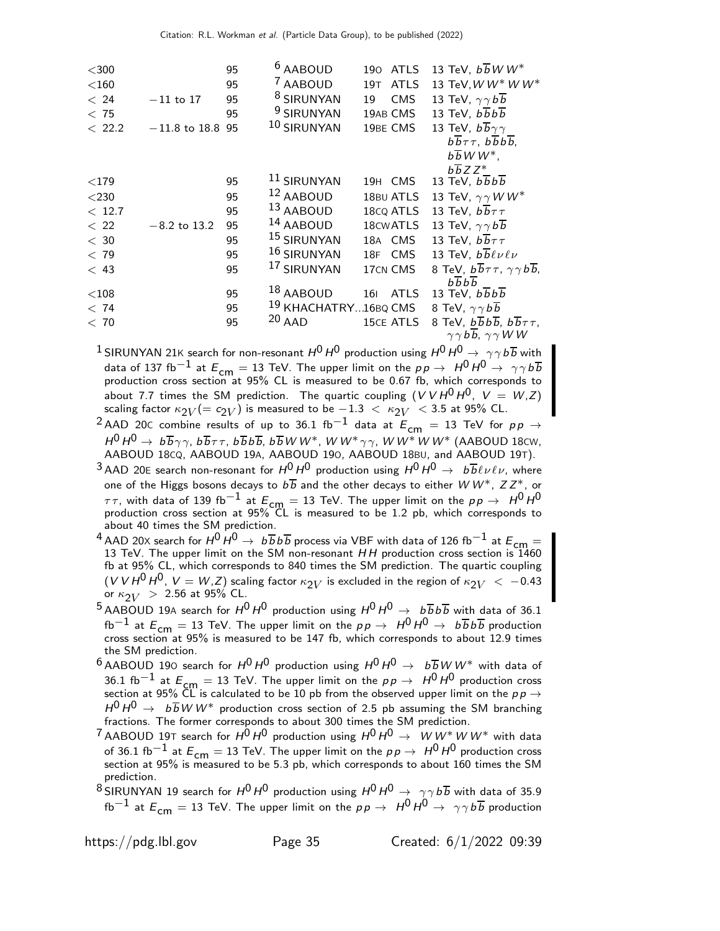| $<$ 300 |                    | 95 | <sup>6</sup> AABOUD       | 190 ATLS                       | 13 TeV, $b\overline{b}$ W W <sup>*</sup>                             |
|---------|--------------------|----|---------------------------|--------------------------------|----------------------------------------------------------------------|
| $<$ 160 |                    | 95 | <sup>7</sup> AABOUD       | <b>ATLS</b><br>19 <sub>T</sub> | 13 TeV, W W* W W*                                                    |
| < 24    | $-11$ to 17        | 95 | <sup>8</sup> SIRUNYAN     | 19<br>CMS                      | 13 TeV, $\gamma \gamma b \overline{b}$                               |
| < 75    |                    | 95 | <sup>9</sup> SIRUNYAN     | 19AB CMS                       | 13 TeV, $b\overline{b}b\overline{b}$                                 |
| < 22.2  | $-11.8$ to 18.8 95 |    | 10 SIRUNYAN               | 19BE CMS                       | 13 TeV, $b\overline{b}\gamma\gamma$                                  |
|         |                    |    |                           |                                | $b\overline{b}\tau\tau$ , $b\overline{b}b\overline{b}$ ,             |
|         |                    |    |                           |                                | $b\overline{b}WW^*$ ,                                                |
|         |                    |    |                           |                                | $b\overline{b}ZZ^*$                                                  |
| $<$ 179 |                    | 95 | 11 SIRUNYAN               | 19H CMS                        | 13 TeV, $b\overline{b}b\overline{b}$                                 |
| $<$ 230 |                    | 95 | 12 AABOUD                 | 18BU ATLS                      | 13 TeV, $\gamma \gamma W W^*$                                        |
| < 12.7  |                    | 95 | 13 AABOUD                 | 18 <sub>c</sub> Q ATLS         | 13 TeV, $b\overline{b}\tau\tau$                                      |
| < 22    | $-8.2$ to 13.2     | 95 | 14 AABOUD                 | 18 <sub>C</sub> WATLS          | 13 TeV, $\gamma \gamma b \overline{b}$                               |
| < 30    |                    | 95 | 15 SIRUNYAN               | 18A CMS                        | 13 TeV, $b\overline{b}\tau\tau$                                      |
| < 79    |                    | 95 | 16 SIRUNYAN               | 18F CMS                        | 13 TeV, $b\overline{b} \ell \nu \ell \nu$                            |
| < 43    |                    | 95 | 17 SIRUNYAN               | 17CN CMS                       | 8 TeV, $b\overline{b}\tau\tau$ , $\gamma\gamma b\overline{b}$ ,      |
| $<$ 108 |                    | 95 | $18$ AABOUD               | <b>ATLS</b><br><b>161</b>      | $b\overline{b}b\overline{b}$<br>13 TeV, $b\overline{b}b\overline{b}$ |
| < 74    |                    | 95 | $^{19}$ KHACHATRY16BQ CMS |                                | 8 TeV, $\gamma \gamma b \overline{b}$                                |
| < 70    |                    | 95 | $20$ AAD                  | <b>15CE ATLS</b>               | 8 TeV, $b\overline{b}b\overline{b}$ , $b\overline{b}\tau\tau$ ,      |
|         |                    |    |                           |                                | $\gamma \gamma b \overline{b}$ , $\gamma \gamma W W$                 |
|         |                    |    |                           |                                |                                                                      |

<sup>1</sup> SIRUNYAN 21K search for non-resonant  $H^0 H^0$  production using  $H^0 H^0 \rightarrow \gamma \gamma b \overline{b}$  with data of 137 fb $^{-1}$  at  $E_{\mathsf{cm}}=13$  TeV. The upper limit on the  $p \, p \to \; H^0 \, H^0 \to \; \gamma \gamma \, b \, \overline{b}$ production cross section at 95% CL is measured to be 0.67 fb, which corresponds to about 7.7 times the SM prediction. The quartic coupling  $(VVH^0H^0, V = W,Z)$ scaling factor  $\kappa_{2V} (= c_{2V})$  is measured to be  $-1.3~<~\kappa_{2V}~<$  3.5 at 95% CL.

<sup>2</sup> AAD 20C combine results of up to 36.1 fb<sup>-1</sup> data at  $E_{cm}$  = 13 TeV for  $pp \rightarrow$  $H^0 \, H^0 \rightarrow \ b \overline{b} \gamma \gamma$ ,  $b \overline{b} \tau \tau$ ,  $b \overline{b} b \overline{b}$ ,  $b \overline{b} W \, W^*$ ,  $W \, W^* \gamma \gamma$ ,  $W \, W^* \, W \, W^*$  (AABOUD 18cw, AABOUD 18CQ, AABOUD 19A, AABOUD 19O, AABOUD 18BU, and AABOUD 19T).

<sup>3</sup> AAD 20E search non-resonant for  $H^0 H^0$  production using  $H^0 H^0 \rightarrow b\overline{b} \ell \nu \ell \nu$ , where one of the Higgs bosons decays to  $b\overline{b}$  and the other decays to either W W<sup>\*</sup>, Z Z<sup>\*</sup>, or  $ττ$ , with data of 139 fb $^{-1}$  at  $E_{\mathsf{cm}}=13$  TeV. The upper limit on the  $p p \rightarrow \; H^0 H^0$ <br>production cross section at 95% CL is measured to be 1.2 pb, which corresponds to about 40 times the SM prediction.

<sup>4</sup> AAD 20X search for  $H^0 H^0 \rightarrow b \overline{b} b \overline{b}$  process via VBF with data of 126 fb $^{-1}$  at  $E_{\mathsf{cm}}=$ 13 TeV. The upper limit on the SM non-resonant  $HH$  production cross section is  $1460$ fb at 95% CL, which corresponds to 840 times the SM prediction. The quartic coupling  $(VVH^0H^0, V=W,Z)$  scaling factor  $\kappa_{2V}$  is excluded in the region of  $\kappa_{2V} < -0.43$ or  $\kappa_{2V} > 2.56$  at 95% CL.

<sup>5</sup> AABOUD 19A search for  $H^0 H^0$  production using  $H^0 H^0 \rightarrow b \overline{b} b \overline{b}$  with data of 36.1 fb $^{-1}$  at  $E_{\mathsf{cm}}=13$  TeV. The upper limit on the  $\rho p \to \ H^0 \ H^0 \to \ b \overline{b} \ b \overline{b}$  production<br>cross section at 95% is measured to be 147 fb, which corresponds to about 12.9 times the SM prediction.

<sup>6</sup> AABOUD 190 search for  $H^0 H^0$  production using  $H^0 H^0 \rightarrow b\overline{b}W W^*$  with data of 36.1 fb $^{-1}$  at  $E_{\mathsf{cm}}=13$  TeV. The upper limit on the  $p \, p \rightarrow \; H^0 \, H^0$  production cross<br>section at 95% CL is calculated to be 10 pb from the observed upper limit on the  $p \, p \rightarrow$  $H^0 H^0 \rightarrow b \overline{b} W W^*$  production cross section of 2.5 pb assuming the SM branching fractions. The former corresponds to about 300 times the SM prediction.

<sup>7</sup> AABOUD 19T search for  $H^0 H^0$  production using  $H^0 H^0 \rightarrow W W^* W W^*$  with data of 36.1 fb<sup>-1</sup> at  $E_{cm} = 13$  TeV. The upper limit on the  $p p \rightarrow H^0 H^0$  production cross section at 95% is measured to be 5.3 pb, which corresponds to about 160 times the SM prediction.

<sup>8</sup> SIRUNYAN 19 search for  $H^0 H^0$  production using  $H^0 H^0 \rightarrow \gamma \gamma b \overline{b}$  with data of 35.9 fb<sup>-1</sup> at  $E_{cm} = 13$  TeV. The upper limit on the  $pp \to H^0 H^0 \to \gamma \gamma b \overline{b}$  production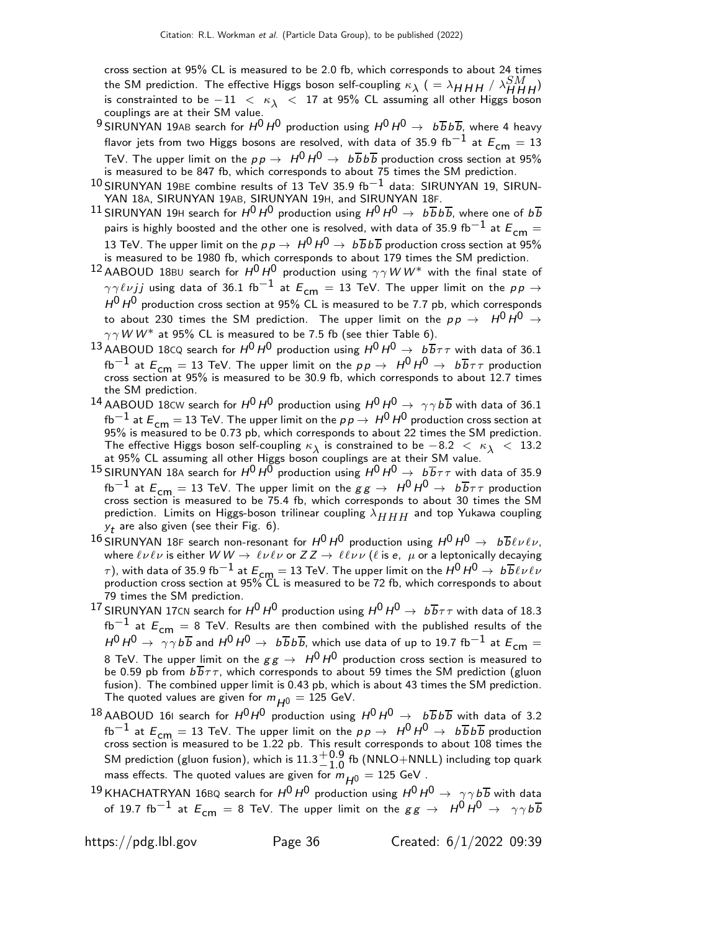cross section at 95% CL is measured to be 2.0 fb, which corresponds to about 24 times the SM prediction. The effective Higgs boson self-coupling  $\kappa_{\lambda}$  (  $=\lambda_{HHH}$  /  $\lambda_{HHH}^{SM}$ ) is constrainted to be  $-11 < \kappa_{\lambda} < 17$  at 95% CL assuming all other Higgs boson couplings are at their SM value.

- 9 SIRUNYAN 19AB search for  $H^0 H^0$  production using  $H^0 H^0 \rightarrow b\overline{b}b\overline{b}$ , where 4 heavy flavor jets from two Higgs bosons are resolved, with data of 35.9 fb<sup>-1</sup> at  $E_{cm} = 13$ TeV. The upper limit on the  $p\,p\,\rightarrow\,\,H^0\,H^0\,\rightarrow\,\,b\,\overline{b}\,b\,\overline{b}$  production cross section at 95% is measured to be 847 fb, which corresponds to about 75 times the SM prediction.
- $10$  SIRUNYAN 19BE combine results of 13 TeV 35.9 fb $^{-1}$  data: SIRUNYAN 19, SIRUN-YAN 18A, SIRUNYAN 19AB, SIRUNYAN 19H, and SIRUNYAN 18F.
- $^{11}$  SIRUNYAN 19H search for  $H^0$   $H^0$  production using  $H^0$   $H^0$   $\rightarrow$   $~$   $b\overline{b}$   $b\overline{b}$ , where one of  $b\overline{b}$ pairs is highly boosted and the other one is resolved, with data of 35.9 fb $^{-1}$  at  $E_{\mathsf{cm}}=$ 13 TeV. The upper limit on the  $p \, p \to \; H^0 \, H^0 \to \; b \, \overline{b} \, b \, \overline{b}$  production cross section at 95% is measured to be 1980 fb, which corresponds to about 179 times the SM prediction.
- 12 AABOUD 18BU search for  $H^0 H^0$  production using  $\gamma \gamma W W^*$  with the final state of  $\gamma \gamma \ell \nu j j$  using data of 36.1 fb<sup>-1</sup> at  $E_{cm} = 13$  TeV. The upper limit on the  $p p \rightarrow$  $H^0$  H<sup>0</sup> production cross section at 95% CL is measured to be 7.7 pb, which corresponds to about 230 times the SM prediction. The upper limit on the  $p \, p \, \rightarrow \, H^0 \, H^0 \rightarrow \,$  $\gamma \gamma W W^*$  at 95% CL is measured to be 7.5 fb (see thier Table 6).
- 13 AABOUD 18CQ search for  $H^0 H^0$  production using  $H^0 H^0 \rightarrow b\overline{b}\tau\tau$  with data of 36.1 fb<sup>-1</sup> at  $E_{cm} = 13$  TeV. The upper limit on the  $p \rightarrow H^0 H^0 \rightarrow b \overline{b} \tau \tau$  production cross section at 95% is measured to be 30.9 fb, which corresponds to about 12.7 times the SM prediction.
- <sup>14</sup> AABOUD 18CW search for  $H^0 H^0$  production using  $H^0 H^0 \rightarrow \gamma \gamma b \overline{b}$  with data of 36.1 fb<sup>-1</sup> at  $E_{cm} = 13$  TeV. The upper limit on the  $p \rightarrow H^0 H^0$  production cross section at 95% is measured to be 0.73 pb, which corresponds to about 22 times the SM prediction. The effective Higgs boson self-coupling  $\kappa_{\lambda}$  is constrained to be  $-8.2 < \kappa_{\lambda} < 13.2$ at 95% CL assuming all other Higgs boson couplings are at their SM value.
- $^{15}$  SIRUNYAN 18A search for  $H^0 H^0$  production using  $H^0 H^0 \rightarrow~b\overline{b}\tau\tau$  with data of 35.9 fb<sup>-1</sup> at  $E_{cm} = 13$  TeV. The upper limit on the  $gg \to H^0 H^0 \to b\overline{b}\tau\tau$  production cross section is measured to be 75.4 fb, which corresponds to about 30 times the SM prediction. Limits on Higgs-boson trilinear coupling  $\lambda_{HHH}$  and top Yukawa coupling  $y_{\boldsymbol{t}}$  are also given (see their Fig. 6).
- <sup>16</sup> SIRUNYAN 18F search non-resonant for  $H^0 H^0$  production using  $H^0 H^0 \rightarrow b\overline{b} \ell \nu \ell \nu$ , where  $\ell\nu\ell\nu$  is either  $WW \to \ell\nu\ell\nu$  or  $ZZ \to \ell\ell\nu\nu$  ( $\ell$  is e,  $\mu$  or a leptonically decaying  $\tau$ ), with data of 35.9 fb $^{-1}$  at  $E_{\sf cm} =$  13 TeV. The upper limit on the  $H^0\, H^0 \rightarrow \,b\overline{b} \ell\nu\ell\nu$  production cross section at 95% CL is measured to be 72 fb, which corresponds to about 79 times the SM prediction.
- <sup>17</sup> SIRUNYAN 17CN search for  $H^0 H^0$  production using  $H^0 H^0 \rightarrow b\overline{b}\tau\tau$  with data of 18.3  $fb^{-1}$  at  $E_{cm} = 8$  TeV. Results are then combined with the published results of the  $H^0 H^0 \rightarrow \gamma \gamma b \overline{b}$  and  $H^0 H^0 \rightarrow b \overline{b} b \overline{b}$ , which use data of up to 19.7 fb<sup>-1</sup> at  $E_{cm} =$ 8 TeV. The upper limit on the  $gg \to H^0\,H^0$  production cross section is measured to be 0.59 pb from  $b\overline{b}\tau\tau$ , which corresponds to about 59 times the SM prediction (gluon fusion). The combined upper limit is 0.43 pb, which is about 43 times the SM prediction. The quoted values are given for  $m_{H^0} = 125$  GeV.
- $^{18}$ AABOUD 161 search for  $H^0H^0$  production using  $H^0H^0\,\rightarrow\,\,$   $b\overline{b}b\overline{b}$  with data of 3.2 fb $^{-1}$  at  $E_{\mathsf{cm}}=13$  TeV. The upper limit on the  $\rho p \to \ H^0 \ H^0 \to \ b \overline{b} \, b \overline{b}$  production<br>cross section is measured to be 1.22 pb. This result corresponds to about 108 times the SM prediction (gluon fusion), which is  $11.3^{+0.9}_{-1.0}$ <sup>−0.9</sup> fb (NNLO+NNLL) including top quark<br>−1.0 mass effects. The quoted values are given for  $\ddot{m}_{H0} = 125$  GeV.
- $^{19}$ KHACHATRYAN 16BQ search for  $H^0$   $H^0$  production using  $H^0$   $H^0$   $\rightarrow$   $\gamma\gamma$   $b\overline{b}$  with data of 19.7 fb<sup>-1</sup> at  $E_{cm} = 8$  TeV. The upper limit on the  $gg \to H^0 H^0 \to \gamma \gamma b \overline{b}$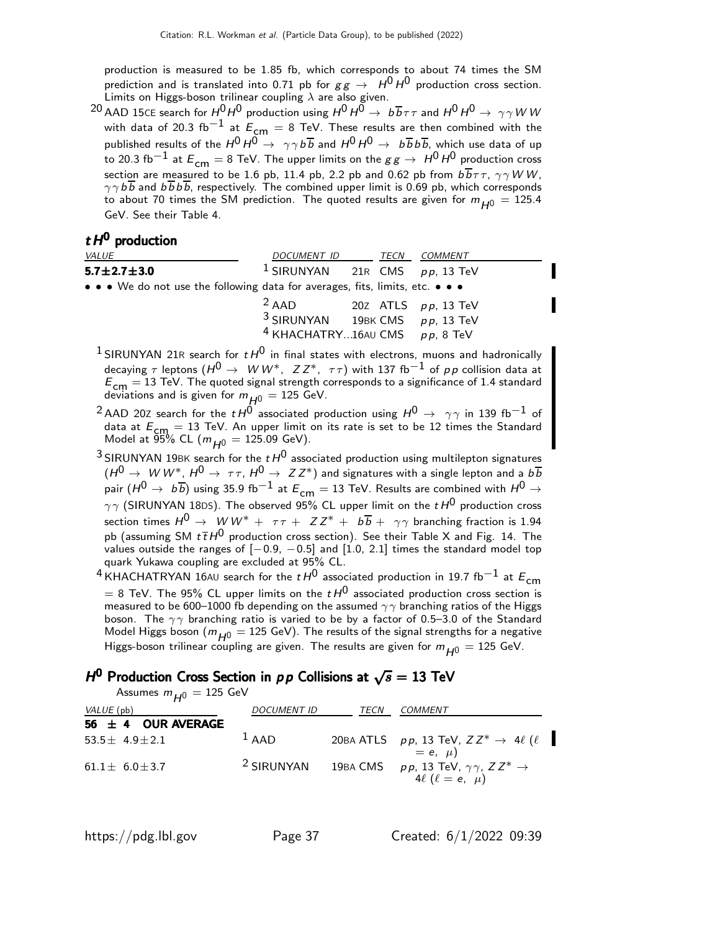production is measured to be 1.85 fb, which corresponds to about 74 times the SM prediction and is translated into 0.71 pb for  $gg \to H^0 H^0$  production cross section. Limits on Higgs-boson trilinear coupling  $\lambda$  are also given.

 $^{20}$  AAD 15CE search for  $H^0H^0$  production using  $H^0H^0\to~b\overline{b}\tau\tau$  and  $H^0H^0\to~\gamma\gamma$  W W with data of 20.3 fb<sup>-1</sup> at  $E_{cm} = 8$  TeV. These results are then combined with the published results of the  $H^0 H^0 \rightarrow \gamma \gamma b \overline{b}$  and  $H^0 H^0 \rightarrow b \overline{b} b \overline{b}$ , which use data of up to 20.3 fb<sup>-1</sup> at  $E_{cm} = 8$  TeV. The upper limits on the  $gg \rightarrow H^0 H^0$  production cross section are measured to be 1.6 pb, 11.4 pb, 2.2 pb and 0.62 pb from  $b\overline{b}\tau\tau$ ,  $\gamma\gamma WW$ ,  $\gamma \gamma b \overline{b}$  and  $b \overline{b} b \overline{b}$ , respectively. The combined upper limit is 0.69 pb, which corresponds to about 70 times the SM prediction. The quoted results are given for  $m_{H0} = 125.4$ GeV. See their Table 4.

### $t H<sup>0</sup>$  production

| <i>VALUE</i>                                                                  | DOCUMENT ID TECN COMMENT                                                                                             |  |  |
|-------------------------------------------------------------------------------|----------------------------------------------------------------------------------------------------------------------|--|--|
| $5.7 \pm 2.7 \pm 3.0$                                                         | <sup>1</sup> SIRUNYAN 21R CMS $pp$ , 13 TeV                                                                          |  |  |
| • • • We do not use the following data for averages, fits, limits, etc. • • • |                                                                                                                      |  |  |
|                                                                               | $2$ AAD 20Z ATLS $pp$ , 13 TeV<br>$3$ SIRUNYAN 19BK CMS $pp$ , 13 TeV<br><sup>4</sup> KHACHATRY16AU CMS $pp$ , 8 TeV |  |  |

- <sup>1</sup> SIRUNYAN 21R search for  $t H^0$  in final states with electrons, muons and hadronically decaying  $\tau$  leptons  $({H^0} \to \; W \, W^* , \; \; Z \, Z^* , \; \; \tau \, \tau)$  with 137 fb $^{-1}$  of  $\rho \, \rho$  collision data at  $E_{\text{cm}} = 13$  TeV. The quoted signal strength corresponds to a significance of 1.4 standard deviations and is given for  $m_{\cancel{H}^0} = 125$  GeV.
- $^2$ AAD 20Z search for the  $t$   $H^0$  associated production using  $H^0 \rightarrow \gamma \gamma$  in 139 fb $^{-1}$  of data at  $E_{cm} = 13$  TeV. An upper limit on its rate is set to be 12 times the Standard Model at  $95\%$  CL  $(m_{H^0} = 125.09 \text{ GeV}).$
- $^3$ SIRUNYAN 19BK search for the  $t$   $H^0$  associated production using multilepton signatures  $(H^{0} \rightarrow$   $W W^{*}$ ,  $H^{0} \rightarrow$   $\tau \tau$ ,  $H^{0} \rightarrow$   $ZZ^{*}$ ) and signatures with a single lepton and a  $b\overline{b}$ pair  $(H^0 \to b\overline{b})$  using 35.9 fb $^{-1}$  at  $E_{cm} = 13$  TeV. Results are combined with  $H^0 \to$  $\gamma\gamma$  (SIRUNYAN 18DS). The observed 95% CL upper limit on the  $tH^0$  production cross section times  $H^0 \to W W^* + \tau \tau + ZZ^* + b \overline{b} + \gamma \gamma$  branching fraction is 1.94 pb (assuming SM  $t\bar{t}H^0$  production cross section). See their Table X and Fig. 14. The values outside the ranges of  $[-0.9, -0.5]$  and  $[1.0, 2.1]$  times the standard model top quark Yukawa coupling are excluded at 95% CL.

<sup>4</sup> KHACHATRYAN 16AU search for the  $t H^0$  associated production in 19.7 fb<sup>-1</sup> at  $E_{cm}$  $= 8$  TeV. The 95% CL upper limits on the  $t H<sup>0</sup>$  associated production cross section is measured to be 600–1000 fb depending on the assumed  $\gamma\gamma$  branching ratios of the Higgs boson. The  $\gamma\gamma$  branching ratio is varied to be by a factor of 0.5–3.0 of the Standard Model Higgs boson ( $m_{H^0} = 125$  GeV). The results of the signal strengths for a negative Higgs-boson trilinear coupling are given. The results are given for  $m_{H0} = 125$  GeV.

# H<sup>0</sup> Production Cross Section in  $p p$  Collisions at  $\sqrt{s} = 13$  TeV

Assumes  $m_{\mu 0} = 125$  GeV

| VALUE (pb)<br>56 $\pm$ 4 OUR AVERAGE | <b>DOCUMENT ID</b>    | TECN | COMMENT                                                                                     |
|--------------------------------------|-----------------------|------|---------------------------------------------------------------------------------------------|
| 53.5 $\pm$ 4.9 $\pm$ 2.1             | $1$ AAD               |      | 20BA ATLS $pp$ , 13 TeV, $ZZ^* \rightarrow 4\ell$ ( $\ell$<br>$= e, \mu$                    |
| $61.1 \pm 6.0 \pm 3.7$               | <sup>2</sup> SIRUNYAN |      | 19BA CMS $pp$ , 13 TeV, $\gamma\gamma$ , $ZZ^* \rightarrow$<br>4 $\ell$ ( $\ell = e, \mu$ ) |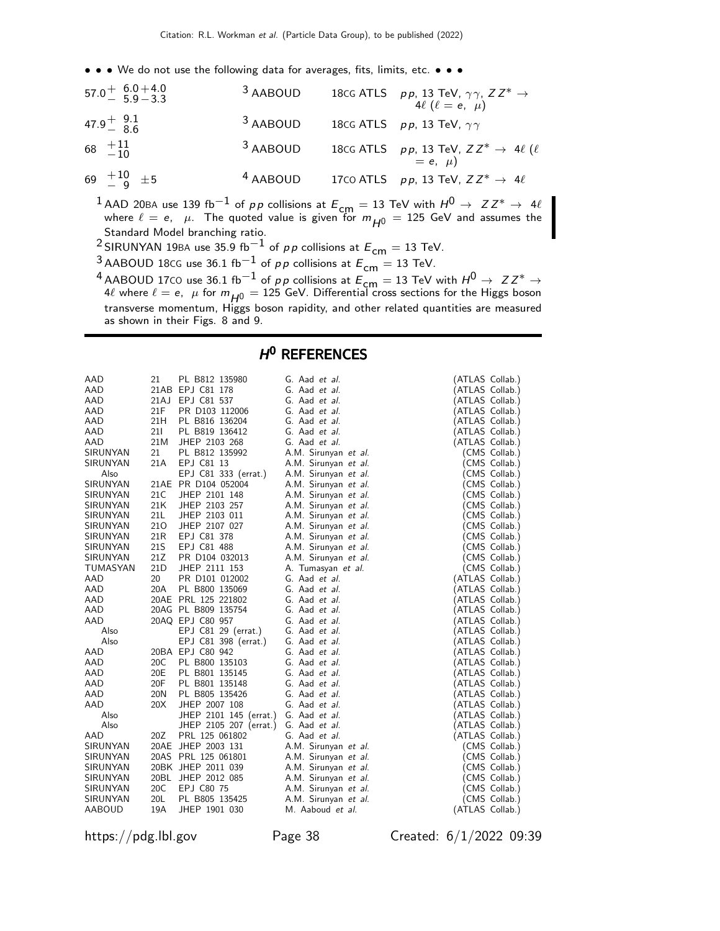• • • We do not use the following data for averages, fits, limits, etc. • • •

| $57.0 + 6.0 + 4.0$<br>$5.9 - 3.3$ | 3 AABOUD            | 18CG ATLS $p p$ , 13 TeV, $\gamma \gamma$ , $Z Z^* \rightarrow$<br>4 $\ell$ ( $\ell = e, \mu$ ) |
|-----------------------------------|---------------------|-------------------------------------------------------------------------------------------------|
| $47.9^{+}_{-}$ $\frac{9.1}{8.6}$  | <sup>3</sup> AABOUD | 18CG ATLS $pp$ , 13 TeV, $\gamma\gamma$                                                         |
| 68 $^{+11}_{-10}$                 | <sup>3</sup> AABOUD | 18cG ATLS $pp$ , 13 TeV, $ZZ^* \rightarrow 4\ell$ ( $\ell$<br>= e, $\mu$ )                      |
| 69 $^{+10}_{-0}$ $\pm$ 5          | <sup>4</sup> AABOUD | 17CO ATLS $pp$ , 13 TeV, $ZZ^* \rightarrow 4\ell$                                               |

<sup>1</sup> AAD 20BA use 139 fb<sup>-1</sup> of pp collisions at  $E_{cm} = 13$  TeV with  $H^0 \rightarrow Z Z^* \rightarrow 4\ell$ where  $\ell = e, \ \mu$ . The quoted value is given for  $m_{H^0} = 125$  GeV and assumes the Standard Model branching ratio.

<sup>2</sup> SIRUNYAN 19BA use 35.9 fb<sup>-1</sup> of pp collisions at  $E_{cm} = 13$  TeV.

<sup>3</sup> AABOUD 18cG use 36.1 fb<sup>-1</sup> of *pp* collisions at  $E_{cm} = 13$  TeV.

4 AABOUD 17CO use 36.1 fb<sup>-1</sup> of p p collisions at  $E_{cm} = 13$  TeV with  $H^0 \rightarrow ZZ^* \rightarrow$ 4 $\ell$  where  $\ell = e$ ,  $\mu$  for  $m_{H^0} = 125$  GeV. Differential cross sections for the Higgs boson transverse momentum, Higgs boson rapidity, and other related quantities are measured as shown in their Figs. 8 and 9.

# H<sup>O</sup> REFERENCES

| AAD             | 21   | PL B812 135980         | G. Aad et al.        | (ATLAS Collab.) |               |
|-----------------|------|------------------------|----------------------|-----------------|---------------|
| AAD             |      | 21AB EPJ C81 178       | G. Aad et al.        | (ATLAS Collab.) |               |
| AAD             | 21AJ | EPJ C81 537            | G. Aad et al.        | (ATLAS Collab.) |               |
| AAD             | 21F  | PR D103 112006         | G. Aad et al.        | (ATLAS Collab.) |               |
| AAD             | 21H  | PL B816 136204         | G. Aad et al.        | (ATLAS Collab.) |               |
| AAD             | 211  | PL B819 136412         | G. Aad et al.        | (ATLAS Collab.) |               |
| AAD             | 21M  | JHEP 2103 268          | G. Aad et al.        | (ATLAS Collab.) |               |
| SIRUNYAN        | 21   | PL B812 135992         | A.M. Sirunyan et al. |                 | (CMS Collab.) |
| SIRUNYAN        | 21A  | EPJ C81 13             | A.M. Sirunyan et al. |                 | (CMS Collab.) |
| Also            |      | EPJ C81 333 (errat.)   | A.M. Sirunyan et al. |                 | (CMS Collab.) |
| SIRUNYAN        |      | 21AE PR D104 052004    | A.M. Sirunyan et al. |                 | (CMS Collab.) |
| SIRUNYAN        | 21C  | JHEP 2101 148          | A.M. Sirunyan et al. |                 | (CMS Collab.) |
| SIRUNYAN        | 21K  | JHEP 2103 257          | A.M. Sirunyan et al. |                 | (CMS Collab.) |
| SIRUNYAN        | 21L  | JHEP 2103 011          | A.M. Sirunyan et al. |                 | (CMS Collab.) |
| <b>SIRUNYAN</b> | 210  | JHEP 2107 027          | A.M. Sirunyan et al. |                 | (CMS Collab.) |
| SIRUNYAN        | 21R  | EPJ C81 378            | A.M. Sirunyan et al. |                 | (CMS Collab.) |
| SIRUNYAN        | 21S  | EPJ C81 488            | A.M. Sirunyan et al. |                 | (CMS Collab.) |
| SIRUNYAN        | 21Z  | PR D104 032013         | A.M. Sirunyan et al. |                 | (CMS Collab.) |
| TUMASYAN        | 21D  | JHEP 2111 153          | A. Tumasyan et al.   |                 | (CMS Collab.) |
| AAD             | 20   | PR D101 012002         | G. Aad et al.        | (ATLAS Collab.) |               |
| AAD             | 20A  | PL B800 135069         | G. Aad et al.        | (ATLAS Collab.) |               |
| AAD             |      | 20AE PRL 125 221802    | G. Aad et al.        | (ATLAS Collab.) |               |
| AAD             |      | 20AG PL B809 135754    | G. Aad et al.        | (ATLAS Collab.) |               |
| AAD             |      | 20AQ EPJ C80 957       | G. Aad et al.        | (ATLAS Collab.) |               |
| Also            |      | EPJ C81 29 (errat.)    | G. Aad et al.        | (ATLAS Collab.) |               |
| Also            |      | EPJ C81 398 (errat.)   | G. Aad et al.        | (ATLAS Collab.) |               |
| AAD             |      | 20BA EPJ C80 942       | G. Aad et al.        | (ATLAS Collab.) |               |
| AAD             | 20C  | PL B800 135103         | G. Aad et al.        | (ATLAS Collab.) |               |
| AAD             | 20E  | PL B801 135145         | G. Aad et al.        | (ATLAS Collab.) |               |
| AAD             | 20F  | PL B801 135148         | G. Aad et al.        | (ATLAS Collab.) |               |
| AAD             | 20N  | PL B805 135426         | G. Aad et al.        | (ATLAS Collab.) |               |
| AAD             | 20X  | JHEP 2007 108          | G. Aad et al.        | (ATLAS Collab.) |               |
| Also            |      | JHEP 2101 145 (errat.) | G. Aad et al.        | (ATLAS Collab.) |               |
| Also            |      | JHEP 2105 207 (errat.) | G. Aad et al.        | (ATLAS Collab.) |               |
| AAD             | 20Z  | PRL 125 061802         | G. Aad et al.        | (ATLAS Collab.) |               |
| SIRUNYAN        |      | 20AE JHEP 2003 131     | A.M. Sirunyan et al. |                 | (CMS Collab.) |
| SIRUNYAN        |      | 20AS PRL 125 061801    | A.M. Sirunyan et al. |                 | (CMS Collab.) |
| SIRUNYAN        |      | 20BK JHEP 2011 039     | A.M. Sirunyan et al. |                 | (CMS Collab.) |
| SIRUNYAN        |      | 20BL JHEP 2012 085     | A.M. Sirunyan et al. |                 | (CMS Collab.) |
| SIRUNYAN        | 20C  | EPJ C80 75             | A.M. Sirunyan et al. |                 | (CMS Collab.) |
| SIRUNYAN        | 20L  | PL B805 135425         | A.M. Sirunyan et al. |                 | (CMS Collab.) |
| <b>AABOUD</b>   | 19A  | JHEP 1901 030          | M. Aaboud et al.     | (ATLAS Collab.) |               |

https://pdg.lbl.gov Page 38 Created: 6/1/2022 09:39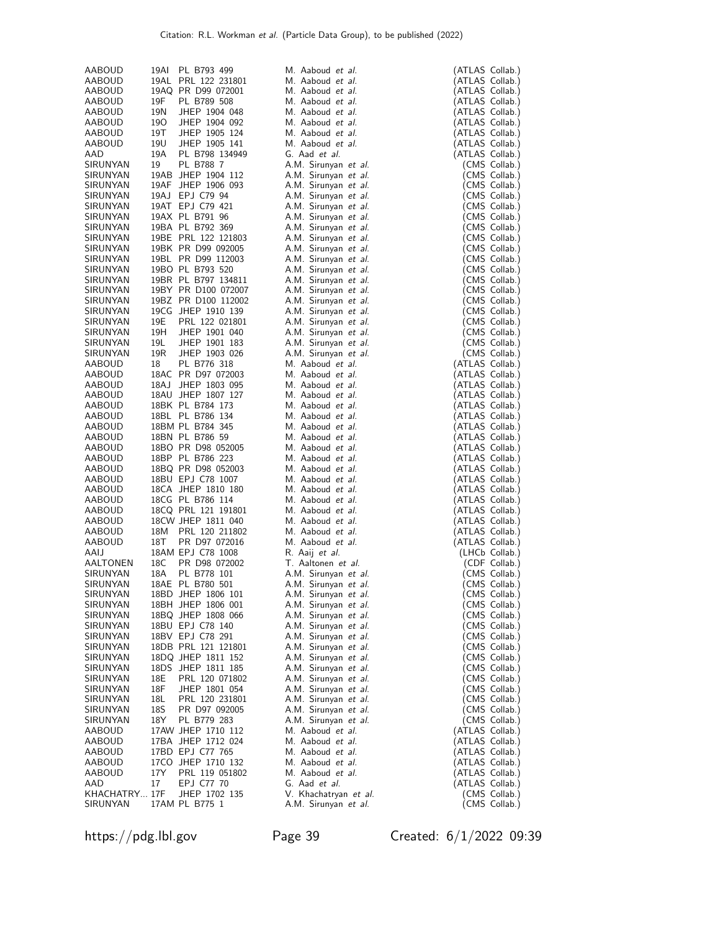| AABOUD                         | 19AI       | PL B793 499                             | M. Aaboud et al.                              | (ATLAS Collab.)                    |                                |
|--------------------------------|------------|-----------------------------------------|-----------------------------------------------|------------------------------------|--------------------------------|
| AABOUD                         |            | 19AL PRL 122 231801                     | M. Aaboud et al.                              | (ATLAS Collab.)                    |                                |
| AABOUD                         |            | 19AQ PR D99 072001                      | M. Aaboud et al.                              | (ATLAS Collab.)                    |                                |
| AABOUD                         | 19F        | PL B789 508                             | M. Aaboud et al.                              | (ATLAS Collab.)                    |                                |
| AABOUD                         | 19N        | JHEP 1904 048                           | M. Aaboud et al.                              | (ATLAS Collab.)                    |                                |
| AABOUD                         | 190        | JHEP 1904 092                           | M. Aaboud et al.                              | (ATLAS Collab.)                    |                                |
| AABOUD                         | 19T        | JHEP 1905 124                           | M. Aaboud et al.                              | (ATLAS Collab.)                    |                                |
| AABOUD<br>AAD                  | 19U<br>19A | JHEP 1905 141<br>PL B798 134949         | M. Aaboud et al.<br>G. Aad et al.             | (ATLAS Collab.)<br>(ATLAS Collab.) |                                |
| SIRUNYAN                       | 19         | PL B788 7                               | A.M. Sirunyan et al.                          |                                    | (CMS Collab.)                  |
| SIRUNYAN                       |            | 19AB JHEP 1904 112                      | A.M. Sirunyan et al.                          |                                    | (CMS Collab.)                  |
| SIRUNYAN                       | 19AF       | JHEP 1906 093                           | A.M. Sirunyan et al.                          |                                    | (CMS Collab.)                  |
| SIRUNYAN                       |            | 19AJ EPJ C79 94                         | A.M. Sirunyan et al.                          |                                    | (CMS Collab.)                  |
| SIRUNYAN                       |            | 19AT EPJ C79 421                        | A.M. Sirunyan et al.                          |                                    | (CMS Collab.)                  |
| SIRUNYAN                       |            | 19AX PL B791 96                         | A.M. Sirunyan et al.                          |                                    | (CMS Collab.)                  |
| SIRUNYAN                       |            | 19BA PL B792 369                        | A.M. Sirunyan et al.                          |                                    | (CMS Collab.)                  |
| SIRUNYAN                       |            | 19BE PRL 122 121803                     | A.M. Sirunyan et al.                          |                                    | (CMS Collab.)                  |
| SIRUNYAN                       |            | 19BK PR D99 092005                      | A.M. Sirunyan et al.                          |                                    | (CMS Collab.)                  |
| SIRUNYAN                       |            | 19BL PR D99 112003                      | A.M. Sirunyan et al.                          |                                    | (CMS Collab.)                  |
| SIRUNYAN                       |            | 19BO PL B793 520                        | A.M. Sirunyan et al.                          |                                    | (CMS Collab.)                  |
| SIRUNYAN                       |            | 19BR PL B797 134811                     | A.M. Sirunyan et al.                          |                                    | (CMS Collab.)                  |
| SIRUNYAN                       |            | 19BY PR D100 072007                     | A.M. Sirunyan et al.                          |                                    | (CMS Collab.)                  |
| SIRUNYAN<br><b>SIRUNYAN</b>    |            | 19BZ PR D100 112002                     | A.M. Sirunyan et al.                          |                                    | (CMS Collab.)                  |
| SIRUNYAN                       | 19E        | 19CG JHEP 1910 139<br>PRL 122 021801    | A.M. Sirunyan et al.<br>A.M. Sirunyan et al.  |                                    | (CMS Collab.)<br>(CMS Collab.) |
| SIRUNYAN                       | 19H        | JHEP 1901 040                           | A.M. Sirunyan et al.                          |                                    | (CMS Collab.)                  |
| SIRUNYAN                       | 19L        | JHEP 1901 183                           | A.M. Sirunyan et al.                          |                                    | (CMS Collab.)                  |
| SIRUNYAN                       | 19R        | JHEP 1903 026                           | A.M. Sirunyan et al.                          |                                    | (CMS Collab.)                  |
| AABOUD                         | 18         | PL B776 318                             | M. Aaboud et al.                              | (ATLAS Collab.)                    |                                |
| AABOUD                         |            | 18AC PR D97 072003                      | M. Aaboud et al.                              | (ATLAS Collab.)                    |                                |
| AABOUD                         |            | 18AJ JHEP 1803 095                      | M. Aaboud et al.                              | (ATLAS Collab.)                    |                                |
| AABOUD                         |            | 18AU JHEP 1807 127                      | M. Aaboud et al.                              | (ATLAS Collab.)                    |                                |
| AABOUD                         |            | 18BK PL B784 173                        | M. Aaboud et al.                              | (ATLAS Collab.)                    |                                |
| AABOUD                         |            | 18BL PL B786 134                        | M. Aaboud et al.                              | (ATLAS Collab.)                    |                                |
| AABOUD                         |            | 18BM PL B784 345                        | M. Aaboud et al.                              | (ATLAS Collab.)                    |                                |
| AABOUD                         |            | 18BN PL B786 59                         | M. Aaboud et al.                              | (ATLAS Collab.)                    |                                |
| AABOUD                         |            | 18BO PR D98 052005                      | M. Aaboud et al.                              | (ATLAS Collab.)                    |                                |
| AABOUD                         |            | 18BP PL B786 223                        | M. Aaboud et al.                              | (ATLAS Collab.)                    |                                |
| AABOUD                         |            | 18BQ PR D98 052003                      | M. Aaboud et al.                              | (ATLAS Collab.)                    |                                |
| <b>AABOUD</b><br><b>AABOUD</b> |            | 18BU EPJ C78 1007<br>18CA JHEP 1810 180 | M. Aaboud et al.<br>M. Aaboud et al.          | (ATLAS Collab.)<br>(ATLAS Collab.) |                                |
| <b>AABOUD</b>                  |            | 18CG PL B786 114                        | M. Aaboud et al.                              | (ATLAS Collab.)                    |                                |
| AABOUD                         |            | 18CQ PRL 121 191801                     | M. Aaboud et al.                              | (ATLAS Collab.)                    |                                |
| AABOUD                         |            | 18CW JHEP 1811 040                      | M. Aaboud et al.                              | (ATLAS Collab.)                    |                                |
| AABOUD                         | 18M        | PRL 120 211802                          | M. Aaboud et al.                              | (ATLAS Collab.)                    |                                |
| AABOUD                         | 18T        | PR D97 072016                           | M. Aaboud et al.                              | (ATLAS Collab.)                    |                                |
| AAIJ                           |            | 18AM EPJ C78 1008                       | R. Aaij et al.                                |                                    | (LHCb Collab.)                 |
| AALTONEN                       | 18C        | PR D98 072002                           | T. Aaltonen et al.                            |                                    | (CDF Collab.)                  |
| SIRUNYAN                       | 18A        | PL B778 101                             | A.M. Sirunyan et al.                          |                                    | (CMS Collab.)                  |
| SIRUNYAN                       |            | 18AE PL B780 501                        | A.M. Sirunyan et al.                          |                                    | (CMS Collab.)                  |
| SIRUNYAN                       |            | 18BD JHEP 1806 101                      | A.M. Sirunyan et al.                          |                                    | (CMS Collab.)                  |
| SIRUNYAN                       |            | 18BH JHEP 1806 001                      | A.M. Sirunyan et al.                          |                                    | (CMS Collab.)                  |
| SIRUNYAN                       |            | 18BQ JHEP 1808 066                      | A.M. Sirunyan et al.                          |                                    | (CMS Collab.)                  |
| SIRUNYAN<br>SIRUNYAN           |            | 18BU EPJ C78 140<br>18BV EPJ C78 291    | A.M. Sirunyan et al.<br>A.M. Sirunyan et al.  |                                    | (CMS Collab.)                  |
| SIRUNYAN                       |            | 18DB PRL 121 121801                     | A.M. Sirunyan et al.                          |                                    | (CMS Collab.)<br>(CMS Collab.) |
| SIRUNYAN                       |            | 18DQ JHEP 1811 152                      | A.M. Sirunyan et al.                          |                                    | (CMS Collab.)                  |
| SIRUNYAN                       |            | 18DS JHEP 1811 185                      | A.M. Sirunyan et al.                          |                                    | (CMS Collab.)                  |
| SIRUNYAN                       | 18E        | PRL 120 071802                          | A.M. Sirunyan et al.                          |                                    | (CMS Collab.)                  |
| SIRUNYAN                       | 18F        | JHEP 1801 054                           | A.M. Sirunyan et al.                          |                                    | (CMS Collab.)                  |
| SIRUNYAN                       | 18L        | PRL 120 231801                          | A.M. Sirunyan et al.                          |                                    | (CMS Collab.)                  |
| SIRUNYAN                       | 18S        | PR D97 092005                           | A.M. Sirunyan et al.                          |                                    | (CMS Collab.)                  |
| SIRUNYAN                       | 18Y        | PL B779 283                             | A.M. Sirunyan et al.                          |                                    | (CMS Collab.)                  |
| AABOUD                         |            | 17AW JHEP 1710 112                      | M. Aaboud et al.                              | (ATLAS Collab.)                    |                                |
| AABOUD                         |            | 17BA JHEP 1712 024                      | M. Aaboud et al.                              | (ATLAS Collab.)                    |                                |
| AABOUD                         |            | 17BD EPJ C77 765                        | M. Aaboud et al.                              | (ATLAS Collab.)                    |                                |
| AABOUD                         |            | 17CO JHEP 1710 132                      | M. Aaboud et al.                              | (ATLAS Collab.)                    |                                |
| AABOUD<br>AAD                  | 17Y        | PRL 119 051802<br>EPJ C77 70            | M. Aaboud et al.<br>G. Aad et al.             | (ATLAS Collab.)<br>(ATLAS Collab.) |                                |
|                                |            |                                         |                                               |                                    |                                |
|                                | 17         |                                         |                                               |                                    |                                |
| KHACHATRY 17F<br>SIRUNYAN      |            | JHEP 1702 135<br>17AM PL B775 1         | V. Khachatryan et al.<br>A.M. Sirunyan et al. |                                    | (CMS Collab.)<br>(CMS Collab.) |

https://pdg.lbl.gov Page 39 Created: 6/1/2022 09:39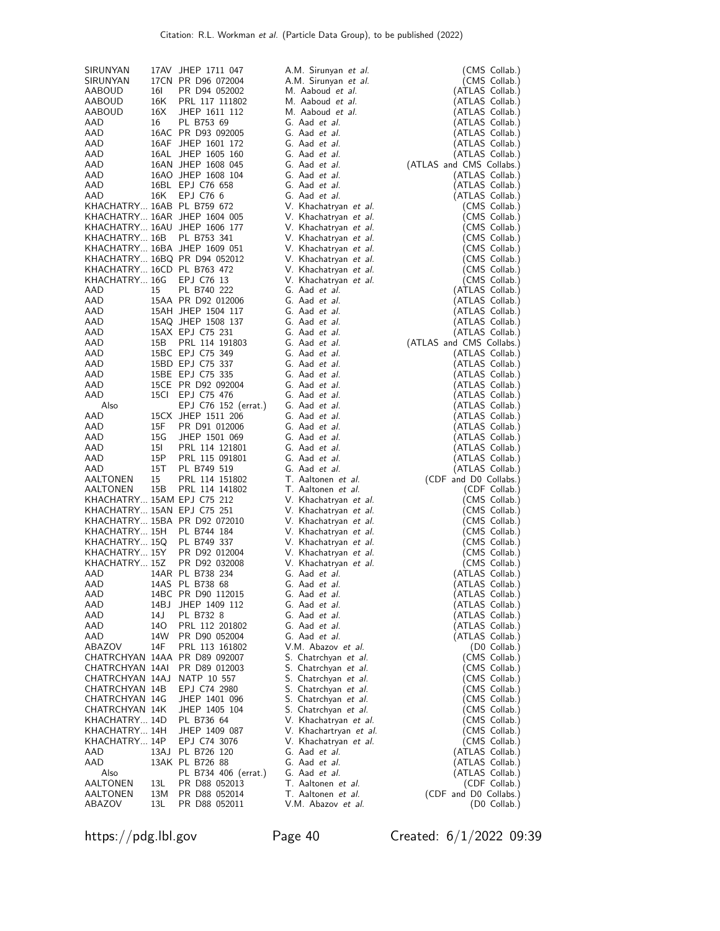| SIRUNYAN                         |              | 17AV JHEP 1711 047                          | A.M. Sirunyan et al.                           | (CMS Collab.)                               |
|----------------------------------|--------------|---------------------------------------------|------------------------------------------------|---------------------------------------------|
| SIRUNYAN                         |              | 17CN PR D96 072004                          | A.M. Sirunyan et al.                           | (CMS Collab.)                               |
| AABOUD                           | 16I          | PR D94 052002                               | M. Aaboud et al.                               | (ATLAS Collab.)                             |
| AABOUD                           | 16K          | PRL 117 111802                              | M. Aaboud et al.                               | (ATLAS Collab.)                             |
| AABOUD                           | 16X          | JHEP 1611 112                               | M. Aaboud et al.                               | (ATLAS Collab.)                             |
| AAD                              | 16           | PL B753 69                                  | G. Aad et al.                                  | (ATLAS Collab.)                             |
| AAD<br>AAD                       |              | 16AC PR D93 092005<br>16AF JHEP 1601 172    | G. Aad et al.<br>G. Aad et al.                 | (ATLAS Collab.)<br>(ATLAS Collab.)          |
| AAD                              |              | 16AL JHEP 1605 160                          | G. Aad et al.                                  | (ATLAS Collab.)                             |
| AAD                              |              | 16AN JHEP 1608 045                          | G. Aad et al.                                  | (ATLAS and CMS Collabs.)                    |
| AAD                              |              | 16AO JHEP 1608 104                          | G. Aad et al.                                  | (ATLAS Collab.)                             |
| AAD                              |              | 16BL EPJ C76 658                            | G. Aad et al.                                  | (ATLAS Collab.)                             |
| AAD                              | 16K          | EPJ C76 6                                   | G. Aad et al.                                  | (ATLAS Collab.)                             |
| KHACHATRY 16AB PL B759 672       |              |                                             | V. Khachatryan et al.                          | (CMS Collab.)                               |
|                                  |              | KHACHATRY 16AR JHEP 1604 005                | V. Khachatryan et al.                          | (CMS Collab.)                               |
| KHACHATRY 16B                    |              | KHACHATRY 16AU JHEP 1606 177<br>PL B753 341 | V. Khachatryan et al.                          | (CMS Collab.)<br>(CMS Collab.)              |
|                                  |              | KHACHATRY 16BA JHEP 1609 051                | V. Khachatryan et al.<br>V. Khachatryan et al. | (CMS Collab.)                               |
|                                  |              | KHACHATRY 16BQ PR D94 052012                | V. Khachatryan et al.                          | (CMS Collab.)                               |
| KHACHATRY 16CD PL B763 472       |              |                                             | V. Khachatryan et al.                          | (CMS Collab.)                               |
| KHACHATRY 16G EPJ C76 13         |              |                                             | V. Khachatryan et al.                          | (CMS Collab.)                               |
| AAD                              | 15           | PL B740 222                                 | G. Aad et al.                                  | (ATLAS Collab.)                             |
| AAD                              |              | 15AA PR D92 012006                          | G. Aad et al.                                  | (ATLAS Collab.)                             |
| AAD                              |              | 15AH JHEP 1504 117                          | G. Aad et al.                                  | (ATLAS Collab.)                             |
| AAD                              |              | 15AQ JHEP 1508 137                          | G. Aad et al.                                  | (ATLAS Collab.)                             |
| AAD<br>AAD                       | 15B          | 15AX EPJ C75 231<br>PRL 114 191803          | G. Aad et al.<br>G. Aad et al.                 | (ATLAS Collab.)<br>(ATLAS and CMS Collabs.) |
| AAD                              |              | 15BC EPJ C75 349                            | G. Aad et al.                                  | (ATLAS Collab.)                             |
| AAD                              |              | 15BD EPJ C75 337                            | G. Aad et al.                                  | (ATLAS Collab.)                             |
| AAD                              |              | 15BE EPJ C75 335                            | G. Aad et al.                                  | (ATLAS Collab.)                             |
| AAD                              |              | 15CE PR D92 092004                          | G. Aad et al.                                  | (ATLAS Collab.)                             |
| AAD                              |              | 15Cl EPJ C75 476                            | G. Aad et al.                                  | (ATLAS Collab.)                             |
| Also                             |              | EPJ C76 152 (errat.)                        | G. Aad et al.                                  | (ATLAS Collab.)                             |
| AAD                              |              | 15CX JHEP 1511 206                          | G. Aad et al.                                  | (ATLAS Collab.)                             |
| AAD<br>AAD                       | 15F<br>15G   | PR D91 012006<br>JHEP 1501 069              | G. Aad et al.<br>G. Aad et al.                 | (ATLAS Collab.)<br>(ATLAS Collab.)          |
| AAD                              | 15I          | PRL 114 121801                              | G. Aad et al.                                  | (ATLAS Collab.)                             |
| AAD                              | 15P          | PRL 115 091801                              | G. Aad et al.                                  | (ATLAS Collab.)                             |
| AAD                              | 15T          | PL B749 519                                 | G. Aad et al.                                  | (ATLAS Collab.)                             |
| AALTONEN                         | 15           | PRL 114 151802                              | T. Aaltonen et al.                             | (CDF and D0 Collabs.)                       |
| AALTONEN                         | 15B          | PRL 114 141802                              | T. Aaltonen et al.                             | (CDF Collab.)                               |
| KHACHATRY 15AM EPJ C75 212       |              |                                             | V. Khachatryan et al.                          | (CMS Collab.)                               |
| KHACHATRY 15AN EPJ C75 251       |              | KHACHATRY 15BA PR D92 072010                | V. Khachatryan et al.<br>V. Khachatryan et al. | (CMS Collab.)<br>(CMS Collab.)              |
| KHACHATRY 15H                    |              | PL B744 184                                 | V. Khachatryan et al.                          | (CMS Collab.)                               |
| KHACHATRY 15Q                    |              | PL B749 337                                 | V. Khachatryan et al.                          | (CMS Collab.)                               |
| KHACHATRY 15Y                    |              | PR D92 012004                               | V. Khachatryan et al.                          | (CMS Collab.)                               |
| KHACHATRY 15Z                    |              | PR D92 032008                               | V. Khachatryan et al.                          | (CMS Collab.)                               |
| AAD                              |              | 14AR PL B738 234                            | G. Aad <i>et al.</i>                           | (ATLAS Collab.)                             |
| AAD                              |              | 14AS PL B738 68                             | G. Aad et al.                                  | (ATLAS Collab.)                             |
| AAD                              |              | 14BC PR D90 112015                          | G. Aad et al.<br>G. Aad et al.                 | (ATLAS Collab.)                             |
| AAD<br>AAD                       | 14BJ<br>14 J | JHEP 1409 112<br>PL B732 8                  | G. Aad et al.                                  | (ATLAS Collab.)<br>(ATLAS Collab.)          |
| AAD                              | 140          | PRL 112 201802                              | G. Aad et al.                                  | (ATLAS Collab.)                             |
| AAD                              | 14W          | PR D90 052004                               | G. Aad et al.                                  | (ATLAS Collab.)                             |
| ABAZOV                           | 14F          | PRL 113 161802                              | V.M. Abazov et al.                             | (D0 Collab.)                                |
|                                  |              | CHATRCHYAN 14AA PR D89 092007               | S. Chatrchyan et al.                           | (CMS Collab.)                               |
| CHATRCHYAN 14AI                  |              | PR D89 012003                               | S. Chatrchyan et al.                           | (CMS Collab.)                               |
| CHATRCHYAN 14AJ                  |              | NATP 10 557<br>EPJ C74 2980                 | S. Chatrchyan et al.                           | (CMS Collab.)                               |
| CHATRCHYAN 14B<br>CHATRCHYAN 14G |              | JHEP 1401 096                               | S. Chatrchyan et al.<br>S. Chatrchyan et al.   | (CMS Collab.)<br>(CMS Collab.)              |
| CHATRCHYAN 14K                   |              | JHEP 1405 104                               | S. Chatrchyan et al.                           | (CMS Collab.)                               |
| KHACHATRY 14D                    |              | PL B736 64                                  | V. Khachatryan et al.                          | (CMS Collab.)                               |
| KHACHATRY 14H                    |              | JHEP 1409 087                               | V. Khachartryan et al.                         | (CMS Collab.)                               |
| KHACHATRY 14P                    |              | EPJ C74 3076                                | V. Khachatryan et al.                          | (CMS Collab.)                               |
| AAD                              | 13AJ         | PL B726 120                                 | G. Aad et al.                                  | (ATLAS Collab.)                             |
| AAD                              |              | 13AK PL B726 88                             | G. Aad et al.                                  | (ATLAS Collab.)                             |
| Also<br>AALTONEN                 | 13L          | PL B734 406 (errat.)<br>PR D88 052013       | G. Aad et al.<br>T. Aaltonen et al.            | (ATLAS Collab.)<br>(CDF Collab.)            |
| AALTONEN                         | 13M          | PR D88 052014                               | T. Aaltonen et al.                             | (CDF and D0 Collabs.)                       |
| ABAZOV                           | 13L          | PR D88 052011                               | V.M. Abazov et al.                             | (D0 Collab.)                                |

https://pdg.lbl.gov Page 40 Created: 6/1/2022 09:39